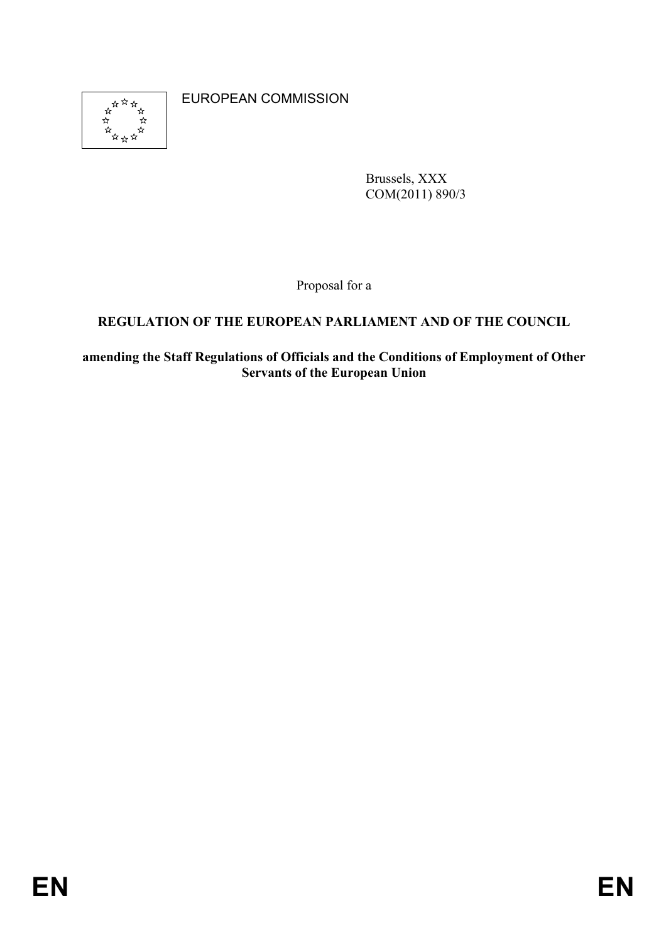

EUROPEAN COMMISSION

Brussels, XXX COM(2011) 890/3

Proposal for a

# **REGULATION OF THE EUROPEAN PARLIAMENT AND OF THE COUNCIL**

**amending the Staff Regulations of Officials and the Conditions of Employment of Other Servants of the European Union**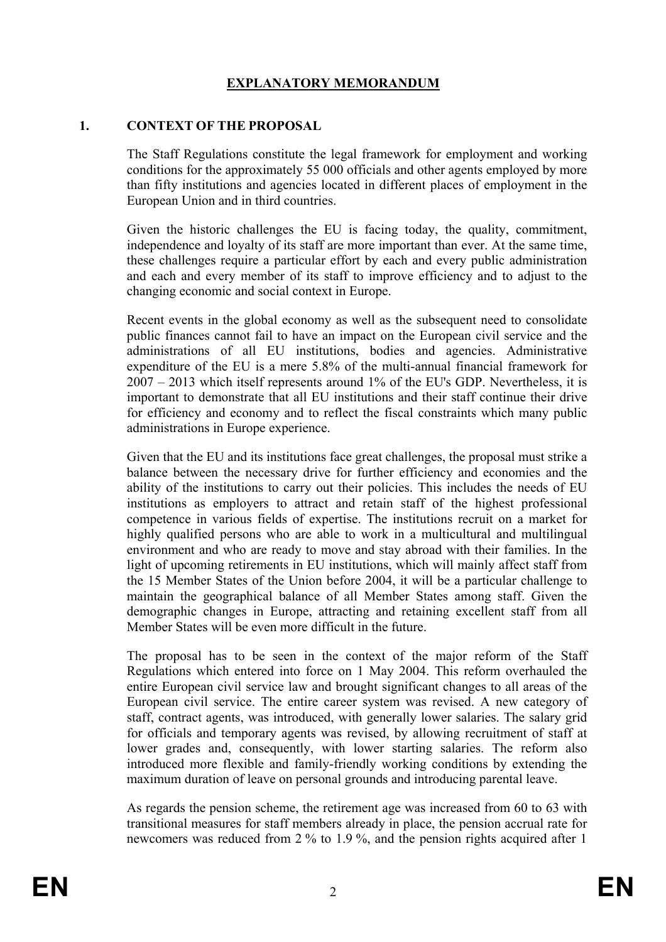# **EXPLANATORY MEMORANDUM**

#### **1. CONTEXT OF THE PROPOSAL**

The Staff Regulations constitute the legal framework for employment and working conditions for the approximately 55 000 officials and other agents employed by more than fifty institutions and agencies located in different places of employment in the European Union and in third countries.

Given the historic challenges the EU is facing today, the quality, commitment, independence and loyalty of its staff are more important than ever. At the same time, these challenges require a particular effort by each and every public administration and each and every member of its staff to improve efficiency and to adjust to the changing economic and social context in Europe.

Recent events in the global economy as well as the subsequent need to consolidate public finances cannot fail to have an impact on the European civil service and the administrations of all EU institutions, bodies and agencies. Administrative expenditure of the EU is a mere 5.8% of the multi-annual financial framework for 2007 – 2013 which itself represents around 1% of the EU's GDP. Nevertheless, it is important to demonstrate that all EU institutions and their staff continue their drive for efficiency and economy and to reflect the fiscal constraints which many public administrations in Europe experience.

Given that the EU and its institutions face great challenges, the proposal must strike a balance between the necessary drive for further efficiency and economies and the ability of the institutions to carry out their policies. This includes the needs of EU institutions as employers to attract and retain staff of the highest professional competence in various fields of expertise. The institutions recruit on a market for highly qualified persons who are able to work in a multicultural and multilingual environment and who are ready to move and stay abroad with their families. In the light of upcoming retirements in EU institutions, which will mainly affect staff from the 15 Member States of the Union before 2004, it will be a particular challenge to maintain the geographical balance of all Member States among staff. Given the demographic changes in Europe, attracting and retaining excellent staff from all Member States will be even more difficult in the future.

The proposal has to be seen in the context of the major reform of the Staff Regulations which entered into force on 1 May 2004. This reform overhauled the entire European civil service law and brought significant changes to all areas of the European civil service. The entire career system was revised. A new category of staff, contract agents, was introduced, with generally lower salaries. The salary grid for officials and temporary agents was revised, by allowing recruitment of staff at lower grades and, consequently, with lower starting salaries. The reform also introduced more flexible and family-friendly working conditions by extending the maximum duration of leave on personal grounds and introducing parental leave.

As regards the pension scheme, the retirement age was increased from 60 to 63 with transitional measures for staff members already in place, the pension accrual rate for newcomers was reduced from 2 % to 1.9 %, and the pension rights acquired after 1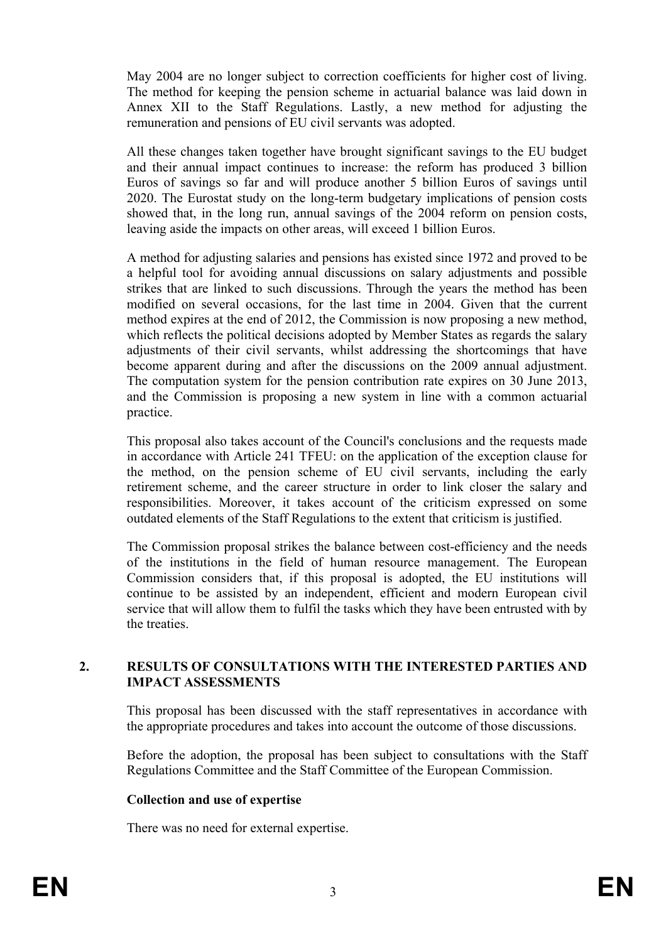May 2004 are no longer subject to correction coefficients for higher cost of living. The method for keeping the pension scheme in actuarial balance was laid down in Annex XII to the Staff Regulations. Lastly, a new method for adjusting the remuneration and pensions of EU civil servants was adopted.

All these changes taken together have brought significant savings to the EU budget and their annual impact continues to increase: the reform has produced 3 billion Euros of savings so far and will produce another 5 billion Euros of savings until 2020. The Eurostat study on the long-term budgetary implications of pension costs showed that, in the long run, annual savings of the 2004 reform on pension costs, leaving aside the impacts on other areas, will exceed 1 billion Euros.

A method for adjusting salaries and pensions has existed since 1972 and proved to be a helpful tool for avoiding annual discussions on salary adjustments and possible strikes that are linked to such discussions. Through the years the method has been modified on several occasions, for the last time in 2004. Given that the current method expires at the end of 2012, the Commission is now proposing a new method, which reflects the political decisions adopted by Member States as regards the salary adjustments of their civil servants, whilst addressing the shortcomings that have become apparent during and after the discussions on the 2009 annual adjustment. The computation system for the pension contribution rate expires on 30 June 2013, and the Commission is proposing a new system in line with a common actuarial practice.

This proposal also takes account of the Council's conclusions and the requests made in accordance with Article 241 TFEU: on the application of the exception clause for the method, on the pension scheme of EU civil servants, including the early retirement scheme, and the career structure in order to link closer the salary and responsibilities. Moreover, it takes account of the criticism expressed on some outdated elements of the Staff Regulations to the extent that criticism is justified.

The Commission proposal strikes the balance between cost-efficiency and the needs of the institutions in the field of human resource management. The European Commission considers that, if this proposal is adopted, the EU institutions will continue to be assisted by an independent, efficient and modern European civil service that will allow them to fulfil the tasks which they have been entrusted with by the treaties.

#### **2. RESULTS OF CONSULTATIONS WITH THE INTERESTED PARTIES AND IMPACT ASSESSMENTS**

This proposal has been discussed with the staff representatives in accordance with the appropriate procedures and takes into account the outcome of those discussions.

Before the adoption, the proposal has been subject to consultations with the Staff Regulations Committee and the Staff Committee of the European Commission.

#### **Collection and use of expertise**

There was no need for external expertise.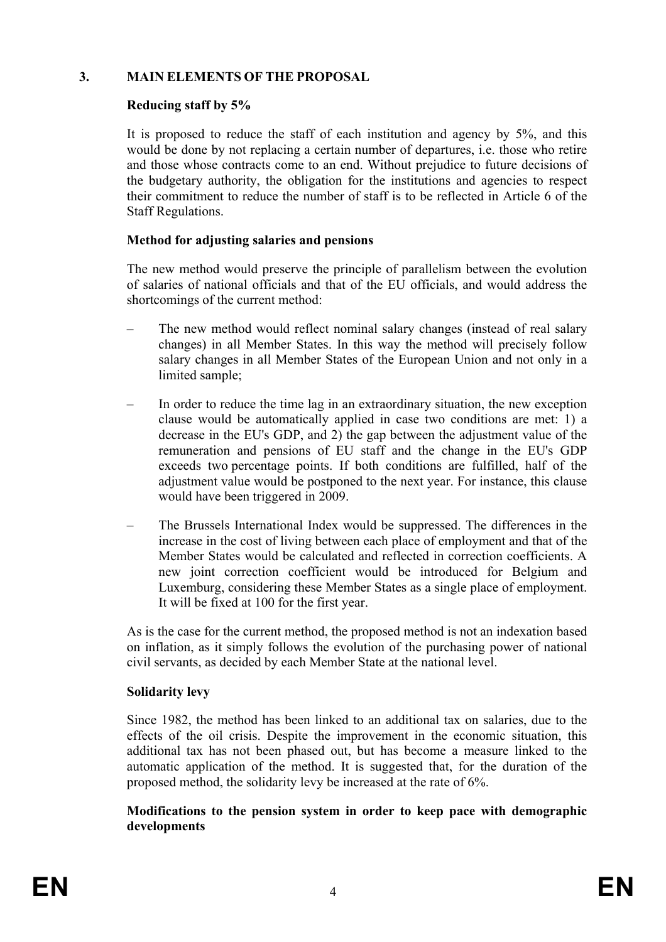#### **3. MAIN ELEMENTS OF THE PROPOSAL**

## **Reducing staff by 5%**

It is proposed to reduce the staff of each institution and agency by 5%, and this would be done by not replacing a certain number of departures, i.e. those who retire and those whose contracts come to an end. Without prejudice to future decisions of the budgetary authority, the obligation for the institutions and agencies to respect their commitment to reduce the number of staff is to be reflected in Article 6 of the Staff Regulations.

## **Method for adjusting salaries and pensions**

The new method would preserve the principle of parallelism between the evolution of salaries of national officials and that of the EU officials, and would address the shortcomings of the current method:

- The new method would reflect nominal salary changes (instead of real salary changes) in all Member States. In this way the method will precisely follow salary changes in all Member States of the European Union and not only in a limited sample;
- In order to reduce the time lag in an extraordinary situation, the new exception clause would be automatically applied in case two conditions are met: 1) a decrease in the EU's GDP, and 2) the gap between the adjustment value of the remuneration and pensions of EU staff and the change in the EU's GDP exceeds two percentage points. If both conditions are fulfilled, half of the adjustment value would be postponed to the next year. For instance, this clause would have been triggered in 2009.
- The Brussels International Index would be suppressed. The differences in the increase in the cost of living between each place of employment and that of the Member States would be calculated and reflected in correction coefficients. A new joint correction coefficient would be introduced for Belgium and Luxemburg, considering these Member States as a single place of employment. It will be fixed at 100 for the first year.

As is the case for the current method, the proposed method is not an indexation based on inflation, as it simply follows the evolution of the purchasing power of national civil servants, as decided by each Member State at the national level.

## **Solidarity levy**

Since 1982, the method has been linked to an additional tax on salaries, due to the effects of the oil crisis. Despite the improvement in the economic situation, this additional tax has not been phased out, but has become a measure linked to the automatic application of the method. It is suggested that, for the duration of the proposed method, the solidarity levy be increased at the rate of 6%.

#### **Modifications to the pension system in order to keep pace with demographic developments**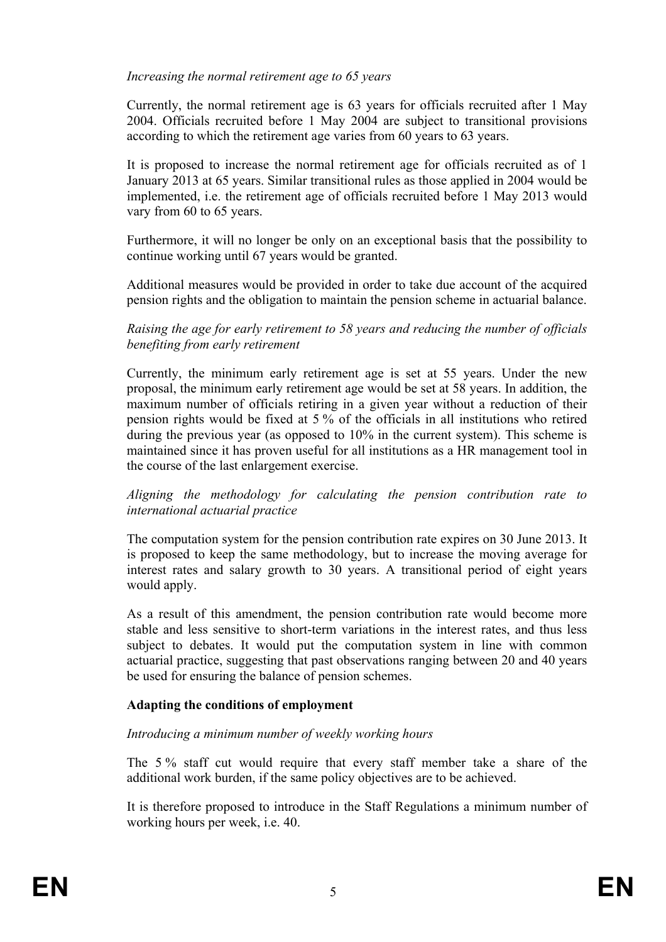#### *Increasing the normal retirement age to 65 years*

Currently, the normal retirement age is 63 years for officials recruited after 1 May 2004. Officials recruited before 1 May 2004 are subject to transitional provisions according to which the retirement age varies from 60 years to 63 years.

It is proposed to increase the normal retirement age for officials recruited as of 1 January 2013 at 65 years. Similar transitional rules as those applied in 2004 would be implemented, i.e. the retirement age of officials recruited before 1 May 2013 would vary from 60 to 65 years.

Furthermore, it will no longer be only on an exceptional basis that the possibility to continue working until 67 years would be granted.

Additional measures would be provided in order to take due account of the acquired pension rights and the obligation to maintain the pension scheme in actuarial balance.

*Raising the age for early retirement to 58 years and reducing the number of officials benefiting from early retirement* 

Currently, the minimum early retirement age is set at 55 years. Under the new proposal, the minimum early retirement age would be set at 58 years. In addition, the maximum number of officials retiring in a given year without a reduction of their pension rights would be fixed at 5 % of the officials in all institutions who retired during the previous year (as opposed to 10% in the current system). This scheme is maintained since it has proven useful for all institutions as a HR management tool in the course of the last enlargement exercise.

*Aligning the methodology for calculating the pension contribution rate to international actuarial practice* 

The computation system for the pension contribution rate expires on 30 June 2013. It is proposed to keep the same methodology, but to increase the moving average for interest rates and salary growth to 30 years. A transitional period of eight years would apply.

As a result of this amendment, the pension contribution rate would become more stable and less sensitive to short-term variations in the interest rates, and thus less subject to debates. It would put the computation system in line with common actuarial practice, suggesting that past observations ranging between 20 and 40 years be used for ensuring the balance of pension schemes.

## **Adapting the conditions of employment**

## *Introducing a minimum number of weekly working hours*

The 5 % staff cut would require that every staff member take a share of the additional work burden, if the same policy objectives are to be achieved.

It is therefore proposed to introduce in the Staff Regulations a minimum number of working hours per week, i.e. 40.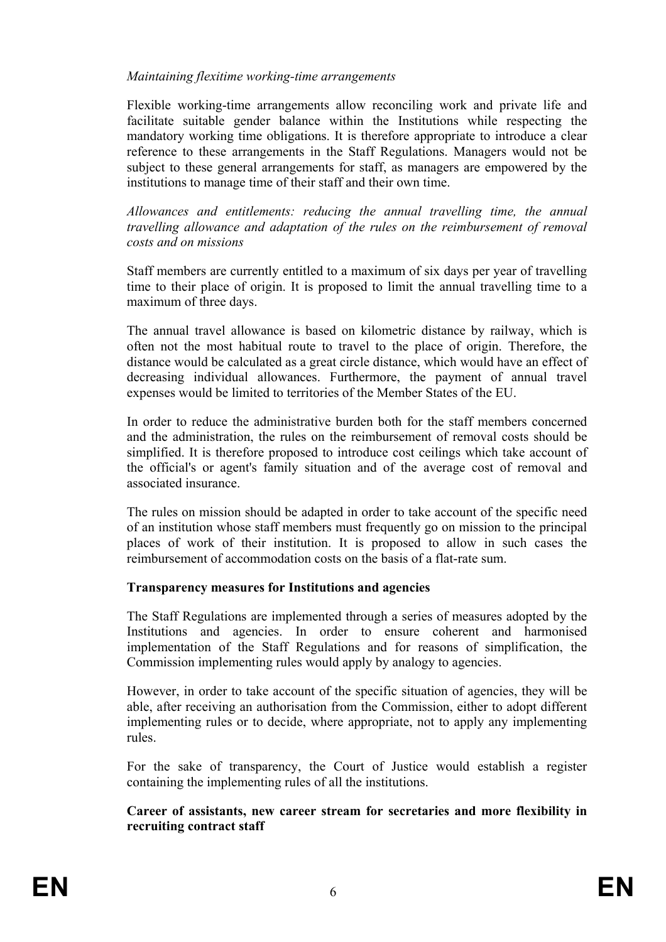#### *Maintaining flexitime working-time arrangements*

Flexible working-time arrangements allow reconciling work and private life and facilitate suitable gender balance within the Institutions while respecting the mandatory working time obligations. It is therefore appropriate to introduce a clear reference to these arrangements in the Staff Regulations. Managers would not be subject to these general arrangements for staff, as managers are empowered by the institutions to manage time of their staff and their own time.

*Allowances and entitlements: reducing the annual travelling time, the annual travelling allowance and adaptation of the rules on the reimbursement of removal costs and on missions* 

Staff members are currently entitled to a maximum of six days per year of travelling time to their place of origin. It is proposed to limit the annual travelling time to a maximum of three days.

The annual travel allowance is based on kilometric distance by railway, which is often not the most habitual route to travel to the place of origin. Therefore, the distance would be calculated as a great circle distance, which would have an effect of decreasing individual allowances. Furthermore, the payment of annual travel expenses would be limited to territories of the Member States of the EU.

In order to reduce the administrative burden both for the staff members concerned and the administration, the rules on the reimbursement of removal costs should be simplified. It is therefore proposed to introduce cost ceilings which take account of the official's or agent's family situation and of the average cost of removal and associated insurance.

The rules on mission should be adapted in order to take account of the specific need of an institution whose staff members must frequently go on mission to the principal places of work of their institution. It is proposed to allow in such cases the reimbursement of accommodation costs on the basis of a flat-rate sum.

#### **Transparency measures for Institutions and agencies**

The Staff Regulations are implemented through a series of measures adopted by the Institutions and agencies. In order to ensure coherent and harmonised implementation of the Staff Regulations and for reasons of simplification, the Commission implementing rules would apply by analogy to agencies.

However, in order to take account of the specific situation of agencies, they will be able, after receiving an authorisation from the Commission, either to adopt different implementing rules or to decide, where appropriate, not to apply any implementing rules.

For the sake of transparency, the Court of Justice would establish a register containing the implementing rules of all the institutions.

#### **Career of assistants, new career stream for secretaries and more flexibility in recruiting contract staff**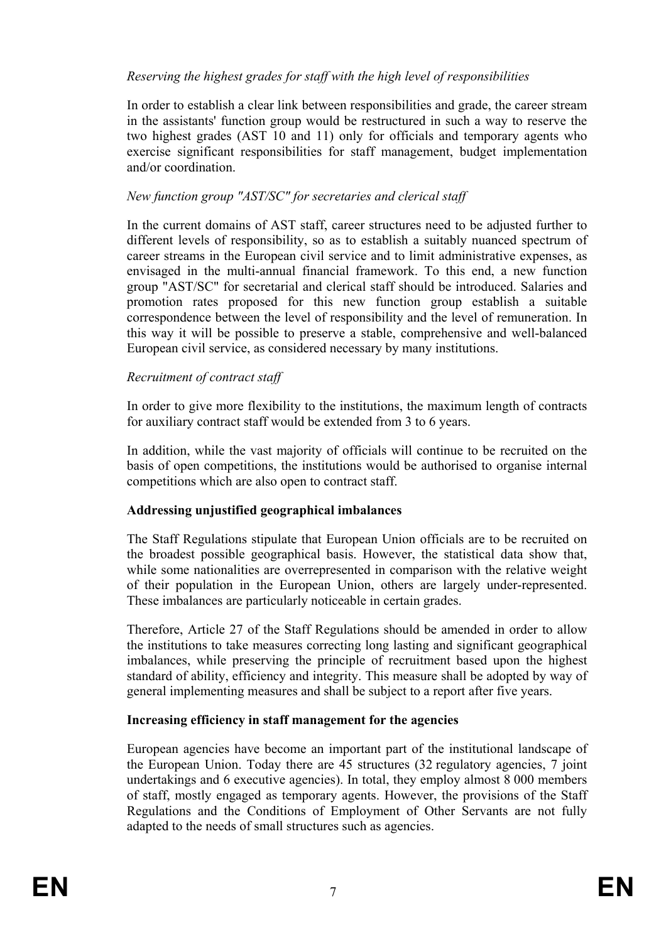## *Reserving the highest grades for staff with the high level of responsibilities*

In order to establish a clear link between responsibilities and grade, the career stream in the assistants' function group would be restructured in such a way to reserve the two highest grades (AST 10 and 11) only for officials and temporary agents who exercise significant responsibilities for staff management, budget implementation and/or coordination.

## *New function group "AST/SC" for secretaries and clerical staff*

In the current domains of AST staff, career structures need to be adjusted further to different levels of responsibility, so as to establish a suitably nuanced spectrum of career streams in the European civil service and to limit administrative expenses, as envisaged in the multi-annual financial framework. To this end, a new function group "AST/SC" for secretarial and clerical staff should be introduced. Salaries and promotion rates proposed for this new function group establish a suitable correspondence between the level of responsibility and the level of remuneration. In this way it will be possible to preserve a stable, comprehensive and well-balanced European civil service, as considered necessary by many institutions.

# *Recruitment of contract staff*

In order to give more flexibility to the institutions, the maximum length of contracts for auxiliary contract staff would be extended from 3 to 6 years.

In addition, while the vast majority of officials will continue to be recruited on the basis of open competitions, the institutions would be authorised to organise internal competitions which are also open to contract staff.

## **Addressing unjustified geographical imbalances**

The Staff Regulations stipulate that European Union officials are to be recruited on the broadest possible geographical basis. However, the statistical data show that, while some nationalities are overrepresented in comparison with the relative weight of their population in the European Union, others are largely under-represented. These imbalances are particularly noticeable in certain grades.

Therefore, Article 27 of the Staff Regulations should be amended in order to allow the institutions to take measures correcting long lasting and significant geographical imbalances, while preserving the principle of recruitment based upon the highest standard of ability, efficiency and integrity. This measure shall be adopted by way of general implementing measures and shall be subject to a report after five years.

## **Increasing efficiency in staff management for the agencies**

European agencies have become an important part of the institutional landscape of the European Union. Today there are 45 structures (32 regulatory agencies, 7 joint undertakings and 6 executive agencies). In total, they employ almost 8 000 members of staff, mostly engaged as temporary agents. However, the provisions of the Staff Regulations and the Conditions of Employment of Other Servants are not fully adapted to the needs of small structures such as agencies.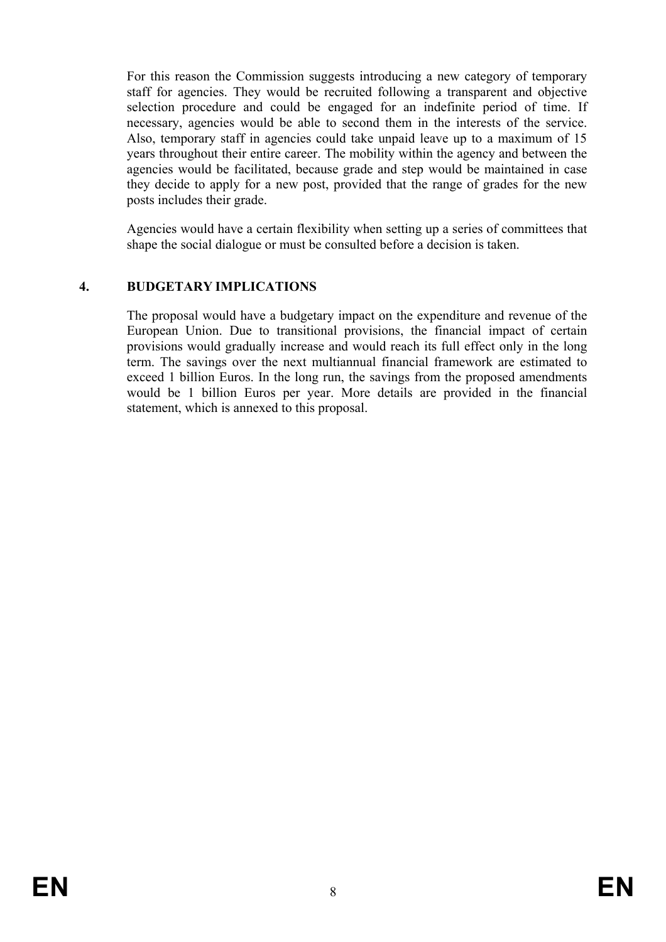For this reason the Commission suggests introducing a new category of temporary staff for agencies. They would be recruited following a transparent and objective selection procedure and could be engaged for an indefinite period of time. If necessary, agencies would be able to second them in the interests of the service. Also, temporary staff in agencies could take unpaid leave up to a maximum of 15 years throughout their entire career. The mobility within the agency and between the agencies would be facilitated, because grade and step would be maintained in case they decide to apply for a new post, provided that the range of grades for the new posts includes their grade.

Agencies would have a certain flexibility when setting up a series of committees that shape the social dialogue or must be consulted before a decision is taken.

#### **4. BUDGETARY IMPLICATIONS**

The proposal would have a budgetary impact on the expenditure and revenue of the European Union. Due to transitional provisions, the financial impact of certain provisions would gradually increase and would reach its full effect only in the long term. The savings over the next multiannual financial framework are estimated to exceed 1 billion Euros. In the long run, the savings from the proposed amendments would be 1 billion Euros per year. More details are provided in the financial statement, which is annexed to this proposal.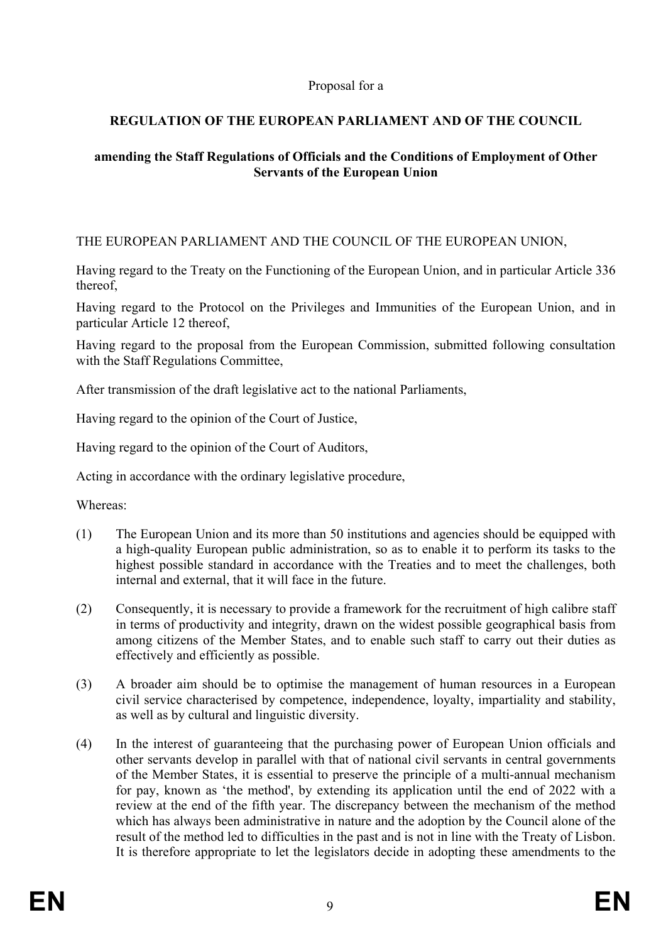#### Proposal for a

# **REGULATION OF THE EUROPEAN PARLIAMENT AND OF THE COUNCIL**

## **amending the Staff Regulations of Officials and the Conditions of Employment of Other Servants of the European Union**

THE EUROPEAN PARLIAMENT AND THE COUNCIL OF THE EUROPEAN UNION,

Having regard to the Treaty on the Functioning of the European Union, and in particular Article 336 thereof,

Having regard to the Protocol on the Privileges and Immunities of the European Union, and in particular Article 12 thereof,

Having regard to the proposal from the European Commission, submitted following consultation with the Staff Regulations Committee,

After transmission of the draft legislative act to the national Parliaments,

Having regard to the opinion of the Court of Justice,

Having regard to the opinion of the Court of Auditors,

Acting in accordance with the ordinary legislative procedure,

Whereas:

- (1) The European Union and its more than 50 institutions and agencies should be equipped with a high-quality European public administration, so as to enable it to perform its tasks to the highest possible standard in accordance with the Treaties and to meet the challenges, both internal and external, that it will face in the future.
- (2) Consequently, it is necessary to provide a framework for the recruitment of high calibre staff in terms of productivity and integrity, drawn on the widest possible geographical basis from among citizens of the Member States, and to enable such staff to carry out their duties as effectively and efficiently as possible.
- (3) A broader aim should be to optimise the management of human resources in a European civil service characterised by competence, independence, loyalty, impartiality and stability, as well as by cultural and linguistic diversity.
- (4) In the interest of guaranteeing that the purchasing power of European Union officials and other servants develop in parallel with that of national civil servants in central governments of the Member States, it is essential to preserve the principle of a multi-annual mechanism for pay, known as 'the method', by extending its application until the end of 2022 with a review at the end of the fifth year. The discrepancy between the mechanism of the method which has always been administrative in nature and the adoption by the Council alone of the result of the method led to difficulties in the past and is not in line with the Treaty of Lisbon. It is therefore appropriate to let the legislators decide in adopting these amendments to the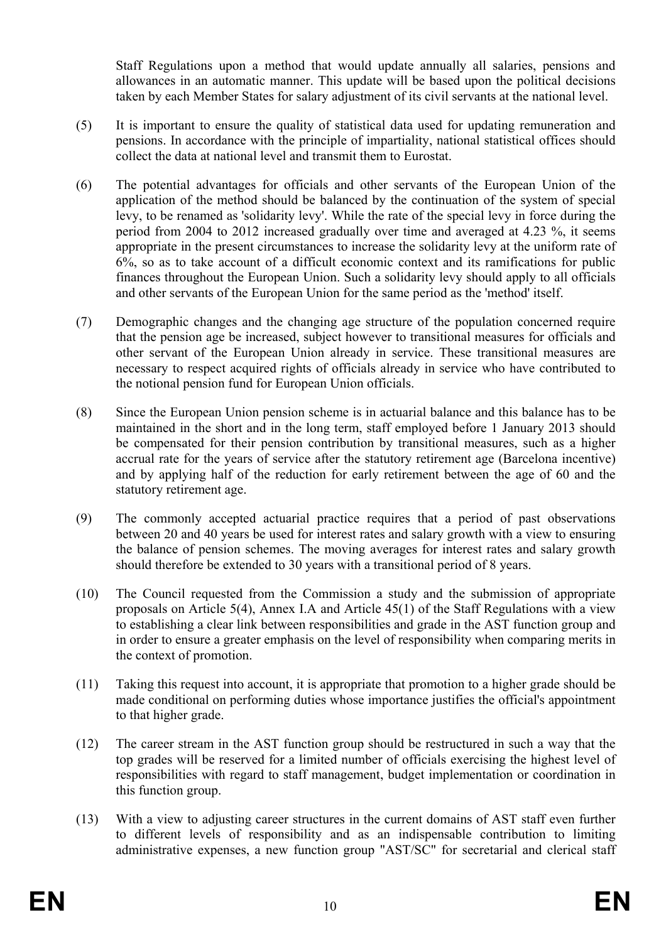Staff Regulations upon a method that would update annually all salaries, pensions and allowances in an automatic manner. This update will be based upon the political decisions taken by each Member States for salary adjustment of its civil servants at the national level.

- (5) It is important to ensure the quality of statistical data used for updating remuneration and pensions. In accordance with the principle of impartiality, national statistical offices should collect the data at national level and transmit them to Eurostat.
- (6) The potential advantages for officials and other servants of the European Union of the application of the method should be balanced by the continuation of the system of special levy, to be renamed as 'solidarity levy'. While the rate of the special levy in force during the period from 2004 to 2012 increased gradually over time and averaged at 4.23 %, it seems appropriate in the present circumstances to increase the solidarity levy at the uniform rate of 6%, so as to take account of a difficult economic context and its ramifications for public finances throughout the European Union. Such a solidarity levy should apply to all officials and other servants of the European Union for the same period as the 'method' itself.
- (7) Demographic changes and the changing age structure of the population concerned require that the pension age be increased, subject however to transitional measures for officials and other servant of the European Union already in service. These transitional measures are necessary to respect acquired rights of officials already in service who have contributed to the notional pension fund for European Union officials.
- (8) Since the European Union pension scheme is in actuarial balance and this balance has to be maintained in the short and in the long term, staff employed before 1 January 2013 should be compensated for their pension contribution by transitional measures, such as a higher accrual rate for the years of service after the statutory retirement age (Barcelona incentive) and by applying half of the reduction for early retirement between the age of 60 and the statutory retirement age.
- (9) The commonly accepted actuarial practice requires that a period of past observations between 20 and 40 years be used for interest rates and salary growth with a view to ensuring the balance of pension schemes. The moving averages for interest rates and salary growth should therefore be extended to 30 years with a transitional period of 8 years.
- (10) The Council requested from the Commission a study and the submission of appropriate proposals on Article 5(4), Annex I.A and Article 45(1) of the Staff Regulations with a view to establishing a clear link between responsibilities and grade in the AST function group and in order to ensure a greater emphasis on the level of responsibility when comparing merits in the context of promotion.
- (11) Taking this request into account, it is appropriate that promotion to a higher grade should be made conditional on performing duties whose importance justifies the official's appointment to that higher grade.
- (12) The career stream in the AST function group should be restructured in such a way that the top grades will be reserved for a limited number of officials exercising the highest level of responsibilities with regard to staff management, budget implementation or coordination in this function group.
- (13) With a view to adjusting career structures in the current domains of AST staff even further to different levels of responsibility and as an indispensable contribution to limiting administrative expenses, a new function group "AST/SC" for secretarial and clerical staff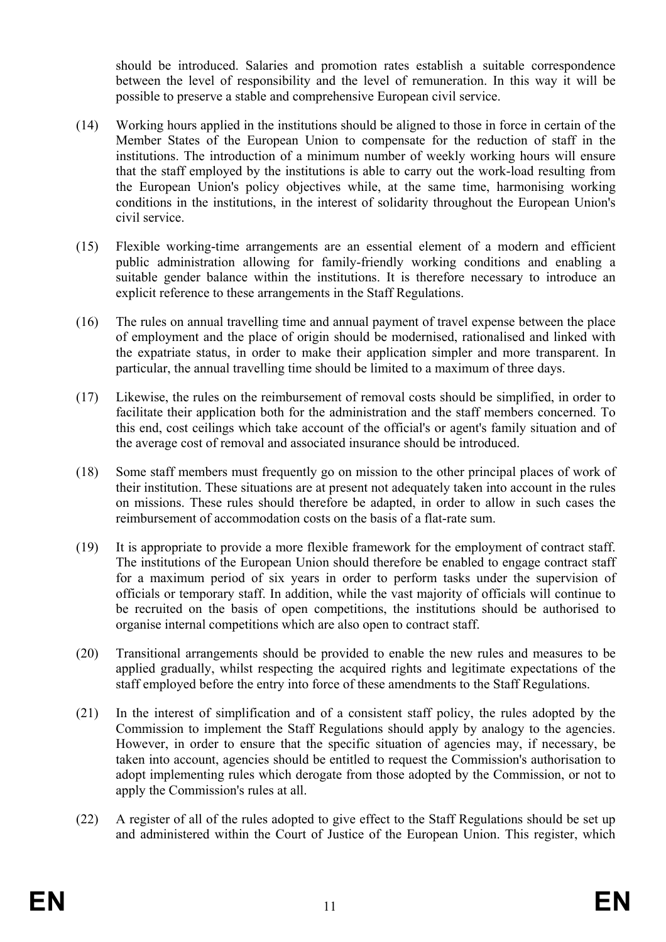should be introduced. Salaries and promotion rates establish a suitable correspondence between the level of responsibility and the level of remuneration. In this way it will be possible to preserve a stable and comprehensive European civil service.

- (14) Working hours applied in the institutions should be aligned to those in force in certain of the Member States of the European Union to compensate for the reduction of staff in the institutions. The introduction of a minimum number of weekly working hours will ensure that the staff employed by the institutions is able to carry out the work-load resulting from the European Union's policy objectives while, at the same time, harmonising working conditions in the institutions, in the interest of solidarity throughout the European Union's civil service.
- (15) Flexible working-time arrangements are an essential element of a modern and efficient public administration allowing for family-friendly working conditions and enabling a suitable gender balance within the institutions. It is therefore necessary to introduce an explicit reference to these arrangements in the Staff Regulations.
- (16) The rules on annual travelling time and annual payment of travel expense between the place of employment and the place of origin should be modernised, rationalised and linked with the expatriate status, in order to make their application simpler and more transparent. In particular, the annual travelling time should be limited to a maximum of three days.
- (17) Likewise, the rules on the reimbursement of removal costs should be simplified, in order to facilitate their application both for the administration and the staff members concerned. To this end, cost ceilings which take account of the official's or agent's family situation and of the average cost of removal and associated insurance should be introduced.
- (18) Some staff members must frequently go on mission to the other principal places of work of their institution. These situations are at present not adequately taken into account in the rules on missions. These rules should therefore be adapted, in order to allow in such cases the reimbursement of accommodation costs on the basis of a flat-rate sum.
- (19) It is appropriate to provide a more flexible framework for the employment of contract staff. The institutions of the European Union should therefore be enabled to engage contract staff for a maximum period of six years in order to perform tasks under the supervision of officials or temporary staff. In addition, while the vast majority of officials will continue to be recruited on the basis of open competitions, the institutions should be authorised to organise internal competitions which are also open to contract staff.
- (20) Transitional arrangements should be provided to enable the new rules and measures to be applied gradually, whilst respecting the acquired rights and legitimate expectations of the staff employed before the entry into force of these amendments to the Staff Regulations.
- (21) In the interest of simplification and of a consistent staff policy, the rules adopted by the Commission to implement the Staff Regulations should apply by analogy to the agencies. However, in order to ensure that the specific situation of agencies may, if necessary, be taken into account, agencies should be entitled to request the Commission's authorisation to adopt implementing rules which derogate from those adopted by the Commission, or not to apply the Commission's rules at all.
- (22) A register of all of the rules adopted to give effect to the Staff Regulations should be set up and administered within the Court of Justice of the European Union. This register, which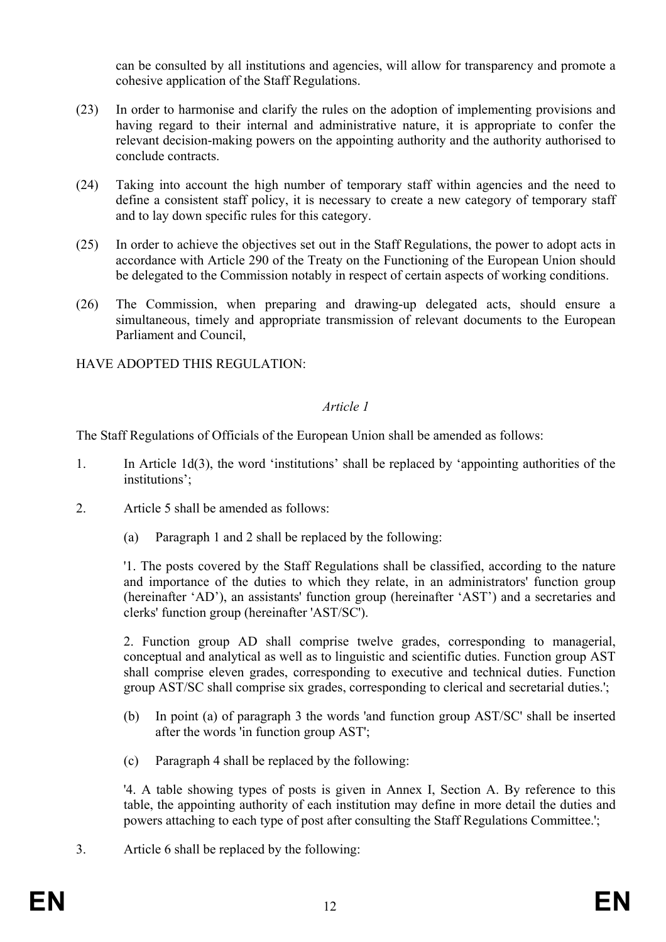can be consulted by all institutions and agencies, will allow for transparency and promote a cohesive application of the Staff Regulations.

- (23) In order to harmonise and clarify the rules on the adoption of implementing provisions and having regard to their internal and administrative nature, it is appropriate to confer the relevant decision-making powers on the appointing authority and the authority authorised to conclude contracts.
- (24) Taking into account the high number of temporary staff within agencies and the need to define a consistent staff policy, it is necessary to create a new category of temporary staff and to lay down specific rules for this category.
- (25) In order to achieve the objectives set out in the Staff Regulations, the power to adopt acts in accordance with Article 290 of the Treaty on the Functioning of the European Union should be delegated to the Commission notably in respect of certain aspects of working conditions.
- (26) The Commission, when preparing and drawing-up delegated acts, should ensure a simultaneous, timely and appropriate transmission of relevant documents to the European Parliament and Council,

HAVE ADOPTED THIS REGULATION:

#### *Article 1*

The Staff Regulations of Officials of the European Union shall be amended as follows:

- 1. In Article 1d(3), the word 'institutions' shall be replaced by 'appointing authorities of the institutions';
- 2. Article 5 shall be amended as follows:
	- (a) Paragraph 1 and 2 shall be replaced by the following:

'1. The posts covered by the Staff Regulations shall be classified, according to the nature and importance of the duties to which they relate, in an administrators' function group (hereinafter 'AD'), an assistants' function group (hereinafter 'AST') and a secretaries and clerks' function group (hereinafter 'AST/SC').

2. Function group AD shall comprise twelve grades, corresponding to managerial, conceptual and analytical as well as to linguistic and scientific duties. Function group AST shall comprise eleven grades, corresponding to executive and technical duties. Function group AST/SC shall comprise six grades, corresponding to clerical and secretarial duties.';

- (b) In point (a) of paragraph 3 the words 'and function group AST/SC' shall be inserted after the words 'in function group AST';
- (c) Paragraph 4 shall be replaced by the following:

'4. A table showing types of posts is given in Annex I, Section A. By reference to this table, the appointing authority of each institution may define in more detail the duties and powers attaching to each type of post after consulting the Staff Regulations Committee.';

3. Article 6 shall be replaced by the following: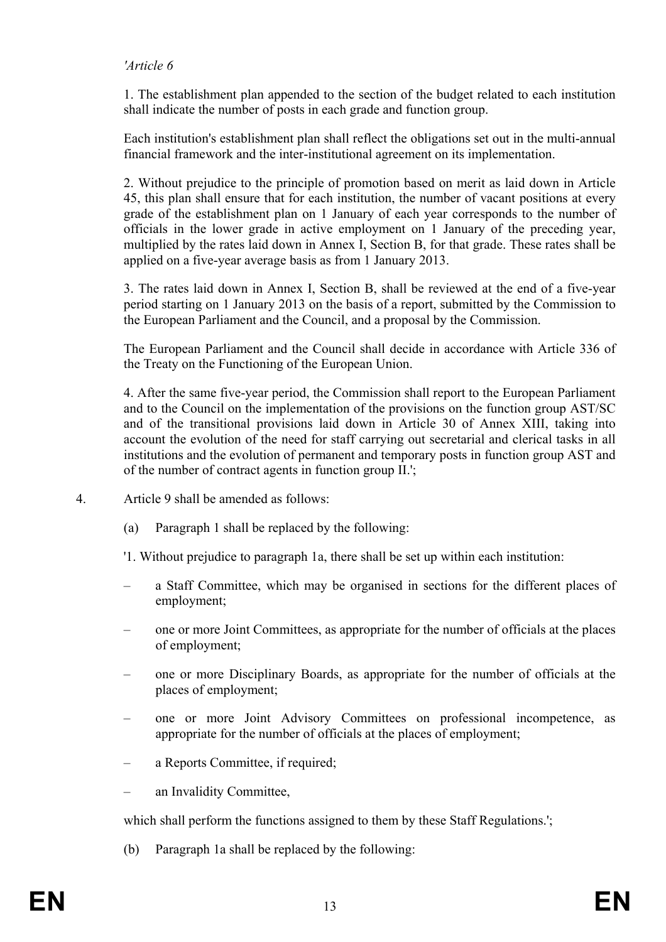#### *'Article 6*

1. The establishment plan appended to the section of the budget related to each institution shall indicate the number of posts in each grade and function group.

Each institution's establishment plan shall reflect the obligations set out in the multi-annual financial framework and the inter-institutional agreement on its implementation.

2. Without prejudice to the principle of promotion based on merit as laid down in Article 45, this plan shall ensure that for each institution, the number of vacant positions at every grade of the establishment plan on 1 January of each year corresponds to the number of officials in the lower grade in active employment on 1 January of the preceding year, multiplied by the rates laid down in Annex I, Section B, for that grade. These rates shall be applied on a five-year average basis as from 1 January 2013.

3. The rates laid down in Annex I, Section B, shall be reviewed at the end of a five-year period starting on 1 January 2013 on the basis of a report, submitted by the Commission to the European Parliament and the Council, and a proposal by the Commission.

The European Parliament and the Council shall decide in accordance with Article 336 of the Treaty on the Functioning of the European Union.

4. After the same five-year period, the Commission shall report to the European Parliament and to the Council on the implementation of the provisions on the function group AST/SC and of the transitional provisions laid down in Article 30 of Annex XIII, taking into account the evolution of the need for staff carrying out secretarial and clerical tasks in all institutions and the evolution of permanent and temporary posts in function group AST and of the number of contract agents in function group II.';

- 4. Article 9 shall be amended as follows:
	- (a) Paragraph 1 shall be replaced by the following:
	- '1. Without prejudice to paragraph 1a, there shall be set up within each institution:
	- a Staff Committee, which may be organised in sections for the different places of employment;
	- one or more Joint Committees, as appropriate for the number of officials at the places of employment;
	- one or more Disciplinary Boards, as appropriate for the number of officials at the places of employment;
	- one or more Joint Advisory Committees on professional incompetence, as appropriate for the number of officials at the places of employment;
	- a Reports Committee, if required;
	- an Invalidity Committee,

which shall perform the functions assigned to them by these Staff Regulations.';

(b) Paragraph 1a shall be replaced by the following: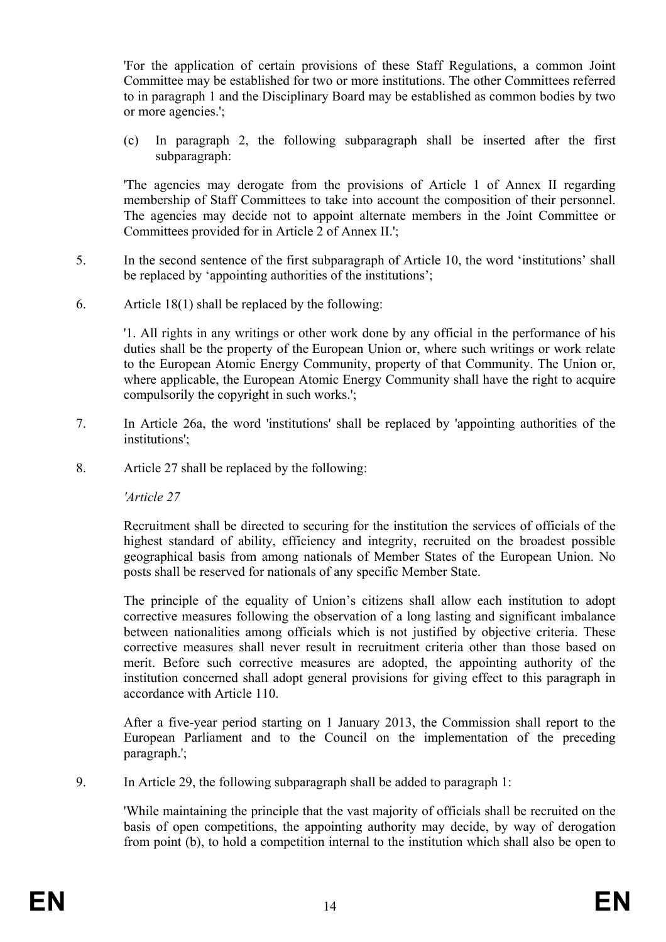'For the application of certain provisions of these Staff Regulations, a common Joint Committee may be established for two or more institutions. The other Committees referred to in paragraph 1 and the Disciplinary Board may be established as common bodies by two or more agencies.';

(c) In paragraph 2, the following subparagraph shall be inserted after the first subparagraph:

'The agencies may derogate from the provisions of Article 1 of Annex II regarding membership of Staff Committees to take into account the composition of their personnel. The agencies may decide not to appoint alternate members in the Joint Committee or Committees provided for in Article 2 of Annex II.';

- 5. In the second sentence of the first subparagraph of Article 10, the word 'institutions' shall be replaced by 'appointing authorities of the institutions';
- 6. Article 18(1) shall be replaced by the following:

'1. All rights in any writings or other work done by any official in the performance of his duties shall be the property of the European Union or, where such writings or work relate to the European Atomic Energy Community, property of that Community. The Union or, where applicable, the European Atomic Energy Community shall have the right to acquire compulsorily the copyright in such works.';

- 7. In Article 26a, the word 'institutions' shall be replaced by 'appointing authorities of the institutions';
- 8. Article 27 shall be replaced by the following:

*'Article 27* 

Recruitment shall be directed to securing for the institution the services of officials of the highest standard of ability, efficiency and integrity, recruited on the broadest possible geographical basis from among nationals of Member States of the European Union. No posts shall be reserved for nationals of any specific Member State.

The principle of the equality of Union's citizens shall allow each institution to adopt corrective measures following the observation of a long lasting and significant imbalance between nationalities among officials which is not justified by objective criteria. These corrective measures shall never result in recruitment criteria other than those based on merit. Before such corrective measures are adopted, the appointing authority of the institution concerned shall adopt general provisions for giving effect to this paragraph in accordance with Article 110.

After a five-year period starting on 1 January 2013, the Commission shall report to the European Parliament and to the Council on the implementation of the preceding paragraph.';

9. In Article 29, the following subparagraph shall be added to paragraph 1:

'While maintaining the principle that the vast majority of officials shall be recruited on the basis of open competitions, the appointing authority may decide, by way of derogation from point (b), to hold a competition internal to the institution which shall also be open to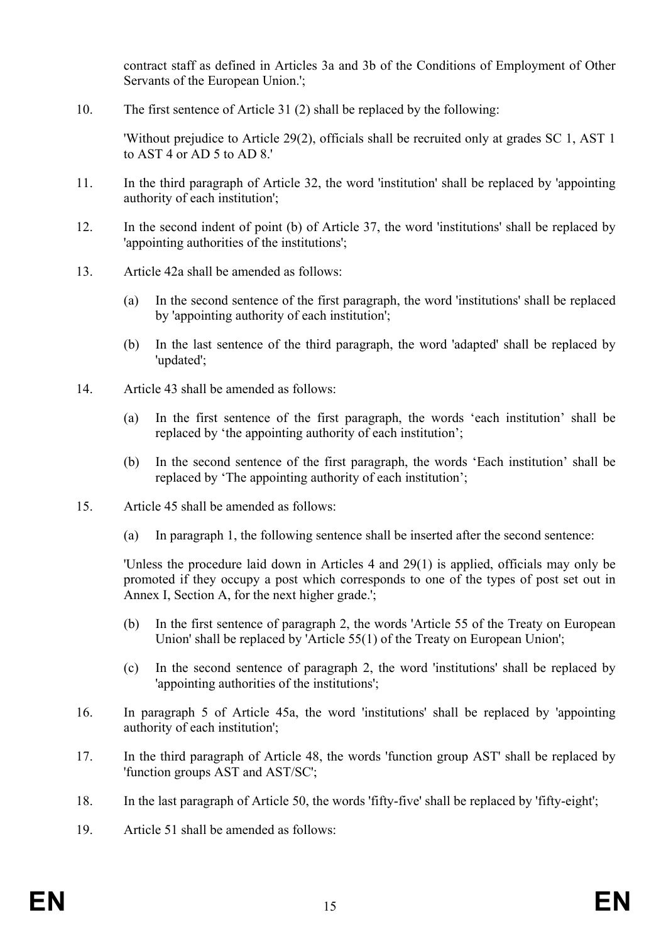contract staff as defined in Articles 3a and 3b of the Conditions of Employment of Other Servants of the European Union.';

10. The first sentence of Article 31 (2) shall be replaced by the following:

'Without prejudice to Article 29(2), officials shall be recruited only at grades SC 1, AST 1 to AST 4 or AD 5 to AD 8.'

- 11. In the third paragraph of Article 32, the word 'institution' shall be replaced by 'appointing authority of each institution';
- 12. In the second indent of point (b) of Article 37, the word 'institutions' shall be replaced by 'appointing authorities of the institutions';
- 13. Article 42a shall be amended as follows:
	- (a) In the second sentence of the first paragraph, the word 'institutions' shall be replaced by 'appointing authority of each institution';
	- (b) In the last sentence of the third paragraph, the word 'adapted' shall be replaced by 'updated';
- 14. Article 43 shall be amended as follows:
	- (a) In the first sentence of the first paragraph, the words 'each institution' shall be replaced by 'the appointing authority of each institution';
	- (b) In the second sentence of the first paragraph, the words 'Each institution' shall be replaced by 'The appointing authority of each institution';
- 15. Article 45 shall be amended as follows:
	- (a) In paragraph 1, the following sentence shall be inserted after the second sentence:

'Unless the procedure laid down in Articles 4 and 29(1) is applied, officials may only be promoted if they occupy a post which corresponds to one of the types of post set out in Annex I, Section A, for the next higher grade.';

- (b) In the first sentence of paragraph 2, the words 'Article 55 of the Treaty on European Union' shall be replaced by 'Article 55(1) of the Treaty on European Union';
- (c) In the second sentence of paragraph 2, the word 'institutions' shall be replaced by 'appointing authorities of the institutions';
- 16. In paragraph 5 of Article 45a, the word 'institutions' shall be replaced by 'appointing authority of each institution';
- 17. In the third paragraph of Article 48, the words 'function group AST' shall be replaced by 'function groups AST and AST/SC';
- 18. In the last paragraph of Article 50, the words 'fifty-five' shall be replaced by 'fifty-eight';
- 19. Article 51 shall be amended as follows: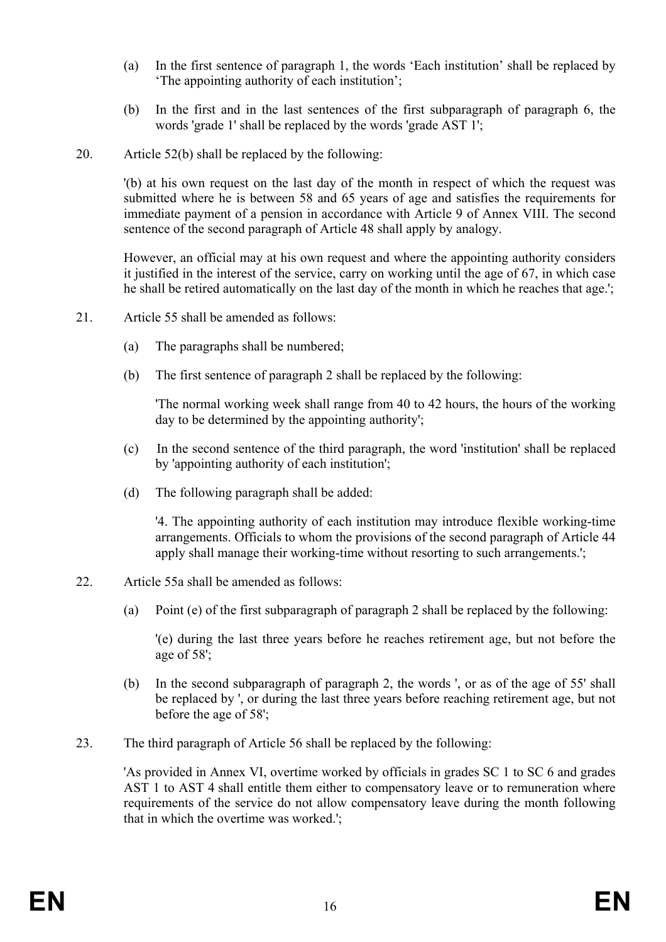- (a) In the first sentence of paragraph 1, the words 'Each institution' shall be replaced by 'The appointing authority of each institution';
- (b) In the first and in the last sentences of the first subparagraph of paragraph 6, the words 'grade 1' shall be replaced by the words 'grade AST 1';
- 20. Article 52(b) shall be replaced by the following:

'(b) at his own request on the last day of the month in respect of which the request was submitted where he is between 58 and 65 years of age and satisfies the requirements for immediate payment of a pension in accordance with Article 9 of Annex VIII. The second sentence of the second paragraph of Article 48 shall apply by analogy.

However, an official may at his own request and where the appointing authority considers it justified in the interest of the service, carry on working until the age of 67, in which case he shall be retired automatically on the last day of the month in which he reaches that age.';

- 21. Article 55 shall be amended as follows:
	- (a) The paragraphs shall be numbered;
	- (b) The first sentence of paragraph 2 shall be replaced by the following:

'The normal working week shall range from 40 to 42 hours, the hours of the working day to be determined by the appointing authority';

- (c) In the second sentence of the third paragraph, the word 'institution' shall be replaced by 'appointing authority of each institution';
- (d) The following paragraph shall be added:

'4. The appointing authority of each institution may introduce flexible working-time arrangements. Officials to whom the provisions of the second paragraph of Article 44 apply shall manage their working-time without resorting to such arrangements.';

- 22. Article 55a shall be amended as follows:
	- (a) Point (e) of the first subparagraph of paragraph 2 shall be replaced by the following:

'(e) during the last three years before he reaches retirement age, but not before the age of 58';

- (b) In the second subparagraph of paragraph 2, the words ', or as of the age of 55' shall be replaced by ', or during the last three years before reaching retirement age, but not before the age of 58';
- 23. The third paragraph of Article 56 shall be replaced by the following:

'As provided in Annex VI, overtime worked by officials in grades SC 1 to SC 6 and grades AST 1 to AST 4 shall entitle them either to compensatory leave or to remuneration where requirements of the service do not allow compensatory leave during the month following that in which the overtime was worked.';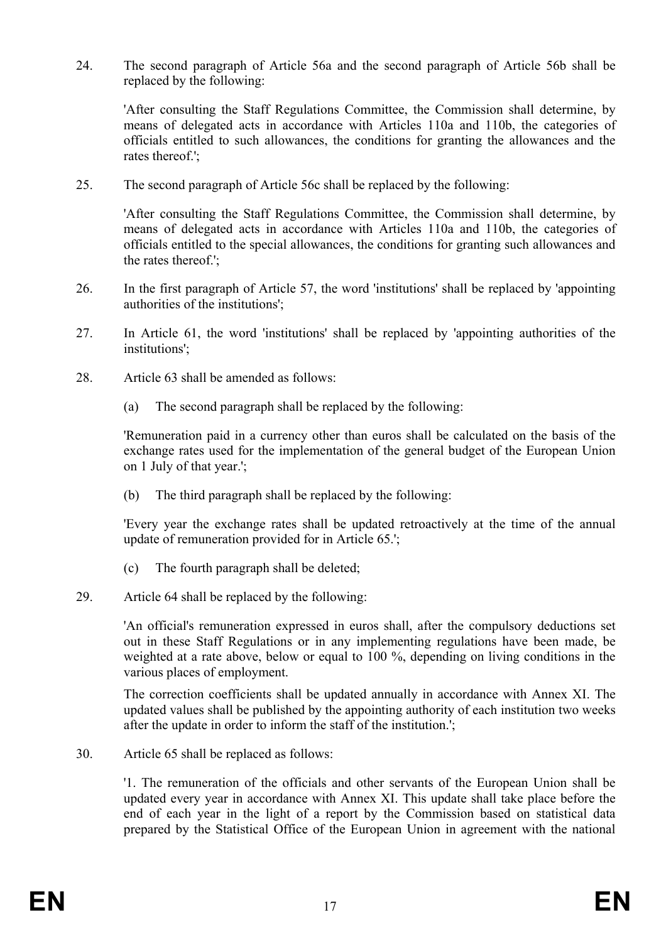24. The second paragraph of Article 56a and the second paragraph of Article 56b shall be replaced by the following:

'After consulting the Staff Regulations Committee, the Commission shall determine, by means of delegated acts in accordance with Articles 110a and 110b, the categories of officials entitled to such allowances, the conditions for granting the allowances and the rates thereof.';

25. The second paragraph of Article 56c shall be replaced by the following:

'After consulting the Staff Regulations Committee, the Commission shall determine, by means of delegated acts in accordance with Articles 110a and 110b, the categories of officials entitled to the special allowances, the conditions for granting such allowances and the rates thereof.';

- 26. In the first paragraph of Article 57, the word 'institutions' shall be replaced by 'appointing authorities of the institutions';
- 27. In Article 61, the word 'institutions' shall be replaced by 'appointing authorities of the institutions';
- 28. Article 63 shall be amended as follows:
	- (a) The second paragraph shall be replaced by the following:

'Remuneration paid in a currency other than euros shall be calculated on the basis of the exchange rates used for the implementation of the general budget of the European Union on 1 July of that year.';

(b) The third paragraph shall be replaced by the following:

'Every year the exchange rates shall be updated retroactively at the time of the annual update of remuneration provided for in Article 65.';

- (c) The fourth paragraph shall be deleted;
- 29. Article 64 shall be replaced by the following:

'An official's remuneration expressed in euros shall, after the compulsory deductions set out in these Staff Regulations or in any implementing regulations have been made, be weighted at a rate above, below or equal to 100 %, depending on living conditions in the various places of employment.

The correction coefficients shall be updated annually in accordance with Annex XI. The updated values shall be published by the appointing authority of each institution two weeks after the update in order to inform the staff of the institution.';

30. Article 65 shall be replaced as follows:

'1. The remuneration of the officials and other servants of the European Union shall be updated every year in accordance with Annex XI. This update shall take place before the end of each year in the light of a report by the Commission based on statistical data prepared by the Statistical Office of the European Union in agreement with the national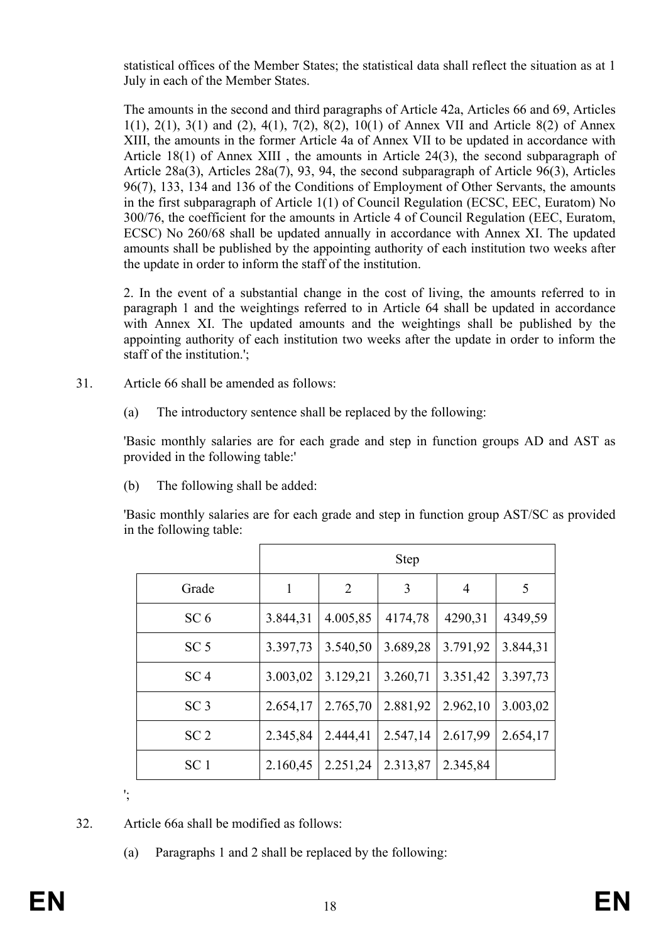statistical offices of the Member States; the statistical data shall reflect the situation as at 1 July in each of the Member States.

The amounts in the second and third paragraphs of Article 42a, Articles 66 and 69, Articles 1(1), 2(1), 3(1) and (2), 4(1), 7(2), 8(2), 10(1) of Annex VII and Article 8(2) of Annex XIII, the amounts in the former Article 4a of Annex VII to be updated in accordance with Article 18(1) of Annex XIII , the amounts in Article 24(3), the second subparagraph of Article 28a(3), Articles 28a(7), 93, 94, the second subparagraph of Article 96(3), Articles 96(7), 133, 134 and 136 of the Conditions of Employment of Other Servants, the amounts in the first subparagraph of Article 1(1) of Council Regulation (ECSC, EEC, Euratom) No 300/76, the coefficient for the amounts in Article 4 of Council Regulation (EEC, Euratom, ECSC) No 260/68 shall be updated annually in accordance with Annex XI. The updated amounts shall be published by the appointing authority of each institution two weeks after the update in order to inform the staff of the institution.

2. In the event of a substantial change in the cost of living, the amounts referred to in paragraph 1 and the weightings referred to in Article 64 shall be updated in accordance with Annex XI. The updated amounts and the weightings shall be published by the appointing authority of each institution two weeks after the update in order to inform the staff of the institution.';

- 31. Article 66 shall be amended as follows:
	- (a) The introductory sentence shall be replaced by the following:

'Basic monthly salaries are for each grade and step in function groups AD and AST as provided in the following table:'

(b) The following shall be added:

'Basic monthly salaries are for each grade and step in function group AST/SC as provided in the following table:

|                 | <b>Step</b> |                |          |                |          |
|-----------------|-------------|----------------|----------|----------------|----------|
| Grade           | 1           | $\overline{2}$ | 3        | $\overline{4}$ | 5        |
| SC <sub>6</sub> | 3.844,31    | 4.005,85       | 4174,78  | 4290,31        | 4349,59  |
| SC <sub>5</sub> | 3.397,73    | 3.540,50       | 3.689,28 | 3.791,92       | 3.844,31 |
| SC <sub>4</sub> | 3.003,02    | 3.129,21       | 3.260,71 | 3.351,42       | 3.397,73 |
| SC <sub>3</sub> | 2.654,17    | 2.765,70       | 2.881,92 | 2.962,10       | 3.003,02 |
| SC <sub>2</sub> | 2.345,84    | 2.444,41       | 2.547,14 | 2.617,99       | 2.654,17 |
| SC <sub>1</sub> | 2.160,45    | 2.251,24       | 2.313,87 | 2.345,84       |          |

';

32. Article 66a shall be modified as follows:

(a) Paragraphs 1 and 2 shall be replaced by the following: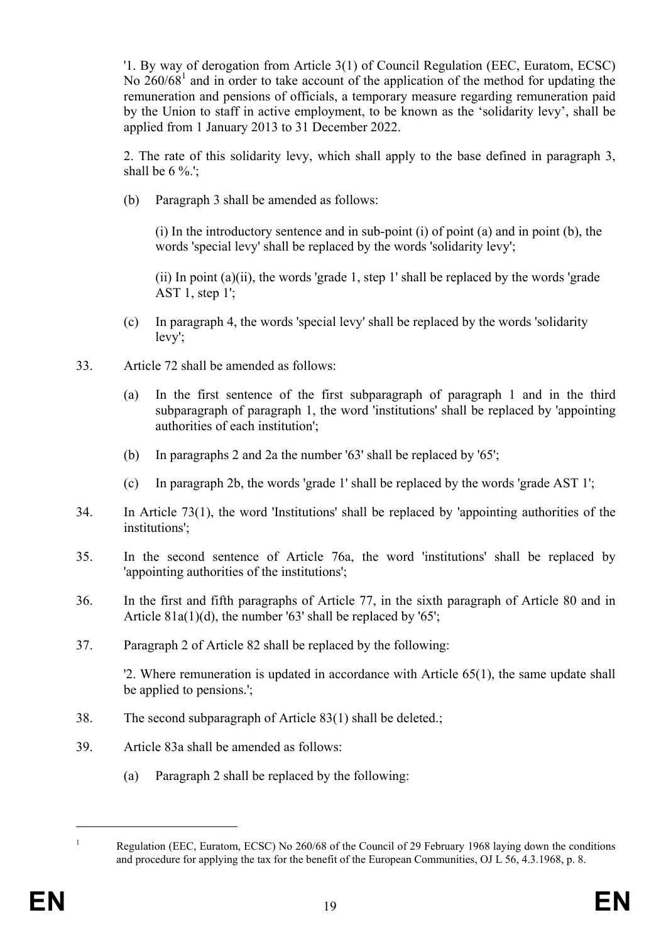'1. By way of derogation from Article 3(1) of Council Regulation (EEC, Euratom, ECSC) No  $260/68<sup>1</sup>$  and in order to take account of the application of the method for updating the remuneration and pensions of officials, a temporary measure regarding remuneration paid by the Union to staff in active employment, to be known as the 'solidarity levy', shall be applied from 1 January 2013 to 31 December 2022.

2. The rate of this solidarity levy, which shall apply to the base defined in paragraph 3, shall be  $6\%$ .

(b) Paragraph 3 shall be amended as follows:

(i) In the introductory sentence and in sub-point (i) of point (a) and in point (b), the words 'special levy' shall be replaced by the words 'solidarity levy';

(ii) In point  $(a)(ii)$ , the words 'grade 1, step 1' shall be replaced by the words 'grade' AST 1, step  $1$ :

- (c) In paragraph 4, the words 'special levy' shall be replaced by the words 'solidarity levy';
- 33. Article 72 shall be amended as follows:
	- (a) In the first sentence of the first subparagraph of paragraph 1 and in the third subparagraph of paragraph 1, the word 'institutions' shall be replaced by 'appointing authorities of each institution';
	- (b) In paragraphs 2 and 2a the number '63' shall be replaced by '65';
	- (c) In paragraph 2b, the words 'grade 1' shall be replaced by the words 'grade AST 1';
- 34. In Article 73(1), the word 'Institutions' shall be replaced by 'appointing authorities of the institutions';
- 35. In the second sentence of Article 76a, the word 'institutions' shall be replaced by 'appointing authorities of the institutions';
- 36. In the first and fifth paragraphs of Article 77, in the sixth paragraph of Article 80 and in Article  $81a(1)(d)$ , the number '63' shall be replaced by '65';
- 37. Paragraph 2 of Article 82 shall be replaced by the following:

'2. Where remuneration is updated in accordance with Article 65(1), the same update shall be applied to pensions.';

- 38. The second subparagraph of Article 83(1) shall be deleted.;
- 39. Article 83a shall be amended as follows:
	- (a) Paragraph 2 shall be replaced by the following:

 $\overline{a}$ 

<sup>1</sup> Regulation (EEC, Euratom, ECSC) No 260/68 of the Council of 29 February 1968 laying down the conditions and procedure for applying the tax for the benefit of the European Communities, OJ L 56, 4.3.1968, p. 8.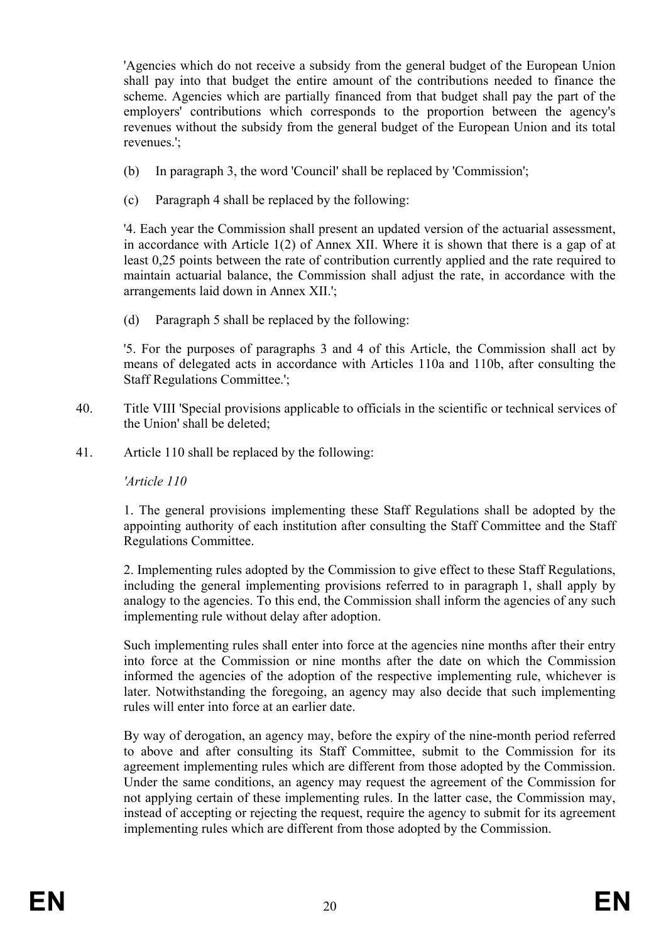'Agencies which do not receive a subsidy from the general budget of the European Union shall pay into that budget the entire amount of the contributions needed to finance the scheme. Agencies which are partially financed from that budget shall pay the part of the employers' contributions which corresponds to the proportion between the agency's revenues without the subsidy from the general budget of the European Union and its total revenues.';

- (b) In paragraph 3, the word 'Council' shall be replaced by 'Commission';
- (c) Paragraph 4 shall be replaced by the following:

'4. Each year the Commission shall present an updated version of the actuarial assessment, in accordance with Article 1(2) of Annex XII. Where it is shown that there is a gap of at least 0,25 points between the rate of contribution currently applied and the rate required to maintain actuarial balance, the Commission shall adjust the rate, in accordance with the arrangements laid down in Annex XII.';

(d) Paragraph 5 shall be replaced by the following:

'5. For the purposes of paragraphs 3 and 4 of this Article, the Commission shall act by means of delegated acts in accordance with Articles 110a and 110b, after consulting the Staff Regulations Committee.';

- 40. Title VIII 'Special provisions applicable to officials in the scientific or technical services of the Union' shall be deleted;
- 41. Article 110 shall be replaced by the following:

*'Article 110* 

1. The general provisions implementing these Staff Regulations shall be adopted by the appointing authority of each institution after consulting the Staff Committee and the Staff Regulations Committee.

2. Implementing rules adopted by the Commission to give effect to these Staff Regulations, including the general implementing provisions referred to in paragraph 1, shall apply by analogy to the agencies. To this end, the Commission shall inform the agencies of any such implementing rule without delay after adoption.

Such implementing rules shall enter into force at the agencies nine months after their entry into force at the Commission or nine months after the date on which the Commission informed the agencies of the adoption of the respective implementing rule, whichever is later. Notwithstanding the foregoing, an agency may also decide that such implementing rules will enter into force at an earlier date.

By way of derogation, an agency may, before the expiry of the nine-month period referred to above and after consulting its Staff Committee, submit to the Commission for its agreement implementing rules which are different from those adopted by the Commission. Under the same conditions, an agency may request the agreement of the Commission for not applying certain of these implementing rules. In the latter case, the Commission may, instead of accepting or rejecting the request, require the agency to submit for its agreement implementing rules which are different from those adopted by the Commission.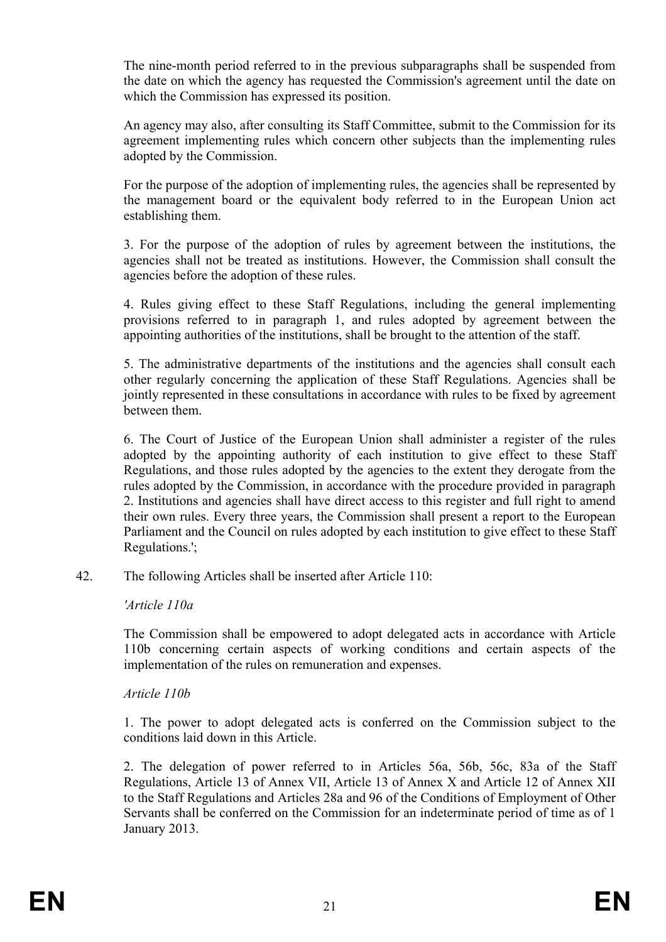The nine-month period referred to in the previous subparagraphs shall be suspended from the date on which the agency has requested the Commission's agreement until the date on which the Commission has expressed its position.

An agency may also, after consulting its Staff Committee, submit to the Commission for its agreement implementing rules which concern other subjects than the implementing rules adopted by the Commission.

For the purpose of the adoption of implementing rules, the agencies shall be represented by the management board or the equivalent body referred to in the European Union act establishing them.

3. For the purpose of the adoption of rules by agreement between the institutions, the agencies shall not be treated as institutions. However, the Commission shall consult the agencies before the adoption of these rules.

4. Rules giving effect to these Staff Regulations, including the general implementing provisions referred to in paragraph 1, and rules adopted by agreement between the appointing authorities of the institutions, shall be brought to the attention of the staff.

5. The administrative departments of the institutions and the agencies shall consult each other regularly concerning the application of these Staff Regulations. Agencies shall be jointly represented in these consultations in accordance with rules to be fixed by agreement between them.

6. The Court of Justice of the European Union shall administer a register of the rules adopted by the appointing authority of each institution to give effect to these Staff Regulations, and those rules adopted by the agencies to the extent they derogate from the rules adopted by the Commission, in accordance with the procedure provided in paragraph 2. Institutions and agencies shall have direct access to this register and full right to amend their own rules. Every three years, the Commission shall present a report to the European Parliament and the Council on rules adopted by each institution to give effect to these Staff Regulations.';

42. The following Articles shall be inserted after Article 110:

#### *'Article 110a*

The Commission shall be empowered to adopt delegated acts in accordance with Article 110b concerning certain aspects of working conditions and certain aspects of the implementation of the rules on remuneration and expenses.

#### *Article 110b*

1. The power to adopt delegated acts is conferred on the Commission subject to the conditions laid down in this Article.

2. The delegation of power referred to in Articles 56a, 56b, 56c, 83a of the Staff Regulations, Article 13 of Annex VII, Article 13 of Annex X and Article 12 of Annex XII to the Staff Regulations and Articles 28a and 96 of the Conditions of Employment of Other Servants shall be conferred on the Commission for an indeterminate period of time as of 1 January 2013.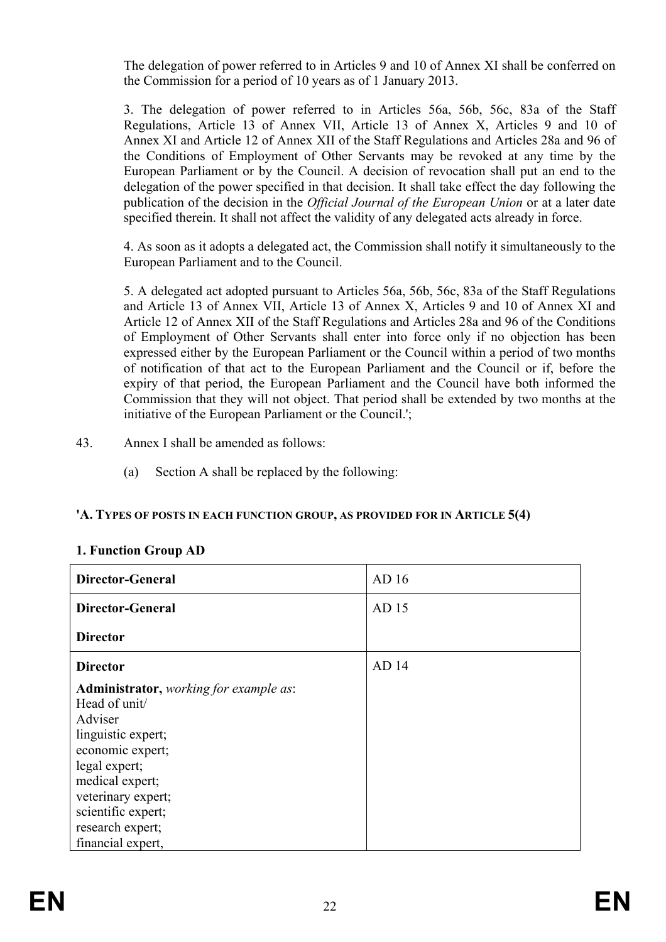The delegation of power referred to in Articles 9 and 10 of Annex XI shall be conferred on the Commission for a period of 10 years as of 1 January 2013.

3. The delegation of power referred to in Articles 56a, 56b, 56c, 83a of the Staff Regulations, Article 13 of Annex VII, Article 13 of Annex X, Articles 9 and 10 of Annex XI and Article 12 of Annex XII of the Staff Regulations and Articles 28a and 96 of the Conditions of Employment of Other Servants may be revoked at any time by the European Parliament or by the Council. A decision of revocation shall put an end to the delegation of the power specified in that decision. It shall take effect the day following the publication of the decision in the *Official Journal of the European Union* or at a later date specified therein. It shall not affect the validity of any delegated acts already in force.

4. As soon as it adopts a delegated act, the Commission shall notify it simultaneously to the European Parliament and to the Council.

5. A delegated act adopted pursuant to Articles 56a, 56b, 56c, 83a of the Staff Regulations and Article 13 of Annex VII, Article 13 of Annex X, Articles 9 and 10 of Annex XI and Article 12 of Annex XII of the Staff Regulations and Articles 28a and 96 of the Conditions of Employment of Other Servants shall enter into force only if no objection has been expressed either by the European Parliament or the Council within a period of two months of notification of that act to the European Parliament and the Council or if, before the expiry of that period, the European Parliament and the Council have both informed the Commission that they will not object. That period shall be extended by two months at the initiative of the European Parliament or the Council.';

- 43. Annex I shall be amended as follows:
	- (a) Section A shall be replaced by the following:

#### **'A. TYPES OF POSTS IN EACH FUNCTION GROUP, AS PROVIDED FOR IN ARTICLE 5(4)**

|  | 1. Function Group AD |  |
|--|----------------------|--|
|  |                      |  |

| <b>Director-General</b>                                                                                                                                                                                                                      | AD <sub>16</sub> |
|----------------------------------------------------------------------------------------------------------------------------------------------------------------------------------------------------------------------------------------------|------------------|
| <b>Director-General</b>                                                                                                                                                                                                                      | AD 15            |
| <b>Director</b>                                                                                                                                                                                                                              |                  |
| <b>Director</b>                                                                                                                                                                                                                              | AD <sub>14</sub> |
| <b>Administrator,</b> working for example as:<br>Head of unit/<br>Adviser<br>linguistic expert;<br>economic expert;<br>legal expert;<br>medical expert;<br>veterinary expert;<br>scientific expert;<br>research expert;<br>financial expert, |                  |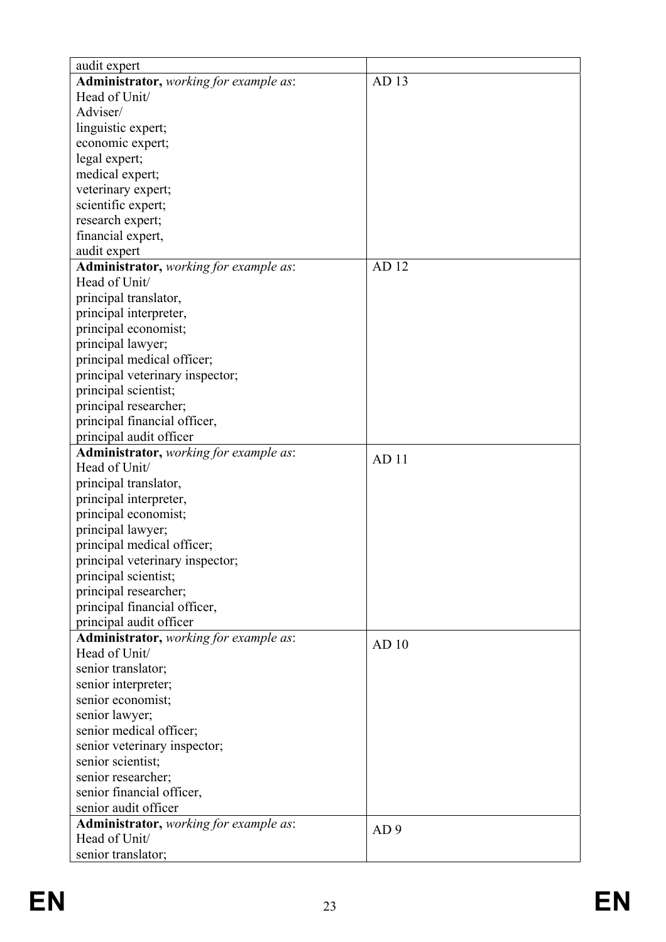| audit expert                           |                  |
|----------------------------------------|------------------|
| Administrator, working for example as: | AD 13            |
| Head of Unit/                          |                  |
| Adviser/                               |                  |
| linguistic expert;                     |                  |
| economic expert;                       |                  |
| legal expert;                          |                  |
| medical expert;                        |                  |
| veterinary expert;                     |                  |
| scientific expert;                     |                  |
| research expert;                       |                  |
| financial expert,                      |                  |
| audit expert                           |                  |
| Administrator, working for example as: | AD 12            |
| Head of Unit/                          |                  |
| principal translator,                  |                  |
| principal interpreter,                 |                  |
| principal economist;                   |                  |
| principal lawyer;                      |                  |
| principal medical officer;             |                  |
| principal veterinary inspector;        |                  |
| principal scientist;                   |                  |
| principal researcher;                  |                  |
| principal financial officer,           |                  |
| principal audit officer                |                  |
| Administrator, working for example as: |                  |
| Head of Unit/                          | AD <sub>11</sub> |
| principal translator,                  |                  |
| principal interpreter,                 |                  |
| principal economist;                   |                  |
| principal lawyer;                      |                  |
| principal medical officer;             |                  |
| principal veterinary inspector;        |                  |
| principal scientist;                   |                  |
| principal researcher;                  |                  |
| principal financial officer,           |                  |
| principal audit officer                |                  |
| Administrator, working for example as: |                  |
| Head of Unit/                          | AD <sub>10</sub> |
| senior translator;                     |                  |
| senior interpreter;                    |                  |
| senior economist;                      |                  |
| senior lawyer;                         |                  |
| senior medical officer;                |                  |
| senior veterinary inspector;           |                  |
| senior scientist;                      |                  |
| senior researcher;                     |                  |
| senior financial officer,              |                  |
| senior audit officer                   |                  |
| Administrator, working for example as: |                  |
| Head of Unit/                          | AD <sub>9</sub>  |
| senior translator;                     |                  |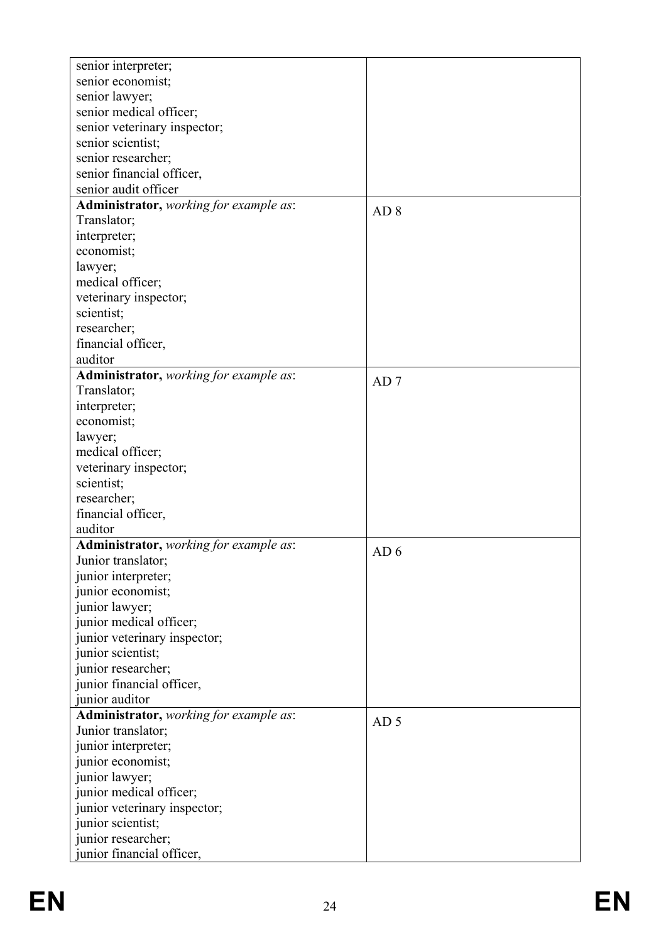| senior interpreter;                           |                 |
|-----------------------------------------------|-----------------|
| senior economist;                             |                 |
| senior lawyer;<br>senior medical officer;     |                 |
|                                               |                 |
| senior veterinary inspector;                  |                 |
| senior scientist;                             |                 |
| senior researcher;                            |                 |
| senior financial officer,                     |                 |
| senior audit officer                          |                 |
| Administrator, working for example as:        | AD <sub>8</sub> |
| Translator;                                   |                 |
| interpreter;                                  |                 |
| economist;                                    |                 |
| lawyer;                                       |                 |
| medical officer;                              |                 |
| veterinary inspector;                         |                 |
| scientist;                                    |                 |
| researcher;                                   |                 |
| financial officer,                            |                 |
| auditor                                       |                 |
| Administrator, working for example as:        | AD7             |
| Translator;                                   |                 |
| interpreter;                                  |                 |
| economist;                                    |                 |
| lawyer;                                       |                 |
| medical officer;                              |                 |
| veterinary inspector;                         |                 |
| scientist;                                    |                 |
| researcher;                                   |                 |
| financial officer,                            |                 |
| auditor                                       |                 |
| <b>Administrator,</b> working for example as: |                 |
| Junior translator;                            | AD <sub>6</sub> |
| junior interpreter;                           |                 |
| junior economist;                             |                 |
| junior lawyer;                                |                 |
| junior medical officer;                       |                 |
| junior veterinary inspector;                  |                 |
| junior scientist;                             |                 |
| junior researcher;                            |                 |
| junior financial officer,                     |                 |
| junior auditor                                |                 |
| Administrator, working for example as:        |                 |
| Junior translator;                            | AD <sub>5</sub> |
| junior interpreter;                           |                 |
| junior economist;                             |                 |
|                                               |                 |
| junior lawyer;                                |                 |
| junior medical officer;                       |                 |
| junior veterinary inspector;                  |                 |
| junior scientist;                             |                 |
| junior researcher;                            |                 |
| junior financial officer,                     |                 |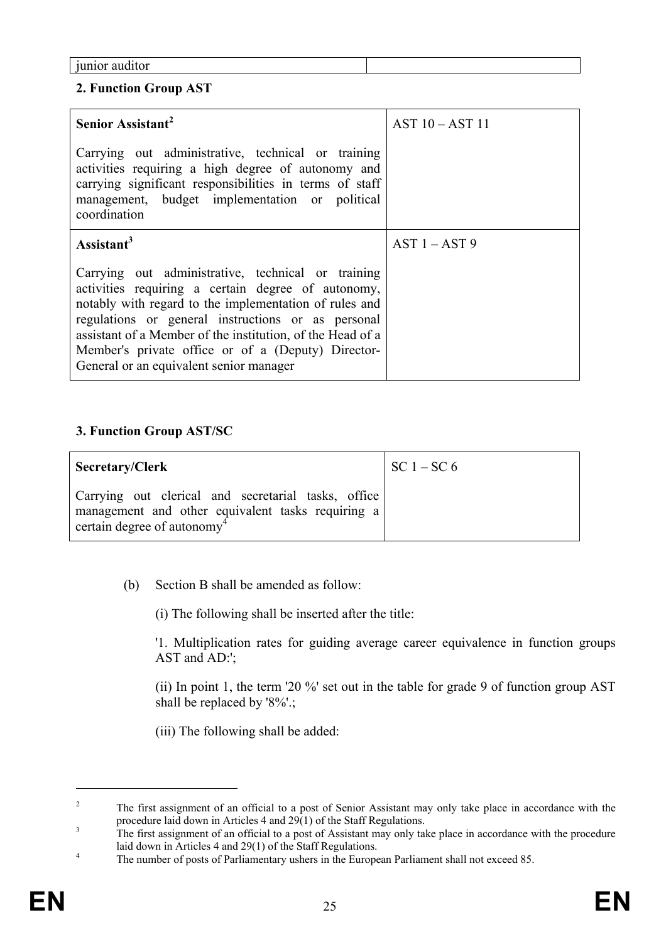|  | <i>junior</i> auditor |
|--|-----------------------|

## **2. Function Group AST**

| Senior Assistant <sup>2</sup>                                                                                                                                                                                                                                                                                                                                                           | $AST 10 - AST 11$ |
|-----------------------------------------------------------------------------------------------------------------------------------------------------------------------------------------------------------------------------------------------------------------------------------------------------------------------------------------------------------------------------------------|-------------------|
| Carrying out administrative, technical or training<br>activities requiring a high degree of autonomy and<br>carrying significant responsibilities in terms of staff<br>management, budget implementation or political<br>coordination                                                                                                                                                   |                   |
| Assistant <sup>3</sup>                                                                                                                                                                                                                                                                                                                                                                  | $AST 1 - AST 9$   |
| Carrying out administrative, technical or training<br>activities requiring a certain degree of autonomy,<br>notably with regard to the implementation of rules and<br>regulations or general instructions or as personal<br>assistant of a Member of the institution, of the Head of a<br>Member's private office or of a (Deputy) Director-<br>General or an equivalent senior manager |                   |

# **3. Function Group AST/SC**

| Secretary/Clerk                                                                                                                                     | $\vert$ SC 1 – SC 6 |
|-----------------------------------------------------------------------------------------------------------------------------------------------------|---------------------|
| Carrying out clerical and secretarial tasks, office<br>management and other equivalent tasks requiring a<br>certain degree of autonomy <sup>4</sup> |                     |

(b) Section B shall be amended as follow:

(i) The following shall be inserted after the title:

'1. Multiplication rates for guiding average career equivalence in function groups AST and AD:';

(ii) In point 1, the term '20 %' set out in the table for grade 9 of function group AST shall be replaced by '8%'.;

(iii) The following shall be added:

 $\overline{a}$ 

<sup>2</sup> The first assignment of an official to a post of Senior Assistant may only take place in accordance with the procedure laid down in Articles 4 and 29(1) of the Staff Regulations.

The first assignment of an official to a post of Assistant may only take place in accordance with the procedure laid down in Articles  $4$  and  $29(1)$  of the Staff Regulations.

The number of posts of Parliamentary ushers in the European Parliament shall not exceed 85.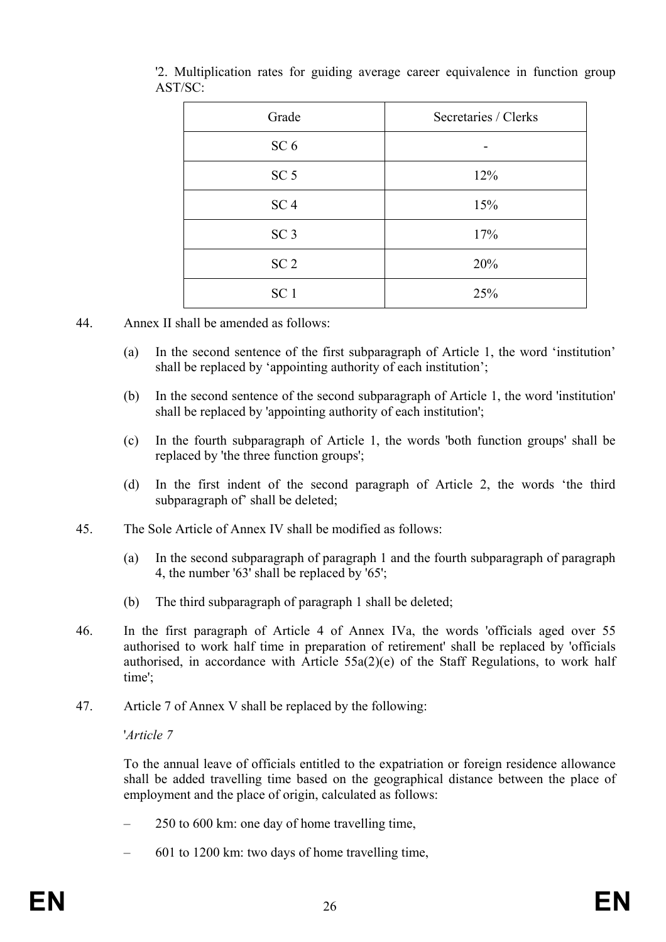| Grade           | Secretaries / Clerks |
|-----------------|----------------------|
| SC <sub>6</sub> | -                    |
| SC <sub>5</sub> | 12%                  |
| SC <sub>4</sub> | 15%                  |
| SC <sub>3</sub> | 17%                  |
| SC <sub>2</sub> | 20%                  |
| SC <sub>1</sub> | 25%                  |

'2. Multiplication rates for guiding average career equivalence in function group AST/SC:

- 44. Annex II shall be amended as follows:
	- (a) In the second sentence of the first subparagraph of Article 1, the word 'institution' shall be replaced by 'appointing authority of each institution';
	- (b) In the second sentence of the second subparagraph of Article 1, the word 'institution' shall be replaced by 'appointing authority of each institution';
	- (c) In the fourth subparagraph of Article 1, the words 'both function groups' shall be replaced by 'the three function groups';
	- (d) In the first indent of the second paragraph of Article 2, the words 'the third subparagraph of' shall be deleted;
- 45. The Sole Article of Annex IV shall be modified as follows:
	- (a) In the second subparagraph of paragraph 1 and the fourth subparagraph of paragraph 4, the number '63' shall be replaced by '65';
	- (b) The third subparagraph of paragraph 1 shall be deleted;
- 46. In the first paragraph of Article 4 of Annex IVa, the words 'officials aged over 55 authorised to work half time in preparation of retirement' shall be replaced by 'officials authorised, in accordance with Article 55a(2)(e) of the Staff Regulations, to work half time';
- 47. Article 7 of Annex V shall be replaced by the following:

#### '*Article 7*

To the annual leave of officials entitled to the expatriation or foreign residence allowance shall be added travelling time based on the geographical distance between the place of employment and the place of origin, calculated as follows:

- 250 to 600 km: one day of home travelling time,
- 601 to 1200 km: two days of home travelling time,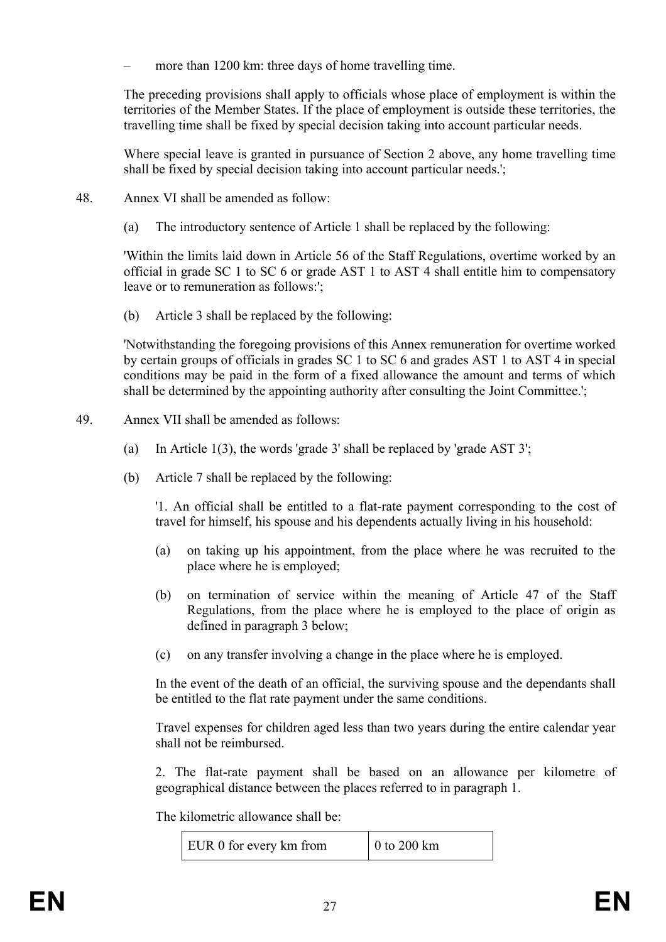more than 1200 km: three days of home travelling time.

The preceding provisions shall apply to officials whose place of employment is within the territories of the Member States. If the place of employment is outside these territories, the travelling time shall be fixed by special decision taking into account particular needs.

Where special leave is granted in pursuance of Section 2 above, any home travelling time shall be fixed by special decision taking into account particular needs.';

- 48. Annex VI shall be amended as follow:
	- (a) The introductory sentence of Article 1 shall be replaced by the following:

'Within the limits laid down in Article 56 of the Staff Regulations, overtime worked by an official in grade SC 1 to SC 6 or grade AST 1 to AST 4 shall entitle him to compensatory leave or to remuneration as follows:';

(b) Article 3 shall be replaced by the following:

'Notwithstanding the foregoing provisions of this Annex remuneration for overtime worked by certain groups of officials in grades SC 1 to SC 6 and grades AST 1 to AST 4 in special conditions may be paid in the form of a fixed allowance the amount and terms of which shall be determined by the appointing authority after consulting the Joint Committee.';

- 49. Annex VII shall be amended as follows:
	- (a) In Article 1(3), the words 'grade 3' shall be replaced by 'grade AST 3';
	- (b) Article 7 shall be replaced by the following:

'1. An official shall be entitled to a flat-rate payment corresponding to the cost of travel for himself, his spouse and his dependents actually living in his household:

- (a) on taking up his appointment, from the place where he was recruited to the place where he is employed;
- (b) on termination of service within the meaning of Article 47 of the Staff Regulations, from the place where he is employed to the place of origin as defined in paragraph 3 below;
- (c) on any transfer involving a change in the place where he is employed.

In the event of the death of an official, the surviving spouse and the dependants shall be entitled to the flat rate payment under the same conditions.

Travel expenses for children aged less than two years during the entire calendar year shall not be reimbursed.

2. The flat-rate payment shall be based on an allowance per kilometre of geographical distance between the places referred to in paragraph 1.

The kilometric allowance shall be:

EUR 0 for every km from  $\vert$  0 to 200 km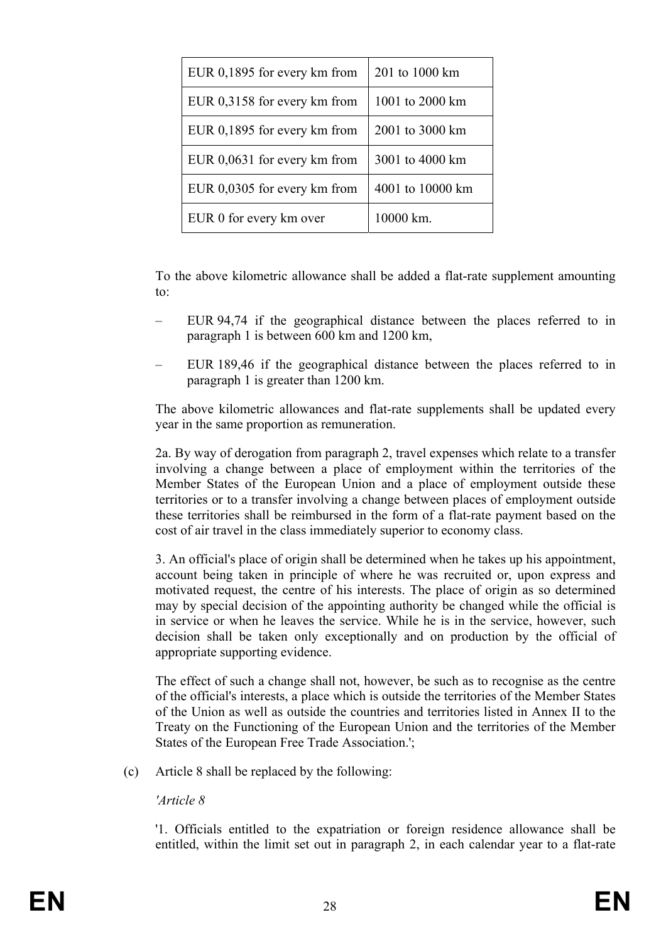| EUR 0,1895 for every km from | 201 to 1000 km   |
|------------------------------|------------------|
| EUR 0,3158 for every km from | 1001 to 2000 km  |
| EUR 0,1895 for every km from | 2001 to 3000 km  |
| EUR 0,0631 for every km from | 3001 to 4000 km  |
| EUR 0,0305 for every km from | 4001 to 10000 km |
| EUR 0 for every km over      | 10000 km.        |

To the above kilometric allowance shall be added a flat-rate supplement amounting to:

- EUR 94,74 if the geographical distance between the places referred to in paragraph 1 is between 600 km and 1200 km,
- EUR 189,46 if the geographical distance between the places referred to in paragraph 1 is greater than 1200 km.

The above kilometric allowances and flat-rate supplements shall be updated every year in the same proportion as remuneration.

2a. By way of derogation from paragraph 2, travel expenses which relate to a transfer involving a change between a place of employment within the territories of the Member States of the European Union and a place of employment outside these territories or to a transfer involving a change between places of employment outside these territories shall be reimbursed in the form of a flat-rate payment based on the cost of air travel in the class immediately superior to economy class.

3. An official's place of origin shall be determined when he takes up his appointment, account being taken in principle of where he was recruited or, upon express and motivated request, the centre of his interests. The place of origin as so determined may by special decision of the appointing authority be changed while the official is in service or when he leaves the service. While he is in the service, however, such decision shall be taken only exceptionally and on production by the official of appropriate supporting evidence.

The effect of such a change shall not, however, be such as to recognise as the centre of the official's interests, a place which is outside the territories of the Member States of the Union as well as outside the countries and territories listed in Annex II to the Treaty on the Functioning of the European Union and the territories of the Member States of the European Free Trade Association.';

(c) Article 8 shall be replaced by the following:

#### *'Article 8*

'1. Officials entitled to the expatriation or foreign residence allowance shall be entitled, within the limit set out in paragraph 2, in each calendar year to a flat-rate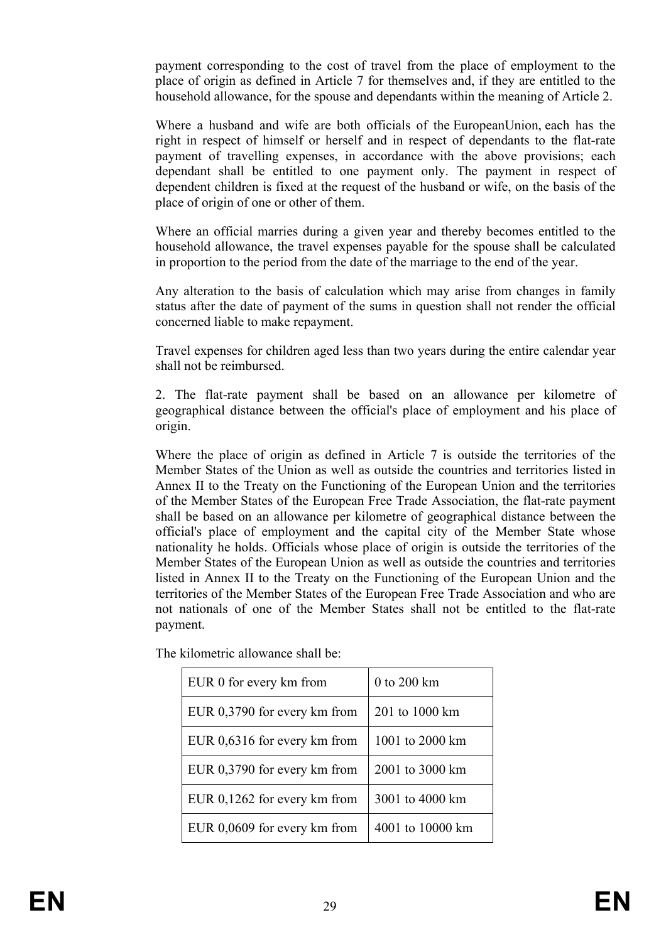payment corresponding to the cost of travel from the place of employment to the place of origin as defined in Article 7 for themselves and, if they are entitled to the household allowance, for the spouse and dependants within the meaning of Article 2.

Where a husband and wife are both officials of the EuropeanUnion, each has the right in respect of himself or herself and in respect of dependants to the flat-rate payment of travelling expenses, in accordance with the above provisions; each dependant shall be entitled to one payment only. The payment in respect of dependent children is fixed at the request of the husband or wife, on the basis of the place of origin of one or other of them.

Where an official marries during a given year and thereby becomes entitled to the household allowance, the travel expenses payable for the spouse shall be calculated in proportion to the period from the date of the marriage to the end of the year.

Any alteration to the basis of calculation which may arise from changes in family status after the date of payment of the sums in question shall not render the official concerned liable to make repayment.

Travel expenses for children aged less than two years during the entire calendar year shall not be reimbursed.

2. The flat-rate payment shall be based on an allowance per kilometre of geographical distance between the official's place of employment and his place of origin.

Where the place of origin as defined in Article 7 is outside the territories of the Member States of the Union as well as outside the countries and territories listed in Annex II to the Treaty on the Functioning of the European Union and the territories of the Member States of the European Free Trade Association, the flat-rate payment shall be based on an allowance per kilometre of geographical distance between the official's place of employment and the capital city of the Member State whose nationality he holds. Officials whose place of origin is outside the territories of the Member States of the European Union as well as outside the countries and territories listed in Annex II to the Treaty on the Functioning of the European Union and the territories of the Member States of the European Free Trade Association and who are not nationals of one of the Member States shall not be entitled to the flat-rate payment.

| EUR 0 for every km from        | 0 to 200 km      |
|--------------------------------|------------------|
| EUR 0,3790 for every km from   | 201 to 1000 km   |
| EUR 0,6316 for every km from   | 1001 to 2000 km  |
| EUR 0,3790 for every km from   | 2001 to 3000 km  |
| EUR $0,1262$ for every km from | 3001 to 4000 km  |
| EUR 0,0609 for every km from   | 4001 to 10000 km |

The kilometric allowance shall be: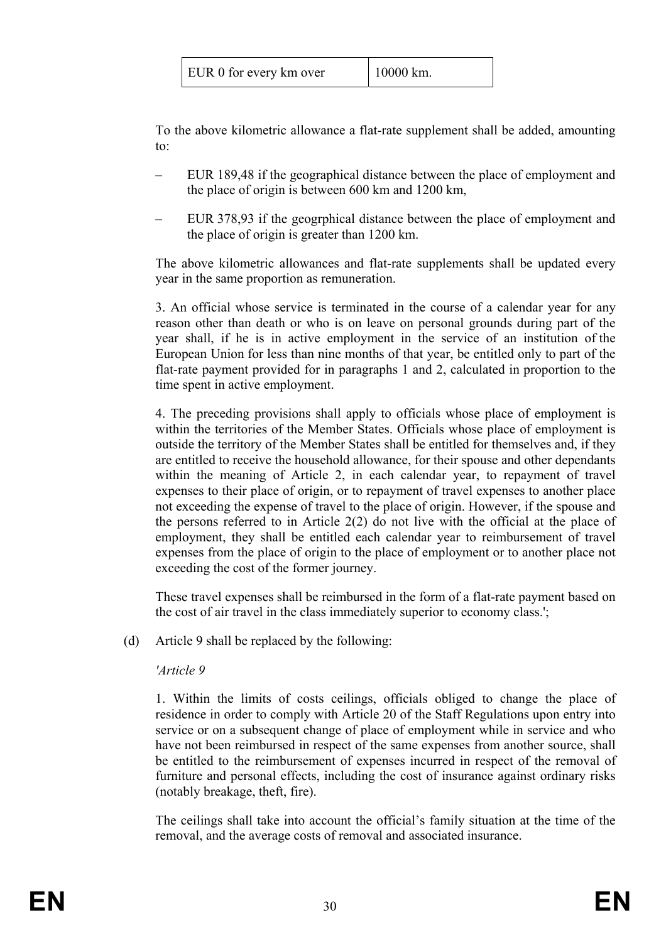| EUR 0 for every km over | $10000$ km. |
|-------------------------|-------------|
|-------------------------|-------------|

To the above kilometric allowance a flat-rate supplement shall be added, amounting to:

- EUR 189,48 if the geographical distance between the place of employment and the place of origin is between 600 km and 1200 km,
- EUR 378,93 if the geogrphical distance between the place of employment and the place of origin is greater than 1200 km.

The above kilometric allowances and flat-rate supplements shall be updated every year in the same proportion as remuneration.

3. An official whose service is terminated in the course of a calendar year for any reason other than death or who is on leave on personal grounds during part of the year shall, if he is in active employment in the service of an institution of the European Union for less than nine months of that year, be entitled only to part of the flat-rate payment provided for in paragraphs 1 and 2, calculated in proportion to the time spent in active employment.

4. The preceding provisions shall apply to officials whose place of employment is within the territories of the Member States. Officials whose place of employment is outside the territory of the Member States shall be entitled for themselves and, if they are entitled to receive the household allowance, for their spouse and other dependants within the meaning of Article 2, in each calendar year, to repayment of travel expenses to their place of origin, or to repayment of travel expenses to another place not exceeding the expense of travel to the place of origin. However, if the spouse and the persons referred to in Article 2(2) do not live with the official at the place of employment, they shall be entitled each calendar year to reimbursement of travel expenses from the place of origin to the place of employment or to another place not exceeding the cost of the former journey.

These travel expenses shall be reimbursed in the form of a flat-rate payment based on the cost of air travel in the class immediately superior to economy class.';

(d) Article 9 shall be replaced by the following:

#### *'Article 9*

1. Within the limits of costs ceilings, officials obliged to change the place of residence in order to comply with Article 20 of the Staff Regulations upon entry into service or on a subsequent change of place of employment while in service and who have not been reimbursed in respect of the same expenses from another source, shall be entitled to the reimbursement of expenses incurred in respect of the removal of furniture and personal effects, including the cost of insurance against ordinary risks (notably breakage, theft, fire).

The ceilings shall take into account the official's family situation at the time of the removal, and the average costs of removal and associated insurance.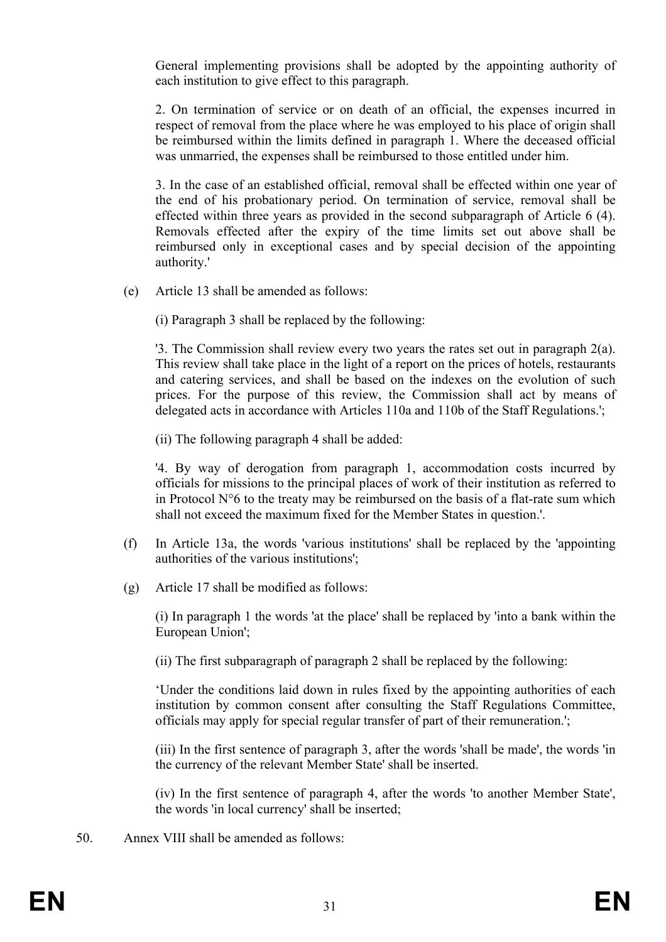General implementing provisions shall be adopted by the appointing authority of each institution to give effect to this paragraph.

2. On termination of service or on death of an official, the expenses incurred in respect of removal from the place where he was employed to his place of origin shall be reimbursed within the limits defined in paragraph 1. Where the deceased official was unmarried, the expenses shall be reimbursed to those entitled under him.

3. In the case of an established official, removal shall be effected within one year of the end of his probationary period. On termination of service, removal shall be effected within three years as provided in the second subparagraph of Article 6 (4). Removals effected after the expiry of the time limits set out above shall be reimbursed only in exceptional cases and by special decision of the appointing authority.'

(e) Article 13 shall be amended as follows:

(i) Paragraph 3 shall be replaced by the following:

'3. The Commission shall review every two years the rates set out in paragraph 2(a). This review shall take place in the light of a report on the prices of hotels, restaurants and catering services, and shall be based on the indexes on the evolution of such prices. For the purpose of this review, the Commission shall act by means of delegated acts in accordance with Articles 110a and 110b of the Staff Regulations.';

(ii) The following paragraph 4 shall be added:

'4. By way of derogation from paragraph 1, accommodation costs incurred by officials for missions to the principal places of work of their institution as referred to in Protocol N°6 to the treaty may be reimbursed on the basis of a flat-rate sum which shall not exceed the maximum fixed for the Member States in question.'.

- (f) In Article 13a, the words 'various institutions' shall be replaced by the 'appointing authorities of the various institutions';
- (g) Article 17 shall be modified as follows:

(i) In paragraph 1 the words 'at the place' shall be replaced by 'into a bank within the European Union';

(ii) The first subparagraph of paragraph 2 shall be replaced by the following:

'Under the conditions laid down in rules fixed by the appointing authorities of each institution by common consent after consulting the Staff Regulations Committee, officials may apply for special regular transfer of part of their remuneration.';

(iii) In the first sentence of paragraph 3, after the words 'shall be made', the words 'in the currency of the relevant Member State' shall be inserted.

(iv) In the first sentence of paragraph 4, after the words 'to another Member State', the words 'in local currency' shall be inserted;

50. Annex VIII shall be amended as follows: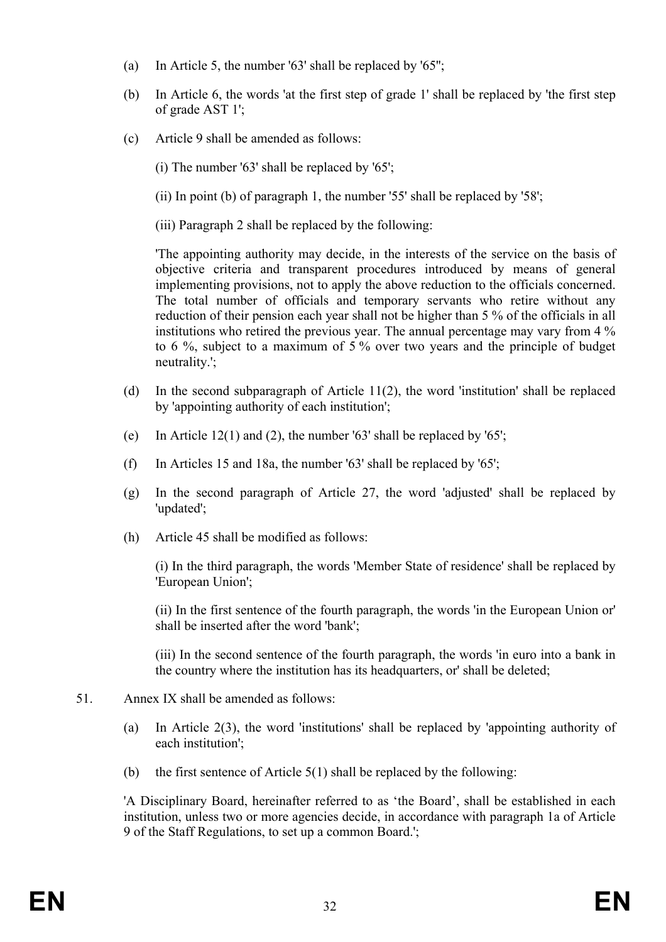- (a) In Article 5, the number '63' shall be replaced by '65'';
- (b) In Article 6, the words 'at the first step of grade 1' shall be replaced by 'the first step of grade AST 1';
- (c) Article 9 shall be amended as follows:
	- (i) The number '63' shall be replaced by '65';
	- (ii) In point (b) of paragraph 1, the number '55' shall be replaced by '58';
	- (iii) Paragraph 2 shall be replaced by the following:

'The appointing authority may decide, in the interests of the service on the basis of objective criteria and transparent procedures introduced by means of general implementing provisions, not to apply the above reduction to the officials concerned. The total number of officials and temporary servants who retire without any reduction of their pension each year shall not be higher than 5 % of the officials in all institutions who retired the previous year. The annual percentage may vary from 4 % to 6 %, subject to a maximum of 5 % over two years and the principle of budget neutrality.';

- (d) In the second subparagraph of Article 11(2), the word 'institution' shall be replaced by 'appointing authority of each institution';
- (e) In Article 12(1) and (2), the number '63' shall be replaced by '65';
- (f) In Articles 15 and 18a, the number '63' shall be replaced by '65';
- (g) In the second paragraph of Article 27, the word 'adjusted' shall be replaced by 'updated';
- (h) Article 45 shall be modified as follows:

(i) In the third paragraph, the words 'Member State of residence' shall be replaced by 'European Union';

(ii) In the first sentence of the fourth paragraph, the words 'in the European Union or' shall be inserted after the word 'bank';

(iii) In the second sentence of the fourth paragraph, the words 'in euro into a bank in the country where the institution has its headquarters, or' shall be deleted;

- 51. Annex IX shall be amended as follows:
	- (a) In Article 2(3), the word 'institutions' shall be replaced by 'appointing authority of each institution';
	- (b) the first sentence of Article 5(1) shall be replaced by the following:

'A Disciplinary Board, hereinafter referred to as 'the Board', shall be established in each institution, unless two or more agencies decide, in accordance with paragraph 1a of Article 9 of the Staff Regulations, to set up a common Board.';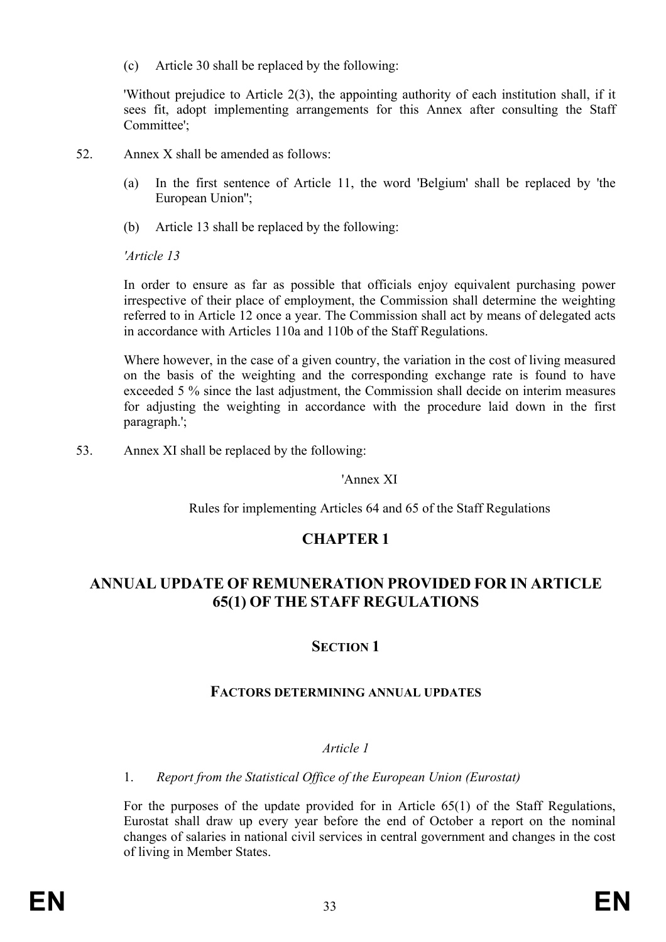(c) Article 30 shall be replaced by the following:

'Without prejudice to Article 2(3), the appointing authority of each institution shall, if it sees fit, adopt implementing arrangements for this Annex after consulting the Staff Committee';

- 52. Annex X shall be amended as follows:
	- (a) In the first sentence of Article 11, the word 'Belgium' shall be replaced by 'the European Union'';
	- (b) Article 13 shall be replaced by the following:

*'Article 13* 

In order to ensure as far as possible that officials enjoy equivalent purchasing power irrespective of their place of employment, the Commission shall determine the weighting referred to in Article 12 once a year. The Commission shall act by means of delegated acts in accordance with Articles 110a and 110b of the Staff Regulations.

Where however, in the case of a given country, the variation in the cost of living measured on the basis of the weighting and the corresponding exchange rate is found to have exceeded 5 % since the last adjustment, the Commission shall decide on interim measures for adjusting the weighting in accordance with the procedure laid down in the first paragraph.';

53. Annex XI shall be replaced by the following:

## 'Annex XI

Rules for implementing Articles 64 and 65 of the Staff Regulations

# **CHAPTER 1**

# **ANNUAL UPDATE OF REMUNERATION PROVIDED FOR IN ARTICLE 65(1) OF THE STAFF REGULATIONS**

# **SECTION 1**

# **FACTORS DETERMINING ANNUAL UPDATES**

## *Article 1*

## 1. *Report from the Statistical Office of the European Union (Eurostat)*

For the purposes of the update provided for in Article 65(1) of the Staff Regulations, Eurostat shall draw up every year before the end of October a report on the nominal changes of salaries in national civil services in central government and changes in the cost of living in Member States.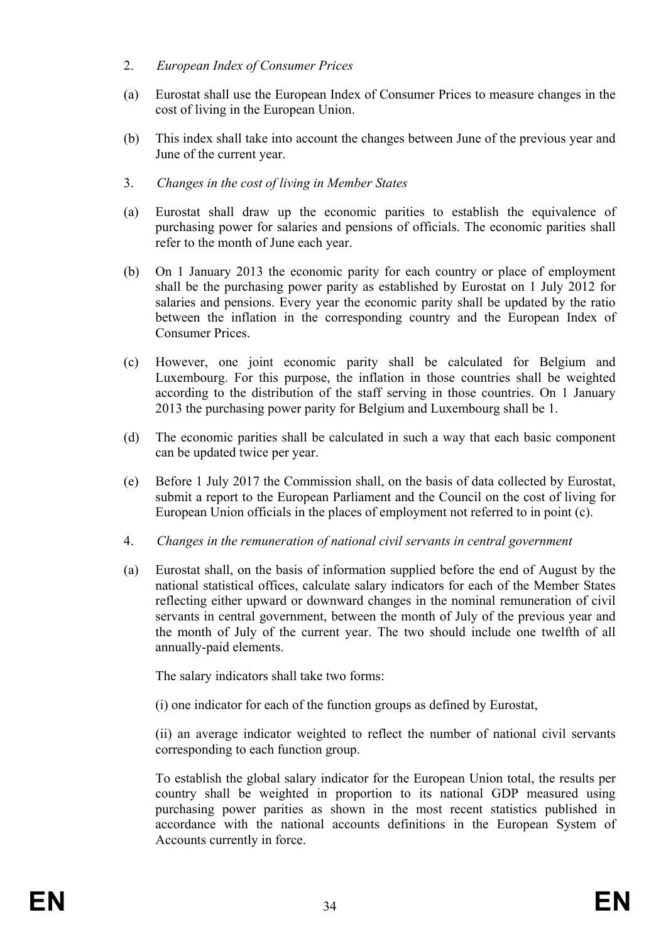#### 2. *European Index of Consumer Prices*

- (a) Eurostat shall use the European Index of Consumer Prices to measure changes in the cost of living in the European Union.
- (b) This index shall take into account the changes between June of the previous year and June of the current year.
- 3. *Changes in the cost of living in Member States*
- (a) Eurostat shall draw up the economic parities to establish the equivalence of purchasing power for salaries and pensions of officials. The economic parities shall refer to the month of June each year.
- (b) On 1 January 2013 the economic parity for each country or place of employment shall be the purchasing power parity as established by Eurostat on 1 July 2012 for salaries and pensions. Every year the economic parity shall be updated by the ratio between the inflation in the corresponding country and the European Index of Consumer Prices.
- (c) However, one joint economic parity shall be calculated for Belgium and Luxembourg. For this purpose, the inflation in those countries shall be weighted according to the distribution of the staff serving in those countries. On 1 January 2013 the purchasing power parity for Belgium and Luxembourg shall be 1.
- (d) The economic parities shall be calculated in such a way that each basic component can be updated twice per year.
- (e) Before 1 July 2017 the Commission shall, on the basis of data collected by Eurostat, submit a report to the European Parliament and the Council on the cost of living for European Union officials in the places of employment not referred to in point (c).
- 4. *Changes in the remuneration of national civil servants in central government*
- (a) Eurostat shall, on the basis of information supplied before the end of August by the national statistical offices, calculate salary indicators for each of the Member States reflecting either upward or downward changes in the nominal remuneration of civil servants in central government, between the month of July of the previous year and the month of July of the current year. The two should include one twelfth of all annually-paid elements.

The salary indicators shall take two forms:

(i) one indicator for each of the function groups as defined by Eurostat,

(ii) an average indicator weighted to reflect the number of national civil servants corresponding to each function group.

To establish the global salary indicator for the European Union total, the results per country shall be weighted in proportion to its national GDP measured using purchasing power parities as shown in the most recent statistics published in accordance with the national accounts definitions in the European System of Accounts currently in force.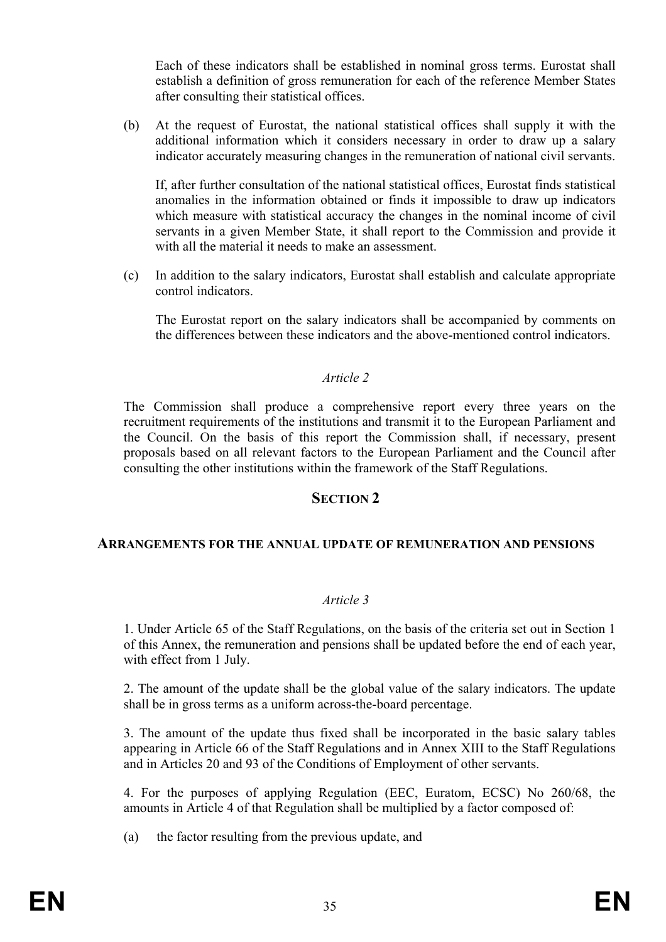Each of these indicators shall be established in nominal gross terms. Eurostat shall establish a definition of gross remuneration for each of the reference Member States after consulting their statistical offices.

(b) At the request of Eurostat, the national statistical offices shall supply it with the additional information which it considers necessary in order to draw up a salary indicator accurately measuring changes in the remuneration of national civil servants.

If, after further consultation of the national statistical offices, Eurostat finds statistical anomalies in the information obtained or finds it impossible to draw up indicators which measure with statistical accuracy the changes in the nominal income of civil servants in a given Member State, it shall report to the Commission and provide it with all the material it needs to make an assessment.

(c) In addition to the salary indicators, Eurostat shall establish and calculate appropriate control indicators.

The Eurostat report on the salary indicators shall be accompanied by comments on the differences between these indicators and the above-mentioned control indicators.

#### *Article 2*

The Commission shall produce a comprehensive report every three years on the recruitment requirements of the institutions and transmit it to the European Parliament and the Council. On the basis of this report the Commission shall, if necessary, present proposals based on all relevant factors to the European Parliament and the Council after consulting the other institutions within the framework of the Staff Regulations.

#### **SECTION 2**

#### **ARRANGEMENTS FOR THE ANNUAL UPDATE OF REMUNERATION AND PENSIONS**

#### *Article 3*

1. Under Article 65 of the Staff Regulations, on the basis of the criteria set out in Section 1 of this Annex, the remuneration and pensions shall be updated before the end of each year, with effect from 1 July.

2. The amount of the update shall be the global value of the salary indicators. The update shall be in gross terms as a uniform across-the-board percentage.

3. The amount of the update thus fixed shall be incorporated in the basic salary tables appearing in Article 66 of the Staff Regulations and in Annex XIII to the Staff Regulations and in Articles 20 and 93 of the Conditions of Employment of other servants.

4. For the purposes of applying Regulation (EEC, Euratom, ECSC) No 260/68, the amounts in Article 4 of that Regulation shall be multiplied by a factor composed of:

(a) the factor resulting from the previous update, and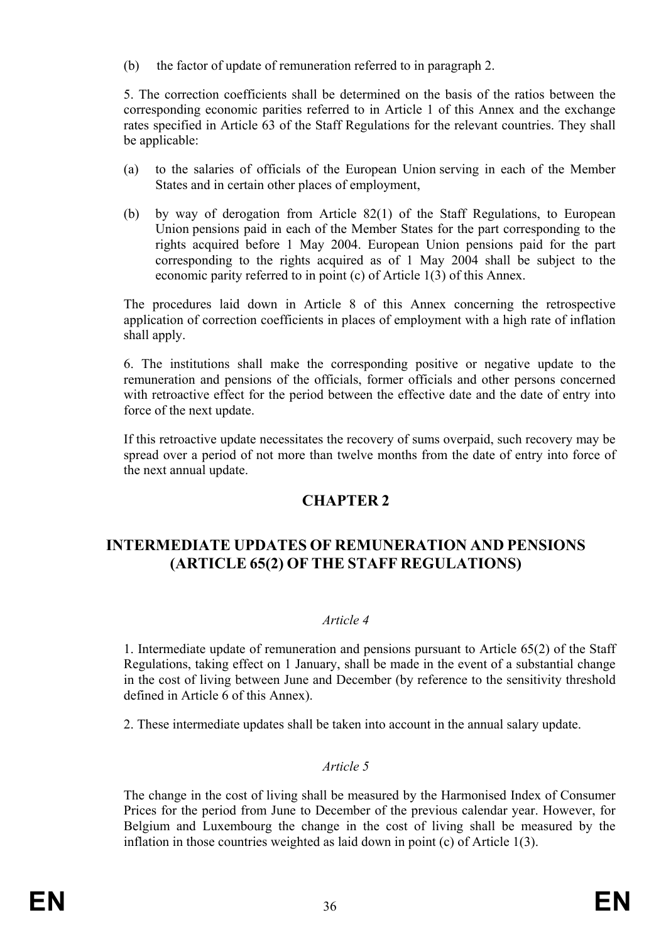(b) the factor of update of remuneration referred to in paragraph 2.

5. The correction coefficients shall be determined on the basis of the ratios between the corresponding economic parities referred to in Article 1 of this Annex and the exchange rates specified in Article 63 of the Staff Regulations for the relevant countries. They shall be applicable:

- (a) to the salaries of officials of the European Union serving in each of the Member States and in certain other places of employment,
- (b) by way of derogation from Article 82(1) of the Staff Regulations, to European Union pensions paid in each of the Member States for the part corresponding to the rights acquired before 1 May 2004. European Union pensions paid for the part corresponding to the rights acquired as of 1 May 2004 shall be subject to the economic parity referred to in point (c) of Article 1(3) of this Annex.

The procedures laid down in Article 8 of this Annex concerning the retrospective application of correction coefficients in places of employment with a high rate of inflation shall apply.

6. The institutions shall make the corresponding positive or negative update to the remuneration and pensions of the officials, former officials and other persons concerned with retroactive effect for the period between the effective date and the date of entry into force of the next update.

If this retroactive update necessitates the recovery of sums overpaid, such recovery may be spread over a period of not more than twelve months from the date of entry into force of the next annual update.

# **CHAPTER 2**

# **INTERMEDIATE UPDATES OF REMUNERATION AND PENSIONS (ARTICLE 65(2) OF THE STAFF REGULATIONS)**

## *Article 4*

1. Intermediate update of remuneration and pensions pursuant to Article 65(2) of the Staff Regulations, taking effect on 1 January, shall be made in the event of a substantial change in the cost of living between June and December (by reference to the sensitivity threshold defined in Article 6 of this Annex).

2. These intermediate updates shall be taken into account in the annual salary update.

## *Article 5*

The change in the cost of living shall be measured by the Harmonised Index of Consumer Prices for the period from June to December of the previous calendar year. However, for Belgium and Luxembourg the change in the cost of living shall be measured by the inflation in those countries weighted as laid down in point (c) of Article 1(3).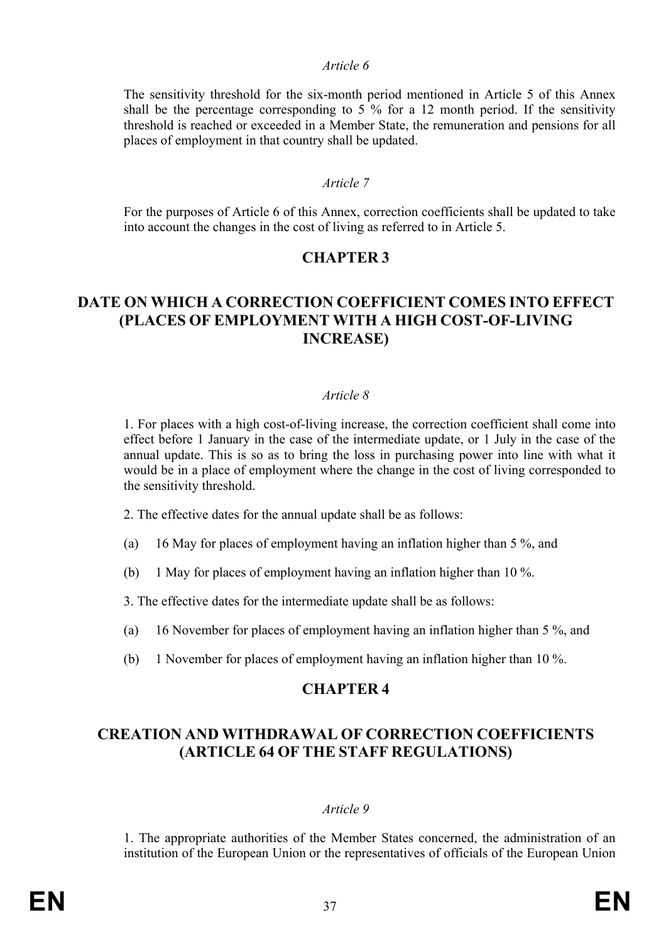#### *Article 6*

The sensitivity threshold for the six-month period mentioned in Article 5 of this Annex shall be the percentage corresponding to 5 % for a 12 month period. If the sensitivity threshold is reached or exceeded in a Member State, the remuneration and pensions for all places of employment in that country shall be updated.

#### *Article 7*

For the purposes of Article 6 of this Annex, correction coefficients shall be updated to take into account the changes in the cost of living as referred to in Article 5.

# **CHAPTER 3**

# **DATE ON WHICH A CORRECTION COEFFICIENT COMES INTO EFFECT (PLACES OF EMPLOYMENT WITH A HIGH COST-OF-LIVING INCREASE)**

#### *Article 8*

1. For places with a high cost-of-living increase, the correction coefficient shall come into effect before 1 January in the case of the intermediate update, or 1 July in the case of the annual update. This is so as to bring the loss in purchasing power into line with what it would be in a place of employment where the change in the cost of living corresponded to the sensitivity threshold.

2. The effective dates for the annual update shall be as follows:

- (a) 16 May for places of employment having an inflation higher than 5 %, and
- (b) 1 May for places of employment having an inflation higher than 10 %.
- 3. The effective dates for the intermediate update shall be as follows:
- (a) 16 November for places of employment having an inflation higher than 5 %, and
- (b) 1 November for places of employment having an inflation higher than 10 %.

# **CHAPTER 4**

# **CREATION AND WITHDRAWAL OF CORRECTION COEFFICIENTS (ARTICLE 64 OF THE STAFF REGULATIONS)**

#### *Article 9*

1. The appropriate authorities of the Member States concerned, the administration of an institution of the European Union or the representatives of officials of the European Union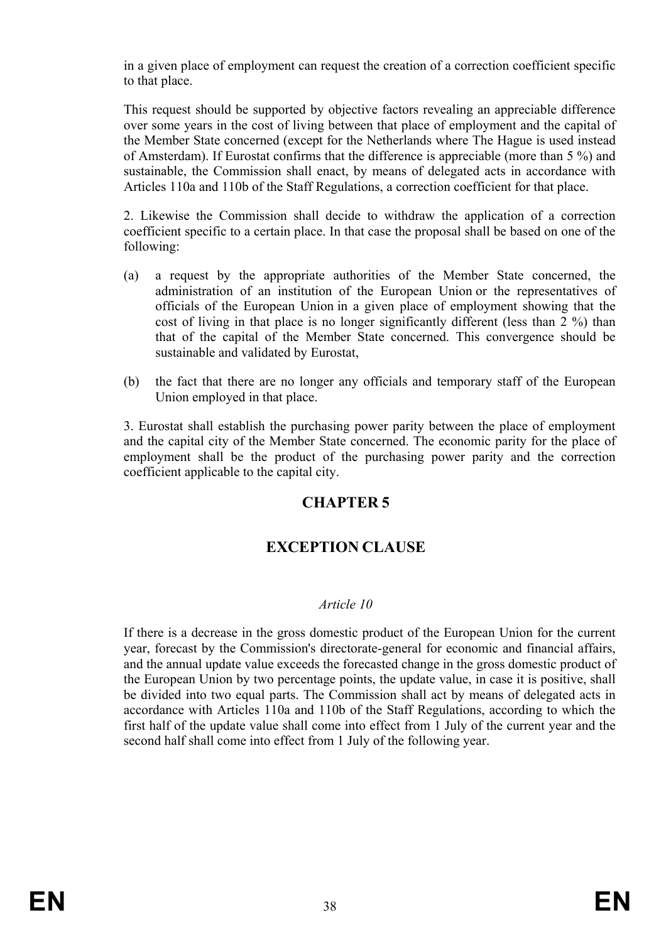in a given place of employment can request the creation of a correction coefficient specific to that place.

This request should be supported by objective factors revealing an appreciable difference over some years in the cost of living between that place of employment and the capital of the Member State concerned (except for the Netherlands where The Hague is used instead of Amsterdam). If Eurostat confirms that the difference is appreciable (more than 5 %) and sustainable, the Commission shall enact, by means of delegated acts in accordance with Articles 110a and 110b of the Staff Regulations, a correction coefficient for that place.

2. Likewise the Commission shall decide to withdraw the application of a correction coefficient specific to a certain place. In that case the proposal shall be based on one of the following:

- (a) a request by the appropriate authorities of the Member State concerned, the administration of an institution of the European Union or the representatives of officials of the European Union in a given place of employment showing that the cost of living in that place is no longer significantly different (less than 2 %) than that of the capital of the Member State concerned. This convergence should be sustainable and validated by Eurostat,
- (b) the fact that there are no longer any officials and temporary staff of the European Union employed in that place.

3. Eurostat shall establish the purchasing power parity between the place of employment and the capital city of the Member State concerned. The economic parity for the place of employment shall be the product of the purchasing power parity and the correction coefficient applicable to the capital city.

# **CHAPTER 5**

# **EXCEPTION CLAUSE**

## *Article 10*

If there is a decrease in the gross domestic product of the European Union for the current year, forecast by the Commission's directorate-general for economic and financial affairs, and the annual update value exceeds the forecasted change in the gross domestic product of the European Union by two percentage points, the update value, in case it is positive, shall be divided into two equal parts. The Commission shall act by means of delegated acts in accordance with Articles 110a and 110b of the Staff Regulations, according to which the first half of the update value shall come into effect from 1 July of the current year and the second half shall come into effect from 1 July of the following year.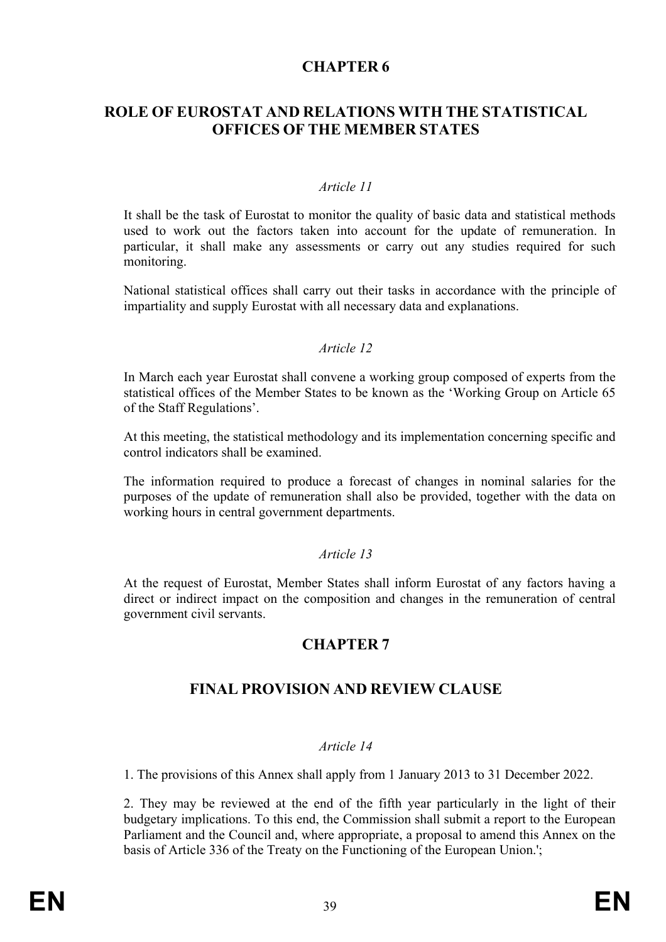# **CHAPTER 6**

# **ROLE OF EUROSTAT AND RELATIONS WITH THE STATISTICAL OFFICES OF THE MEMBER STATES**

#### *Article 11*

It shall be the task of Eurostat to monitor the quality of basic data and statistical methods used to work out the factors taken into account for the update of remuneration. In particular, it shall make any assessments or carry out any studies required for such monitoring.

National statistical offices shall carry out their tasks in accordance with the principle of impartiality and supply Eurostat with all necessary data and explanations.

#### *Article 12*

In March each year Eurostat shall convene a working group composed of experts from the statistical offices of the Member States to be known as the 'Working Group on Article 65 of the Staff Regulations'.

At this meeting, the statistical methodology and its implementation concerning specific and control indicators shall be examined.

The information required to produce a forecast of changes in nominal salaries for the purposes of the update of remuneration shall also be provided, together with the data on working hours in central government departments.

#### *Article 13*

At the request of Eurostat, Member States shall inform Eurostat of any factors having a direct or indirect impact on the composition and changes in the remuneration of central government civil servants.

# **CHAPTER 7**

# **FINAL PROVISION AND REVIEW CLAUSE**

#### *Article 14*

1. The provisions of this Annex shall apply from 1 January 2013 to 31 December 2022.

2. They may be reviewed at the end of the fifth year particularly in the light of their budgetary implications. To this end, the Commission shall submit a report to the European Parliament and the Council and, where appropriate, a proposal to amend this Annex on the basis of Article 336 of the Treaty on the Functioning of the European Union.';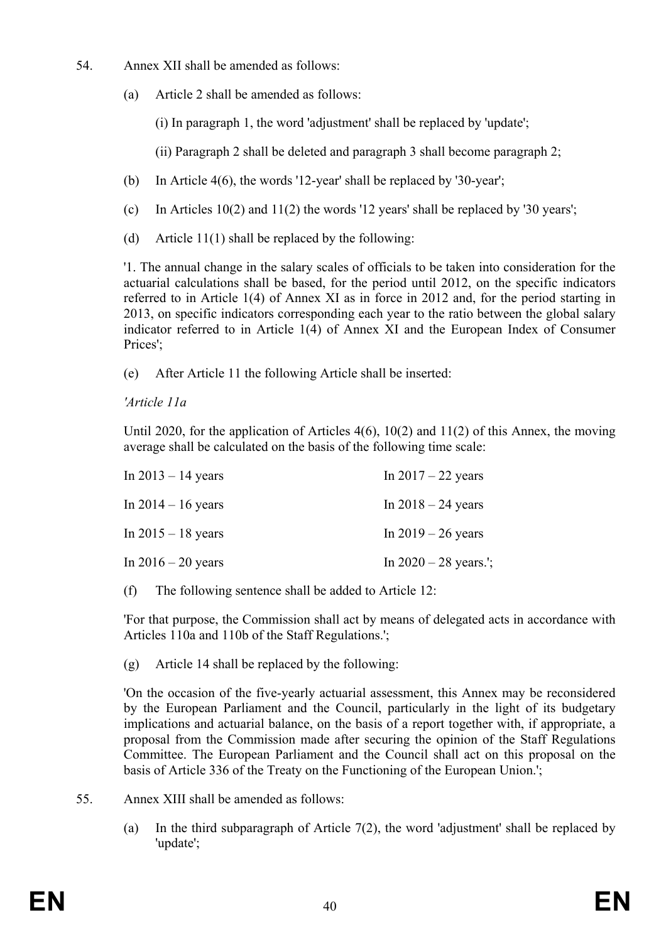- 54. Annex XII shall be amended as follows:
	- (a) Article 2 shall be amended as follows:

(i) In paragraph 1, the word 'adjustment' shall be replaced by 'update';

(ii) Paragraph 2 shall be deleted and paragraph 3 shall become paragraph 2;

- (b) In Article 4(6), the words '12-year' shall be replaced by '30-year';
- (c) In Articles 10(2) and 11(2) the words '12 years' shall be replaced by '30 years';
- (d) Article 11(1) shall be replaced by the following:

'1. The annual change in the salary scales of officials to be taken into consideration for the actuarial calculations shall be based, for the period until 2012, on the specific indicators referred to in Article 1(4) of Annex XI as in force in 2012 and, for the period starting in 2013, on specific indicators corresponding each year to the ratio between the global salary indicator referred to in Article 1(4) of Annex XI and the European Index of Consumer Prices';

(e) After Article 11 the following Article shall be inserted:

## *'Article 11a*

Until 2020, for the application of Articles 4(6), 10(2) and 11(2) of this Annex, the moving average shall be calculated on the basis of the following time scale:

| In $2013 - 14$ years | In $2017 - 22$ years    |
|----------------------|-------------------------|
| In $2014 - 16$ years | In $2018 - 24$ years    |
| In $2015 - 18$ years | In $2019 - 26$ years    |
| In $2016 - 20$ years | In $2020 - 28$ years.'; |

(f) The following sentence shall be added to Article 12:

'For that purpose, the Commission shall act by means of delegated acts in accordance with Articles 110a and 110b of the Staff Regulations.';

(g) Article 14 shall be replaced by the following:

'On the occasion of the five-yearly actuarial assessment, this Annex may be reconsidered by the European Parliament and the Council, particularly in the light of its budgetary implications and actuarial balance, on the basis of a report together with, if appropriate, a proposal from the Commission made after securing the opinion of the Staff Regulations Committee. The European Parliament and the Council shall act on this proposal on the basis of Article 336 of the Treaty on the Functioning of the European Union.';

- 55. Annex XIII shall be amended as follows:
	- (a) In the third subparagraph of Article 7(2), the word 'adjustment' shall be replaced by 'update';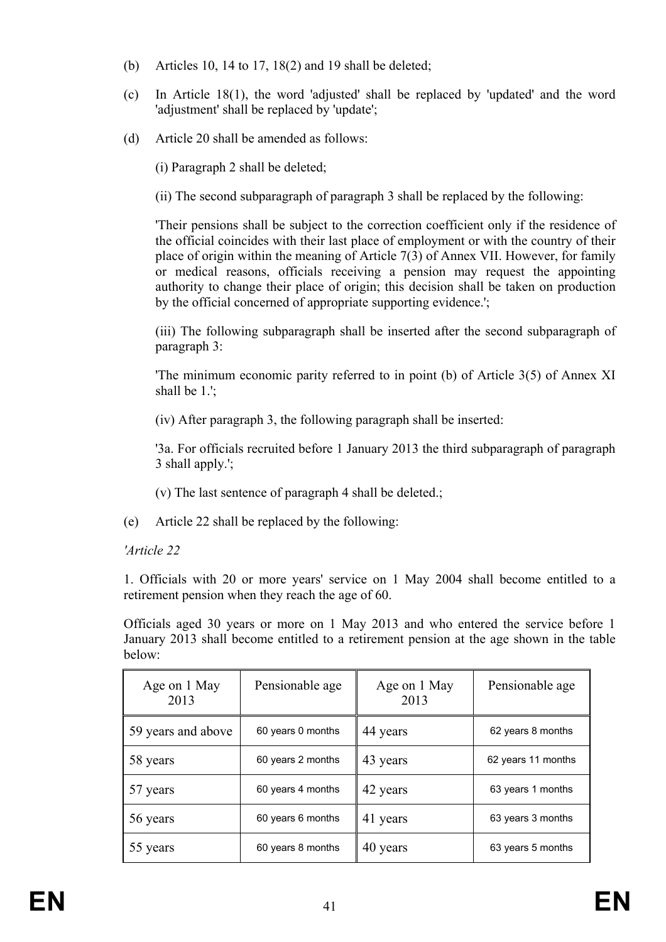- (b) Articles 10, 14 to 17, 18(2) and 19 shall be deleted;
- (c) In Article 18(1), the word 'adjusted' shall be replaced by 'updated' and the word 'adjustment' shall be replaced by 'update';
- (d) Article 20 shall be amended as follows:

(i) Paragraph 2 shall be deleted;

(ii) The second subparagraph of paragraph 3 shall be replaced by the following:

'Their pensions shall be subject to the correction coefficient only if the residence of the official coincides with their last place of employment or with the country of their place of origin within the meaning of Article 7(3) of Annex VII. However, for family or medical reasons, officials receiving a pension may request the appointing authority to change their place of origin; this decision shall be taken on production by the official concerned of appropriate supporting evidence.';

(iii) The following subparagraph shall be inserted after the second subparagraph of paragraph 3:

'The minimum economic parity referred to in point (b) of Article 3(5) of Annex XI shall be 1.';

(iv) After paragraph 3, the following paragraph shall be inserted:

'3a. For officials recruited before 1 January 2013 the third subparagraph of paragraph 3 shall apply.';

- (v) The last sentence of paragraph 4 shall be deleted.;
- (e) Article 22 shall be replaced by the following:

# *'Article 22*

1. Officials with 20 or more years' service on 1 May 2004 shall become entitled to a retirement pension when they reach the age of 60.

Officials aged 30 years or more on 1 May 2013 and who entered the service before 1 January 2013 shall become entitled to a retirement pension at the age shown in the table below:

| Age on 1 May<br>2013 | Pensionable age   | Age on 1 May<br>2013 | Pensionable age    |
|----------------------|-------------------|----------------------|--------------------|
| 59 years and above   | 60 years 0 months | 44 years             | 62 years 8 months  |
| 58 years             | 60 years 2 months | 43 years             | 62 years 11 months |
| 57 years             | 60 years 4 months | 42 years             | 63 years 1 months  |
| 56 years             | 60 years 6 months | 41 years             | 63 years 3 months  |
| 55 years             | 60 years 8 months | 40 years             | 63 years 5 months  |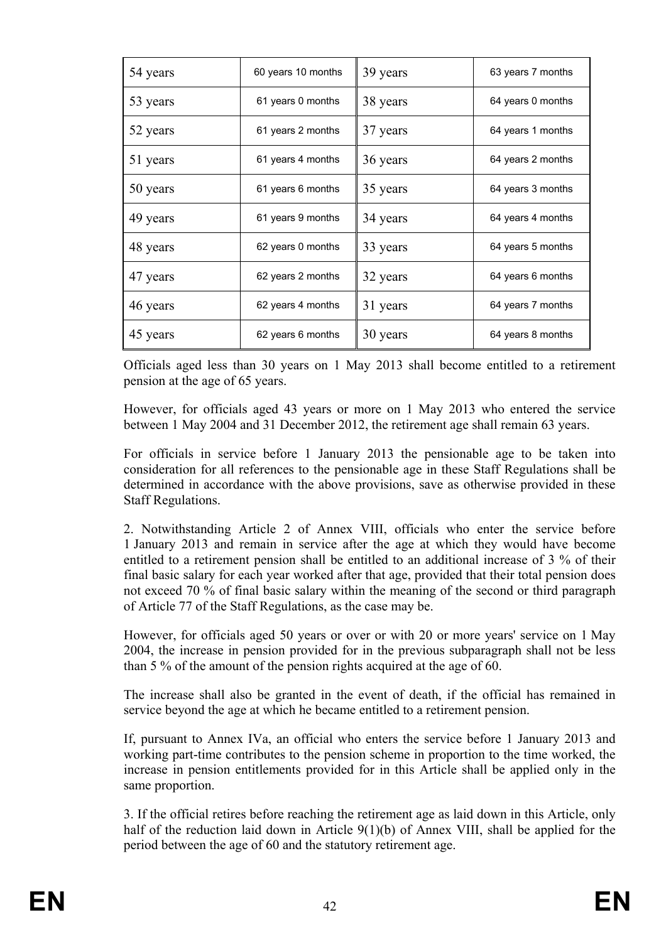| 54 years | 60 years 10 months | 39 years | 63 years 7 months |
|----------|--------------------|----------|-------------------|
| 53 years | 61 years 0 months  | 38 years | 64 years 0 months |
| 52 years | 61 years 2 months  | 37 years | 64 years 1 months |
| 51 years | 61 years 4 months  | 36 years | 64 years 2 months |
| 50 years | 61 years 6 months  | 35 years | 64 years 3 months |
| 49 years | 61 years 9 months  | 34 years | 64 years 4 months |
| 48 years | 62 years 0 months  | 33 years | 64 years 5 months |
| 47 years | 62 years 2 months  | 32 years | 64 years 6 months |
| 46 years | 62 years 4 months  | 31 years | 64 years 7 months |
| 45 years | 62 years 6 months  | 30 years | 64 years 8 months |

Officials aged less than 30 years on 1 May 2013 shall become entitled to a retirement pension at the age of 65 years.

However, for officials aged 43 years or more on 1 May 2013 who entered the service between 1 May 2004 and 31 December 2012, the retirement age shall remain 63 years.

For officials in service before 1 January 2013 the pensionable age to be taken into consideration for all references to the pensionable age in these Staff Regulations shall be determined in accordance with the above provisions, save as otherwise provided in these Staff Regulations.

2. Notwithstanding Article 2 of Annex VIII, officials who enter the service before 1 January 2013 and remain in service after the age at which they would have become entitled to a retirement pension shall be entitled to an additional increase of 3 % of their final basic salary for each year worked after that age, provided that their total pension does not exceed 70 % of final basic salary within the meaning of the second or third paragraph of Article 77 of the Staff Regulations, as the case may be.

However, for officials aged 50 years or over or with 20 or more years' service on 1 May 2004, the increase in pension provided for in the previous subparagraph shall not be less than 5 % of the amount of the pension rights acquired at the age of 60.

The increase shall also be granted in the event of death, if the official has remained in service beyond the age at which he became entitled to a retirement pension.

If, pursuant to Annex IVa, an official who enters the service before 1 January 2013 and working part-time contributes to the pension scheme in proportion to the time worked, the increase in pension entitlements provided for in this Article shall be applied only in the same proportion.

3. If the official retires before reaching the retirement age as laid down in this Article, only half of the reduction laid down in Article 9(1)(b) of Annex VIII, shall be applied for the period between the age of 60 and the statutory retirement age.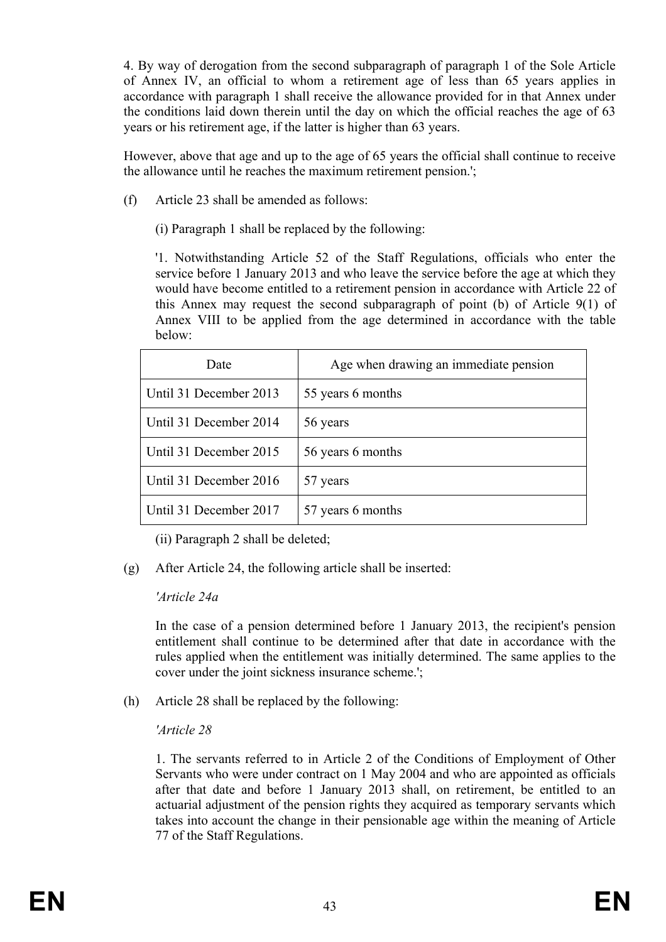4. By way of derogation from the second subparagraph of paragraph 1 of the Sole Article of Annex IV, an official to whom a retirement age of less than 65 years applies in accordance with paragraph 1 shall receive the allowance provided for in that Annex under the conditions laid down therein until the day on which the official reaches the age of 63 years or his retirement age, if the latter is higher than 63 years.

However, above that age and up to the age of 65 years the official shall continue to receive the allowance until he reaches the maximum retirement pension.';

- (f) Article 23 shall be amended as follows:
	- (i) Paragraph 1 shall be replaced by the following:

'1. Notwithstanding Article 52 of the Staff Regulations, officials who enter the service before 1 January 2013 and who leave the service before the age at which they would have become entitled to a retirement pension in accordance with Article 22 of this Annex may request the second subparagraph of point (b) of Article 9(1) of Annex VIII to be applied from the age determined in accordance with the table below:

| Date                   | Age when drawing an immediate pension |
|------------------------|---------------------------------------|
| Until 31 December 2013 | 55 years 6 months                     |
| Until 31 December 2014 | 56 years                              |
| Until 31 December 2015 | 56 years 6 months                     |
| Until 31 December 2016 | 57 years                              |
| Until 31 December 2017 | 57 years 6 months                     |

(ii) Paragraph 2 shall be deleted;

(g) After Article 24, the following article shall be inserted:

#### *'Article 24a*

In the case of a pension determined before 1 January 2013, the recipient's pension entitlement shall continue to be determined after that date in accordance with the rules applied when the entitlement was initially determined. The same applies to the cover under the joint sickness insurance scheme.';

(h) Article 28 shall be replaced by the following:

## *'Article 28*

1. The servants referred to in Article 2 of the Conditions of Employment of Other Servants who were under contract on 1 May 2004 and who are appointed as officials after that date and before 1 January 2013 shall, on retirement, be entitled to an actuarial adjustment of the pension rights they acquired as temporary servants which takes into account the change in their pensionable age within the meaning of Article 77 of the Staff Regulations.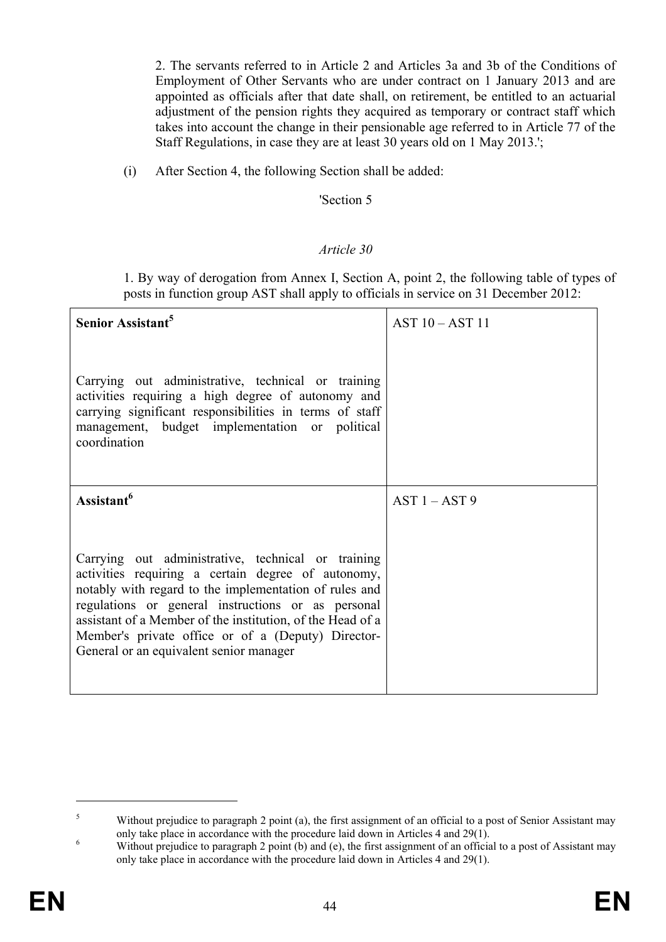2. The servants referred to in Article 2 and Articles 3a and 3b of the Conditions of Employment of Other Servants who are under contract on 1 January 2013 and are appointed as officials after that date shall, on retirement, be entitled to an actuarial adjustment of the pension rights they acquired as temporary or contract staff which takes into account the change in their pensionable age referred to in Article 77 of the Staff Regulations, in case they are at least 30 years old on 1 May 2013.';

(i) After Section 4, the following Section shall be added:

#### 'Section 5

#### *Article 30*

1. By way of derogation from Annex I, Section A, point 2, the following table of types of posts in function group AST shall apply to officials in service on 31 December 2012:

| Senior Assistant <sup>5</sup>                                                                                                                                                                                                                                                                                                                                                           | AST 10 - AST 11 |
|-----------------------------------------------------------------------------------------------------------------------------------------------------------------------------------------------------------------------------------------------------------------------------------------------------------------------------------------------------------------------------------------|-----------------|
| Carrying out administrative, technical or training<br>activities requiring a high degree of autonomy and<br>carrying significant responsibilities in terms of staff<br>management, budget implementation or political<br>coordination                                                                                                                                                   |                 |
| Assistant <sup>6</sup>                                                                                                                                                                                                                                                                                                                                                                  | $AST 1 - AST 9$ |
| Carrying out administrative, technical or training<br>activities requiring a certain degree of autonomy,<br>notably with regard to the implementation of rules and<br>regulations or general instructions or as personal<br>assistant of a Member of the institution, of the Head of a<br>Member's private office or of a (Deputy) Director-<br>General or an equivalent senior manager |                 |

 $\overline{a}$ 

<sup>5</sup> Without prejudice to paragraph 2 point (a), the first assignment of an official to a post of Senior Assistant may only take place in accordance with the procedure laid down in Articles 4 and 29(1).

Without prejudice to paragraph 2 point (b) and (e), the first assignment of an official to a post of Assistant may only take place in accordance with the procedure laid down in Articles 4 and 29(1).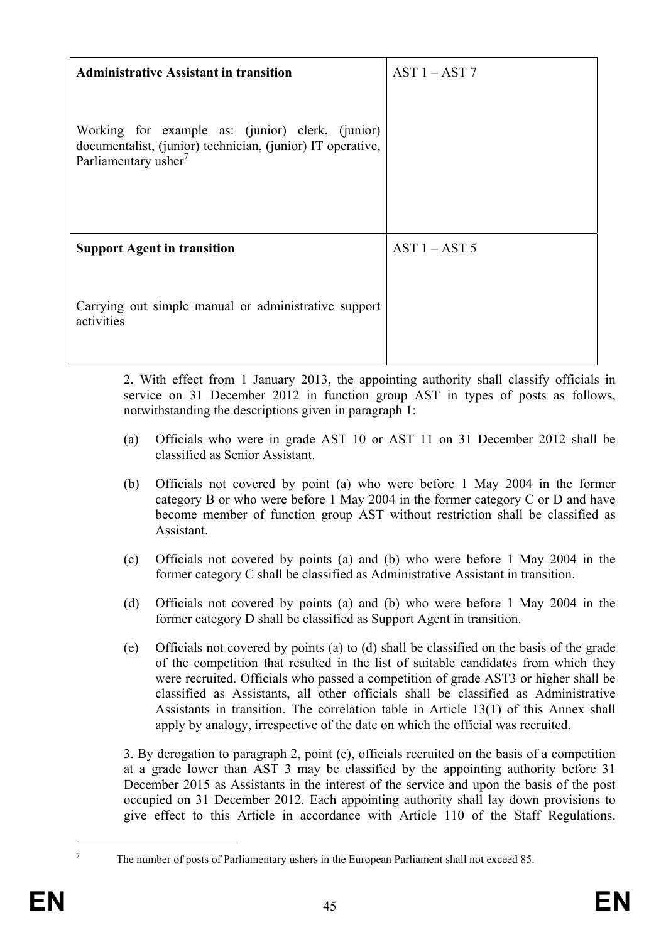| <b>Administrative Assistant in transition</b>                                                                                                      | $AST 1 - AST 7$ |
|----------------------------------------------------------------------------------------------------------------------------------------------------|-----------------|
| Working for example as: (junior) clerk, (junior)<br>documentalist, (junior) technician, (junior) IT operative,<br>Parliamentary usher <sup>7</sup> |                 |
| <b>Support Agent in transition</b>                                                                                                                 | $AST 1 - AST 5$ |
| Carrying out simple manual or administrative support<br>activities                                                                                 |                 |

2. With effect from 1 January 2013, the appointing authority shall classify officials in service on 31 December 2012 in function group AST in types of posts as follows, notwithstanding the descriptions given in paragraph 1:

- (a) Officials who were in grade AST 10 or AST 11 on 31 December 2012 shall be classified as Senior Assistant.
- (b) Officials not covered by point (a) who were before 1 May 2004 in the former category B or who were before 1 May 2004 in the former category C or D and have become member of function group AST without restriction shall be classified as Assistant.
- (c) Officials not covered by points (a) and (b) who were before 1 May 2004 in the former category C shall be classified as Administrative Assistant in transition.
- (d) Officials not covered by points (a) and (b) who were before 1 May 2004 in the former category D shall be classified as Support Agent in transition.
- (e) Officials not covered by points (a) to (d) shall be classified on the basis of the grade of the competition that resulted in the list of suitable candidates from which they were recruited. Officials who passed a competition of grade AST3 or higher shall be classified as Assistants, all other officials shall be classified as Administrative Assistants in transition. The correlation table in Article 13(1) of this Annex shall apply by analogy, irrespective of the date on which the official was recruited.

3. By derogation to paragraph 2, point (e), officials recruited on the basis of a competition at a grade lower than AST 3 may be classified by the appointing authority before 31 December 2015 as Assistants in the interest of the service and upon the basis of the post occupied on 31 December 2012. Each appointing authority shall lay down provisions to give effect to this Article in accordance with Article 110 of the Staff Regulations.

 $\overline{a}$ 7

The number of posts of Parliamentary ushers in the European Parliament shall not exceed 85.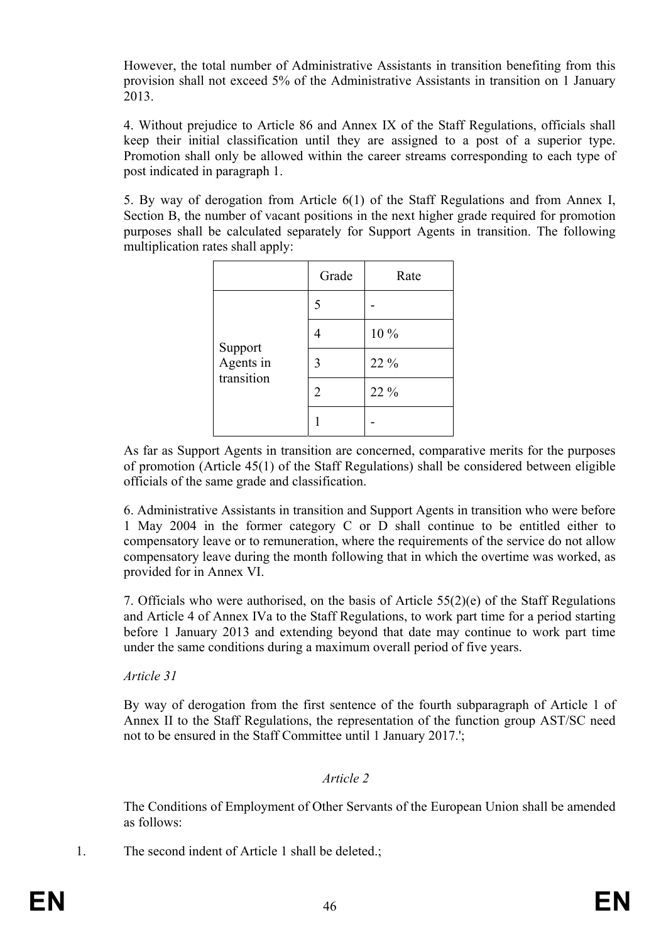However, the total number of Administrative Assistants in transition benefiting from this provision shall not exceed 5% of the Administrative Assistants in transition on 1 January 2013.

4. Without prejudice to Article 86 and Annex IX of the Staff Regulations, officials shall keep their initial classification until they are assigned to a post of a superior type. Promotion shall only be allowed within the career streams corresponding to each type of post indicated in paragraph 1.

5. By way of derogation from Article 6(1) of the Staff Regulations and from Annex I, Section B, the number of vacant positions in the next higher grade required for promotion purposes shall be calculated separately for Support Agents in transition. The following multiplication rates shall apply:

|                      | Grade | Rate |
|----------------------|-------|------|
|                      | 5     |      |
|                      |       | 10 % |
| Support<br>Agents in | 3     | 22 % |
| transition           | 2     | 22 % |
|                      |       |      |

As far as Support Agents in transition are concerned, comparative merits for the purposes of promotion (Article 45(1) of the Staff Regulations) shall be considered between eligible officials of the same grade and classification.

6. Administrative Assistants in transition and Support Agents in transition who were before 1 May 2004 in the former category C or D shall continue to be entitled either to compensatory leave or to remuneration, where the requirements of the service do not allow compensatory leave during the month following that in which the overtime was worked, as provided for in Annex VI.

7. Officials who were authorised, on the basis of Article 55(2)(e) of the Staff Regulations and Article 4 of Annex IVa to the Staff Regulations, to work part time for a period starting before 1 January 2013 and extending beyond that date may continue to work part time under the same conditions during a maximum overall period of five years.

*Article 31* 

By way of derogation from the first sentence of the fourth subparagraph of Article 1 of Annex II to the Staff Regulations, the representation of the function group AST/SC need not to be ensured in the Staff Committee until 1 January 2017.';

## *Article 2*

The Conditions of Employment of Other Servants of the European Union shall be amended as follows:

1. The second indent of Article 1 shall be deleted.;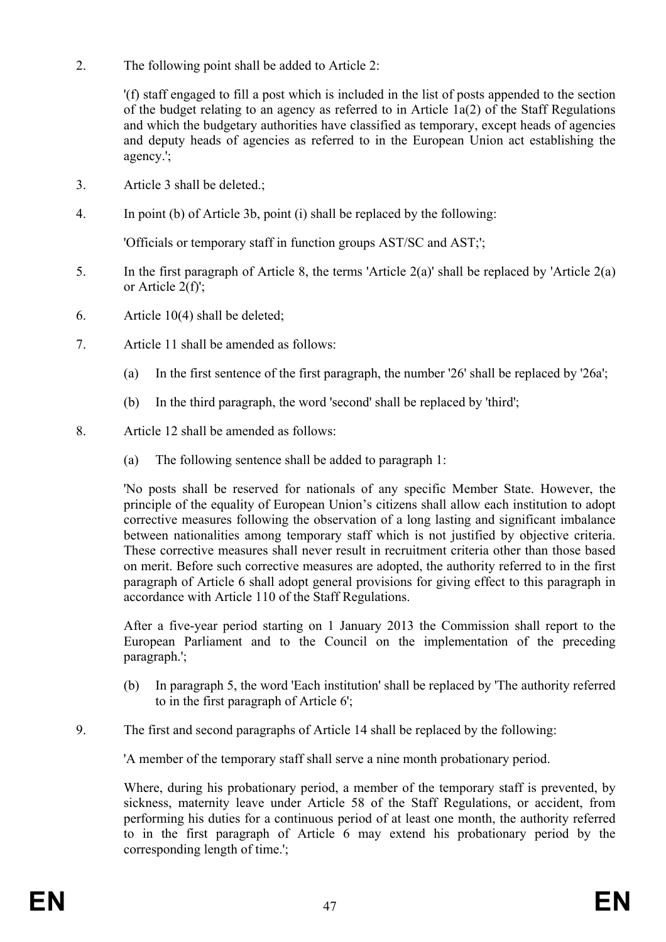2. The following point shall be added to Article 2:

'(f) staff engaged to fill a post which is included in the list of posts appended to the section of the budget relating to an agency as referred to in Article 1a(2) of the Staff Regulations and which the budgetary authorities have classified as temporary, except heads of agencies and deputy heads of agencies as referred to in the European Union act establishing the agency.';

- 3. Article 3 shall be deleted.;
- 4. In point (b) of Article 3b, point (i) shall be replaced by the following:

'Officials or temporary staff in function groups AST/SC and AST;';

- 5. In the first paragraph of Article 8, the terms 'Article  $2(a)$ ' shall be replaced by 'Article  $2(a)$ or Article 2(f)';
- 6. Article 10(4) shall be deleted;
- 7. Article 11 shall be amended as follows:
	- (a) In the first sentence of the first paragraph, the number '26' shall be replaced by '26a';
	- (b) In the third paragraph, the word 'second' shall be replaced by 'third';
- 8. Article 12 shall be amended as follows:
	- (a) The following sentence shall be added to paragraph 1:

'No posts shall be reserved for nationals of any specific Member State. However, the principle of the equality of European Union's citizens shall allow each institution to adopt corrective measures following the observation of a long lasting and significant imbalance between nationalities among temporary staff which is not justified by objective criteria. These corrective measures shall never result in recruitment criteria other than those based on merit. Before such corrective measures are adopted, the authority referred to in the first paragraph of Article 6 shall adopt general provisions for giving effect to this paragraph in accordance with Article 110 of the Staff Regulations.

After a five-year period starting on 1 January 2013 the Commission shall report to the European Parliament and to the Council on the implementation of the preceding paragraph.';

- (b) In paragraph 5, the word 'Each institution' shall be replaced by 'The authority referred to in the first paragraph of Article 6';
- 9. The first and second paragraphs of Article 14 shall be replaced by the following:

'A member of the temporary staff shall serve a nine month probationary period.

Where, during his probationary period, a member of the temporary staff is prevented, by sickness, maternity leave under Article 58 of the Staff Regulations, or accident, from performing his duties for a continuous period of at least one month, the authority referred to in the first paragraph of Article 6 may extend his probationary period by the corresponding length of time.';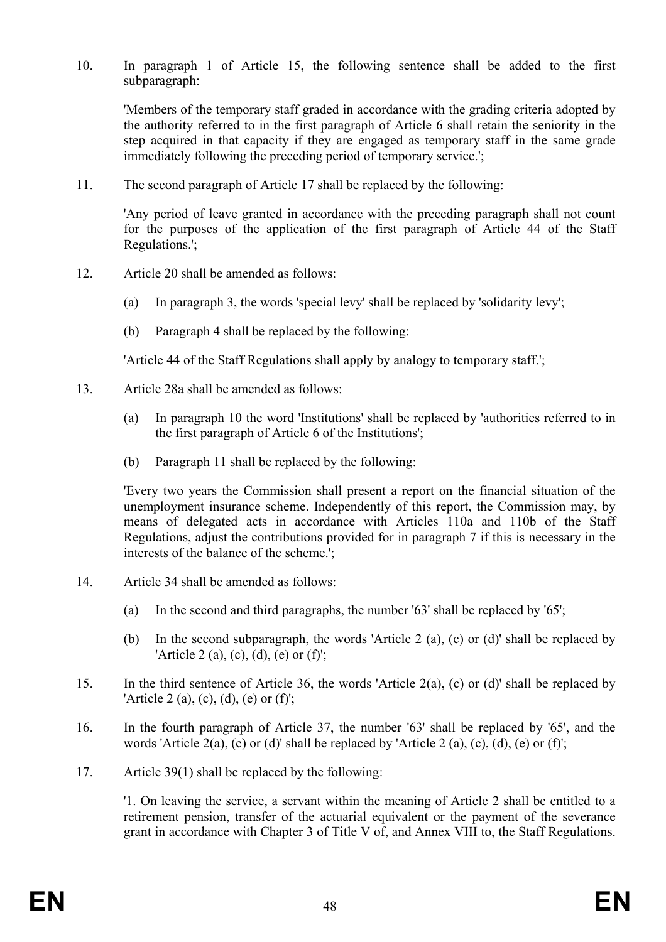10. In paragraph 1 of Article 15, the following sentence shall be added to the first subparagraph:

'Members of the temporary staff graded in accordance with the grading criteria adopted by the authority referred to in the first paragraph of Article 6 shall retain the seniority in the step acquired in that capacity if they are engaged as temporary staff in the same grade immediately following the preceding period of temporary service.';

11. The second paragraph of Article 17 shall be replaced by the following:

'Any period of leave granted in accordance with the preceding paragraph shall not count for the purposes of the application of the first paragraph of Article 44 of the Staff Regulations.';

- 12. Article 20 shall be amended as follows:
	- (a) In paragraph 3, the words 'special levy' shall be replaced by 'solidarity levy';
	- (b) Paragraph 4 shall be replaced by the following:

'Article 44 of the Staff Regulations shall apply by analogy to temporary staff.';

- 13. Article 28a shall be amended as follows:
	- (a) In paragraph 10 the word 'Institutions' shall be replaced by 'authorities referred to in the first paragraph of Article 6 of the Institutions';
	- (b) Paragraph 11 shall be replaced by the following:

'Every two years the Commission shall present a report on the financial situation of the unemployment insurance scheme. Independently of this report, the Commission may, by means of delegated acts in accordance with Articles 110a and 110b of the Staff Regulations, adjust the contributions provided for in paragraph 7 if this is necessary in the interests of the balance of the scheme.';

- 14. Article 34 shall be amended as follows:
	- (a) In the second and third paragraphs, the number '63' shall be replaced by '65';
	- (b) In the second subparagraph, the words 'Article 2 (a), (c) or (d)' shall be replaced by 'Article 2 (a), (c), (d), (e) or (f)';
- 15. In the third sentence of Article 36, the words 'Article 2(a), (c) or (d)' shall be replaced by 'Article 2 (a), (c), (d), (e) or (f)';
- 16. In the fourth paragraph of Article 37, the number '63' shall be replaced by '65', and the words 'Article 2(a), (c) or (d)' shall be replaced by 'Article 2(a), (c), (d), (e) or (f)';
- 17. Article 39(1) shall be replaced by the following:

'1. On leaving the service, a servant within the meaning of Article 2 shall be entitled to a retirement pension, transfer of the actuarial equivalent or the payment of the severance grant in accordance with Chapter 3 of Title V of, and Annex VIII to, the Staff Regulations.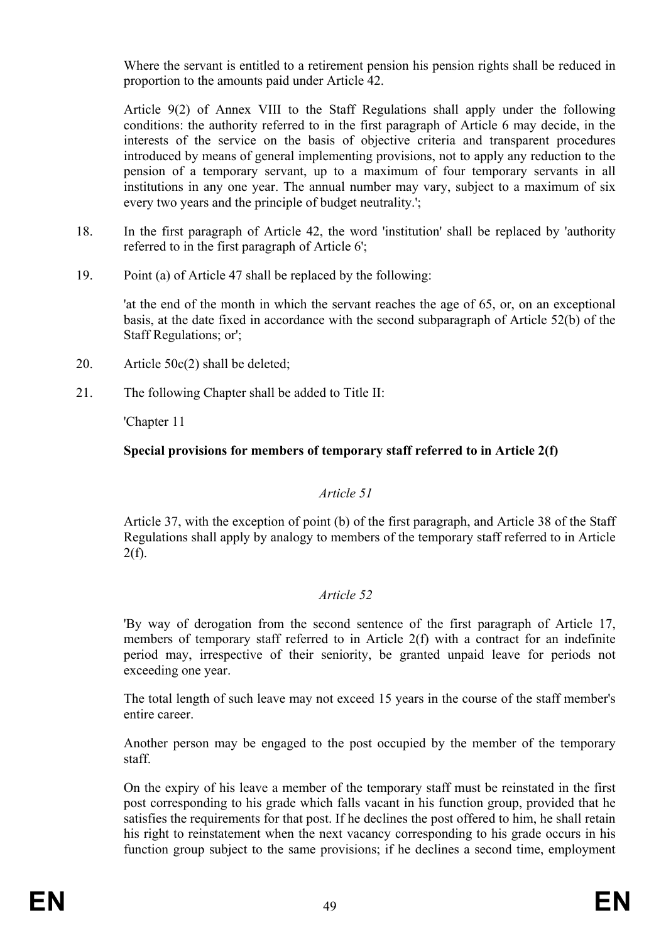Where the servant is entitled to a retirement pension his pension rights shall be reduced in proportion to the amounts paid under Article 42.

Article 9(2) of Annex VIII to the Staff Regulations shall apply under the following conditions: the authority referred to in the first paragraph of Article 6 may decide, in the interests of the service on the basis of objective criteria and transparent procedures introduced by means of general implementing provisions, not to apply any reduction to the pension of a temporary servant, up to a maximum of four temporary servants in all institutions in any one year. The annual number may vary, subject to a maximum of six every two years and the principle of budget neutrality.';

- 18. In the first paragraph of Article 42, the word 'institution' shall be replaced by 'authority referred to in the first paragraph of Article 6';
- 19. Point (a) of Article 47 shall be replaced by the following:

'at the end of the month in which the servant reaches the age of 65, or, on an exceptional basis, at the date fixed in accordance with the second subparagraph of Article 52(b) of the Staff Regulations; or';

- 20. Article 50c(2) shall be deleted;
- 21. The following Chapter shall be added to Title II:

'Chapter 11

## **Special provisions for members of temporary staff referred to in Article 2(f)**

#### *Article 51*

Article 37, with the exception of point (b) of the first paragraph, and Article 38 of the Staff Regulations shall apply by analogy to members of the temporary staff referred to in Article  $2(f)$ .

## *Article 52*

'By way of derogation from the second sentence of the first paragraph of Article 17, members of temporary staff referred to in Article 2(f) with a contract for an indefinite period may, irrespective of their seniority, be granted unpaid leave for periods not exceeding one year.

The total length of such leave may not exceed 15 years in the course of the staff member's entire career.

Another person may be engaged to the post occupied by the member of the temporary staff.

On the expiry of his leave a member of the temporary staff must be reinstated in the first post corresponding to his grade which falls vacant in his function group, provided that he satisfies the requirements for that post. If he declines the post offered to him, he shall retain his right to reinstatement when the next vacancy corresponding to his grade occurs in his function group subject to the same provisions; if he declines a second time, employment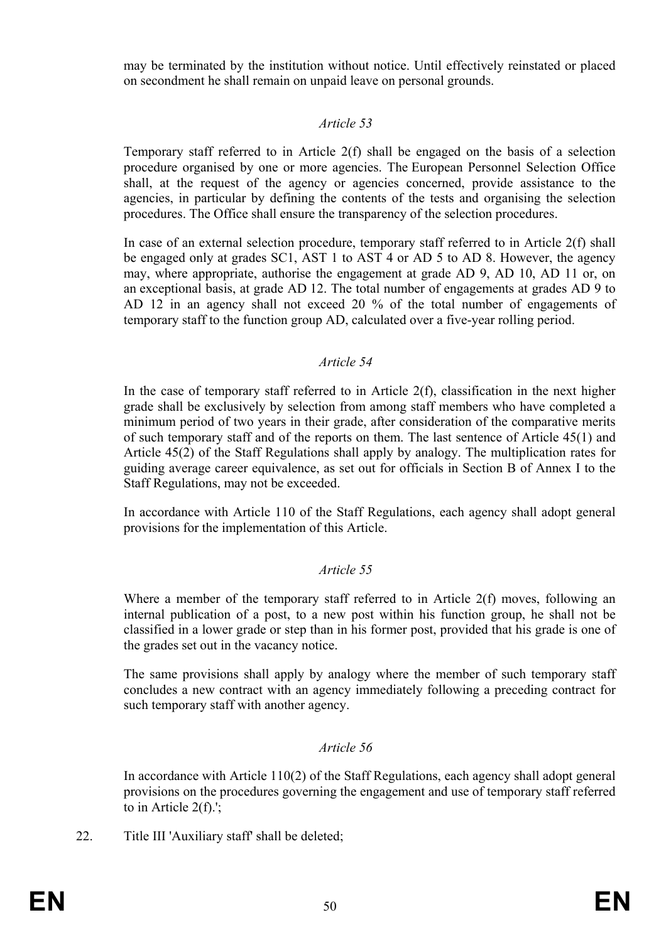may be terminated by the institution without notice. Until effectively reinstated or placed on secondment he shall remain on unpaid leave on personal grounds.

## *Article 53*

Temporary staff referred to in Article 2(f) shall be engaged on the basis of a selection procedure organised by one or more agencies. The European Personnel Selection Office shall, at the request of the agency or agencies concerned, provide assistance to the agencies, in particular by defining the contents of the tests and organising the selection procedures. The Office shall ensure the transparency of the selection procedures.

In case of an external selection procedure, temporary staff referred to in Article 2(f) shall be engaged only at grades SC1, AST 1 to AST 4 or AD 5 to AD 8. However, the agency may, where appropriate, authorise the engagement at grade AD 9, AD 10, AD 11 or, on an exceptional basis, at grade AD 12. The total number of engagements at grades AD 9 to AD 12 in an agency shall not exceed 20 % of the total number of engagements of temporary staff to the function group AD, calculated over a five-year rolling period.

# *Article 54*

In the case of temporary staff referred to in Article 2(f), classification in the next higher grade shall be exclusively by selection from among staff members who have completed a minimum period of two years in their grade, after consideration of the comparative merits of such temporary staff and of the reports on them. The last sentence of Article 45(1) and Article 45(2) of the Staff Regulations shall apply by analogy. The multiplication rates for guiding average career equivalence, as set out for officials in Section B of Annex I to the Staff Regulations, may not be exceeded.

In accordance with Article 110 of the Staff Regulations, each agency shall adopt general provisions for the implementation of this Article.

# *Article 55*

Where a member of the temporary staff referred to in Article 2(f) moves, following an internal publication of a post, to a new post within his function group, he shall not be classified in a lower grade or step than in his former post, provided that his grade is one of the grades set out in the vacancy notice.

The same provisions shall apply by analogy where the member of such temporary staff concludes a new contract with an agency immediately following a preceding contract for such temporary staff with another agency.

## *Article 56*

In accordance with Article 110(2) of the Staff Regulations, each agency shall adopt general provisions on the procedures governing the engagement and use of temporary staff referred to in Article 2(f).';

22. Title III 'Auxiliary staff' shall be deleted;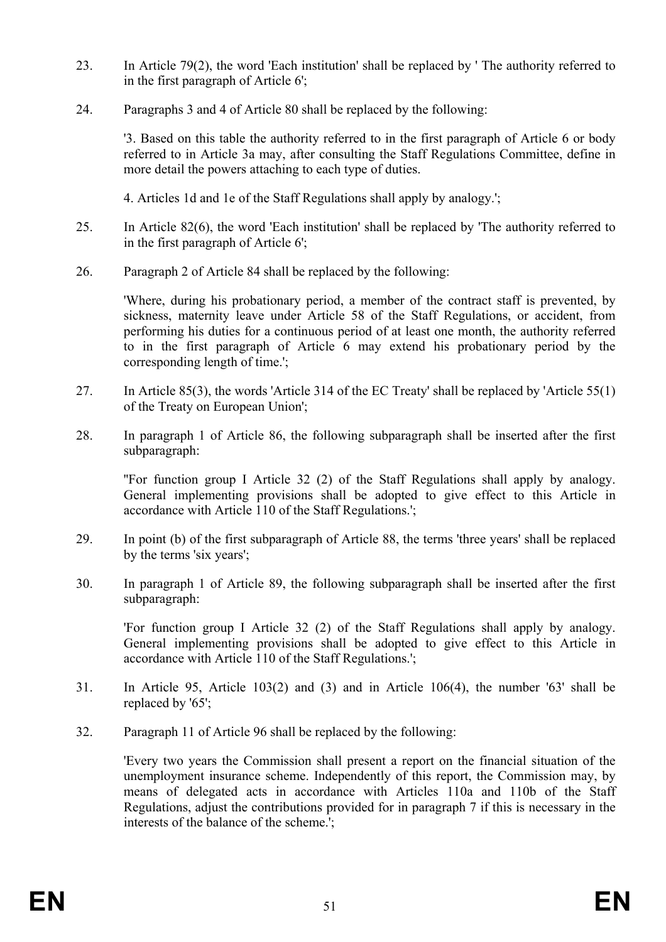- 23. In Article 79(2), the word 'Each institution' shall be replaced by ' The authority referred to in the first paragraph of Article 6';
- 24. Paragraphs 3 and 4 of Article 80 shall be replaced by the following:

'3. Based on this table the authority referred to in the first paragraph of Article 6 or body referred to in Article 3a may, after consulting the Staff Regulations Committee, define in more detail the powers attaching to each type of duties.

4. Articles 1d and 1e of the Staff Regulations shall apply by analogy.';

- 25. In Article 82(6), the word 'Each institution' shall be replaced by 'The authority referred to in the first paragraph of Article 6';
- 26. Paragraph 2 of Article 84 shall be replaced by the following:

'Where, during his probationary period, a member of the contract staff is prevented, by sickness, maternity leave under Article 58 of the Staff Regulations, or accident, from performing his duties for a continuous period of at least one month, the authority referred to in the first paragraph of Article 6 may extend his probationary period by the corresponding length of time.';

- 27. In Article 85(3), the words 'Article 314 of the EC Treaty' shall be replaced by 'Article 55(1) of the Treaty on European Union';
- 28. In paragraph 1 of Article 86, the following subparagraph shall be inserted after the first subparagraph:

''For function group I Article 32 (2) of the Staff Regulations shall apply by analogy. General implementing provisions shall be adopted to give effect to this Article in accordance with Article 110 of the Staff Regulations.';

- 29. In point (b) of the first subparagraph of Article 88, the terms 'three years' shall be replaced by the terms 'six years';
- 30. In paragraph 1 of Article 89, the following subparagraph shall be inserted after the first subparagraph:

'For function group I Article 32 (2) of the Staff Regulations shall apply by analogy. General implementing provisions shall be adopted to give effect to this Article in accordance with Article 110 of the Staff Regulations.';

- 31. In Article 95, Article 103(2) and (3) and in Article 106(4), the number '63' shall be replaced by '65';
- 32. Paragraph 11 of Article 96 shall be replaced by the following:

'Every two years the Commission shall present a report on the financial situation of the unemployment insurance scheme. Independently of this report, the Commission may, by means of delegated acts in accordance with Articles 110a and 110b of the Staff Regulations, adjust the contributions provided for in paragraph 7 if this is necessary in the interests of the balance of the scheme.';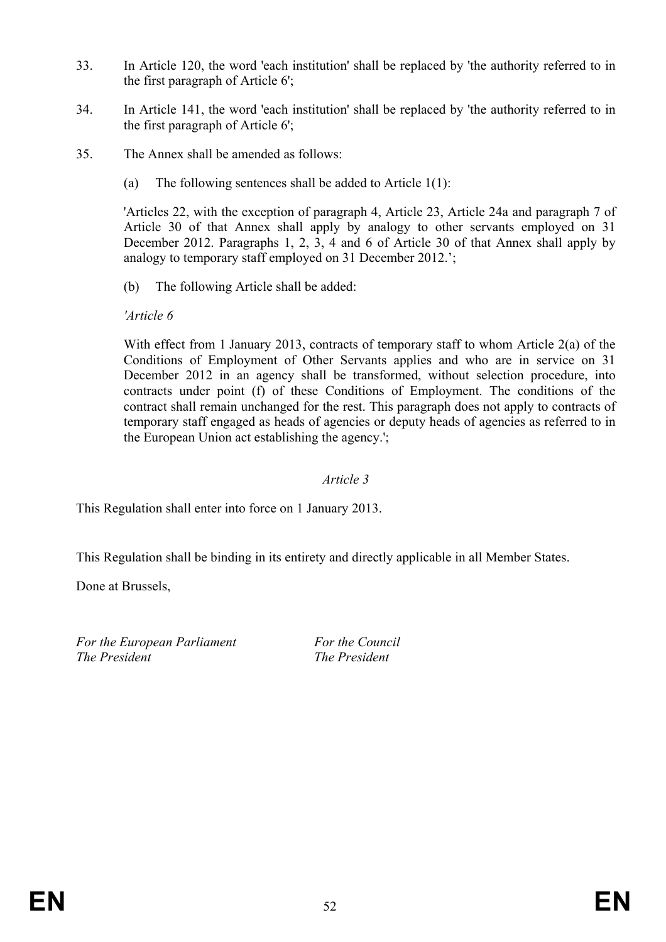- 33. In Article 120, the word 'each institution' shall be replaced by 'the authority referred to in the first paragraph of Article 6';
- 34. In Article 141, the word 'each institution' shall be replaced by 'the authority referred to in the first paragraph of Article 6';
- 35. The Annex shall be amended as follows:
	- (a) The following sentences shall be added to Article 1(1):

'Articles 22, with the exception of paragraph 4, Article 23, Article 24a and paragraph 7 of Article 30 of that Annex shall apply by analogy to other servants employed on 31 December 2012. Paragraphs 1, 2, 3, 4 and 6 of Article 30 of that Annex shall apply by analogy to temporary staff employed on 31 December 2012.';

(b) The following Article shall be added:

*'Article 6* 

With effect from 1 January 2013, contracts of temporary staff to whom Article 2(a) of the Conditions of Employment of Other Servants applies and who are in service on 31 December 2012 in an agency shall be transformed, without selection procedure, into contracts under point (f) of these Conditions of Employment. The conditions of the contract shall remain unchanged for the rest. This paragraph does not apply to contracts of temporary staff engaged as heads of agencies or deputy heads of agencies as referred to in the European Union act establishing the agency.';

## *Article 3*

This Regulation shall enter into force on 1 January 2013.

This Regulation shall be binding in its entirety and directly applicable in all Member States.

Done at Brussels,

For the European Parliament For the Council *The President The President*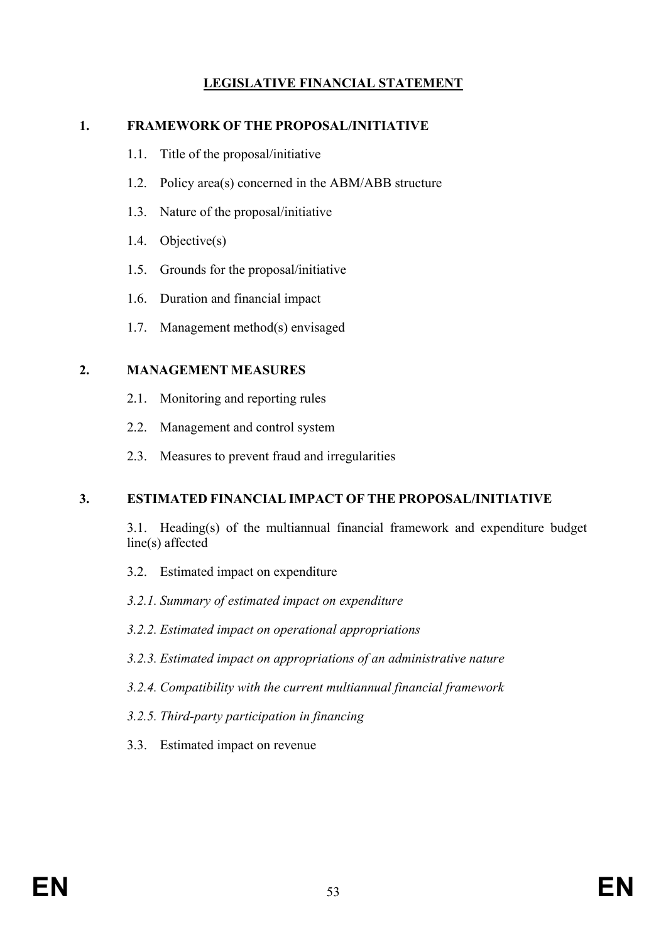# **LEGISLATIVE FINANCIAL STATEMENT**

#### **1. FRAMEWORK OF THE PROPOSAL/INITIATIVE**

- 1.1. Title of the proposal/initiative
- 1.2. Policy area(s) concerned in the ABM/ABB structure
- 1.3. Nature of the proposal/initiative
- 1.4. Objective(s)
- 1.5. Grounds for the proposal/initiative
- 1.6. Duration and financial impact
- 1.7. Management method(s) envisaged

#### **2. MANAGEMENT MEASURES**

- 2.1. Monitoring and reporting rules
- 2.2. Management and control system
- 2.3. Measures to prevent fraud and irregularities

#### **3. ESTIMATED FINANCIAL IMPACT OF THE PROPOSAL/INITIATIVE**

 3.1. Heading(s) of the multiannual financial framework and expenditure budget line(s) affected

- 3.2. Estimated impact on expenditure
- *3.2.1. Summary of estimated impact on expenditure*
- *3.2.2. Estimated impact on operational appropriations*
- *3.2.3. Estimated impact on appropriations of an administrative nature*
- *3.2.4. Compatibility with the current multiannual financial framework*
- *3.2.5. Third-party participation in financing*
- 3.3. Estimated impact on revenue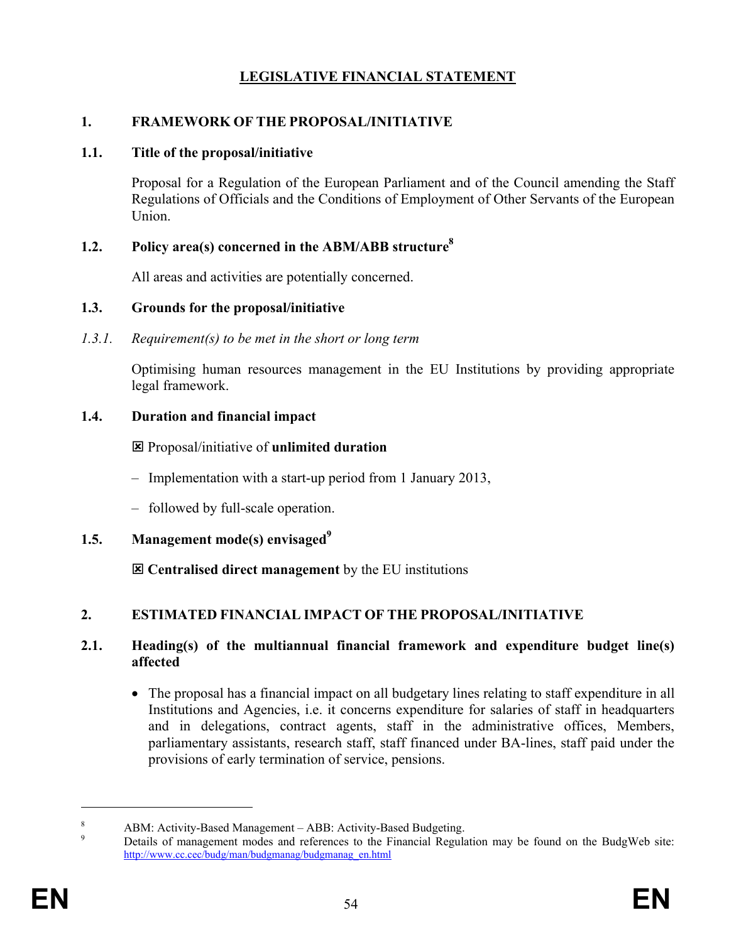# **LEGISLATIVE FINANCIAL STATEMENT**

#### **1. FRAMEWORK OF THE PROPOSAL/INITIATIVE**

#### **1.1. Title of the proposal/initiative**

Proposal for a Regulation of the European Parliament and of the Council amending the Staff Regulations of Officials and the Conditions of Employment of Other Servants of the European Union.

### **1.2. Policy area(s) concerned in the ABM/ABB structure8**

All areas and activities are potentially concerned.

#### **1.3. Grounds for the proposal/initiative**

*1.3.1. Requirement(s) to be met in the short or long term* 

Optimising human resources management in the EU Institutions by providing appropriate legal framework.

### **1.4. Duration and financial impact**

: Proposal/initiative of **unlimited duration**

- Implementation with a start-up period from 1 January 2013,
- followed by full-scale operation.
- **1.5. Management mode(s) envisaged**<sup>9</sup>

: **Centralised direct management** by the EU institutions

# **2. ESTIMATED FINANCIAL IMPACT OF THE PROPOSAL/INITIATIVE**

#### **2.1. Heading(s) of the multiannual financial framework and expenditure budget line(s) affected**

• The proposal has a financial impact on all budgetary lines relating to staff expenditure in all Institutions and Agencies, i.e. it concerns expenditure for salaries of staff in headquarters and in delegations, contract agents, staff in the administrative offices, Members, parliamentary assistants, research staff, staff financed under BA-lines, staff paid under the provisions of early termination of service, pensions.

 $\overline{a}$ 

<sup>8</sup> ABM: Activity-Based Management – ABB: Activity-Based Budgeting.

<sup>9</sup> Details of management modes and references to the Financial Regulation may be found on the BudgWeb site: http://www.cc.cec/budg/man/budgmanag/budgmanag\_en.html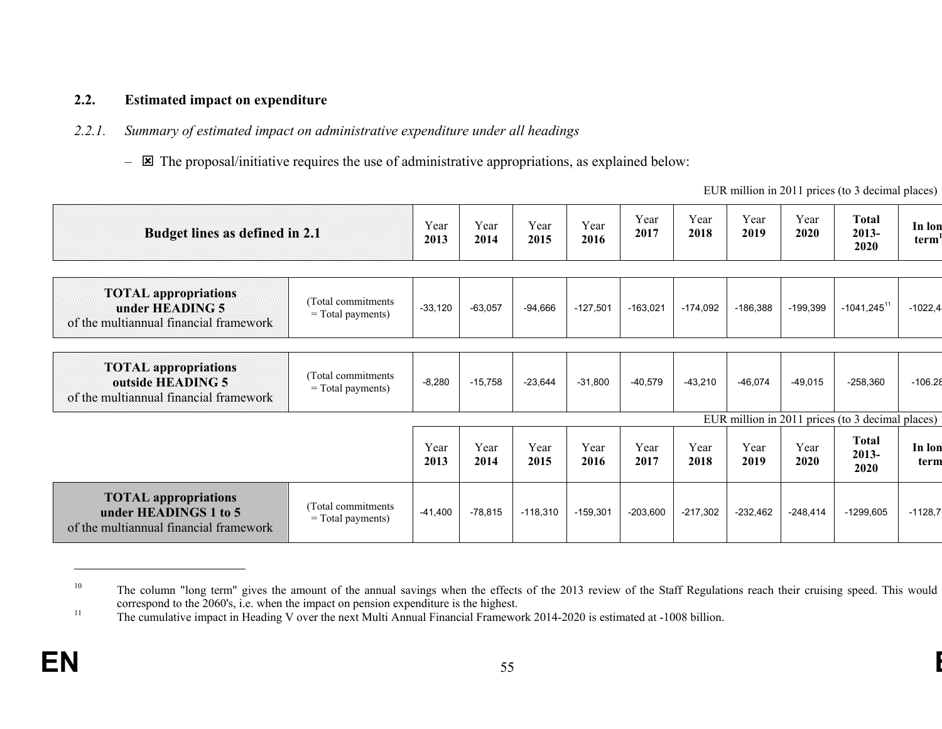#### **2.2.Estimated impact on expenditure**

#### *2.2.1.Summary of estimated impact on administrative expenditure under all headings*

 $\boxtimes$  The proposal/initiative requires the use of administrative appropriations, as explained below:

EUR million in 2011 prices (to 3 decimal places)

| Budget lines as defined in 2.1                                                                                                           |                                            |              | Year<br>2014 | Year<br>2015 | Year<br>2016 | Year<br>2017 | Year<br>2018 | Year<br>2019 | Year<br>2020 | <b>Total</b><br>2013-<br>2020                    | In lon<br>term <sup>'</sup> |
|------------------------------------------------------------------------------------------------------------------------------------------|--------------------------------------------|--------------|--------------|--------------|--------------|--------------|--------------|--------------|--------------|--------------------------------------------------|-----------------------------|
| <b>TOTAL</b> appropriations<br>under HEADING 5<br>of the multiannual financial framework                                                 | (Total commitments)<br>$=$ Total payments) | $-33,120$    | $-63,057$    | $-94,666$    | $-127,501$   | $-163,021$   | $-174,092$   | $-186,388$   | $-199,399$   | $-1041,245$ <sup>11</sup>                        | $-1022,4$                   |
| <b>TOTAL</b> appropriations<br>(Total commitments)<br>outside HEADING 5<br>$=$ Total payments)<br>of the multiannual financial framework |                                            | $-8,280$     | $-15,758$    | $-23,644$    | $-31,800$    | $-40,579$    | $-43,210$    | $-46,074$    | $-49,015$    | $-258,360$                                       | $-106.28$                   |
|                                                                                                                                          |                                            |              |              |              |              |              |              |              |              | EUR million in 2011 prices (to 3 decimal places) |                             |
|                                                                                                                                          |                                            | Year<br>2013 | Year<br>2014 | Year<br>2015 | Year<br>2016 | Year<br>2017 | Year<br>2018 | Year<br>2019 | Year<br>2020 | <b>Total</b><br>2013-<br>2020                    | In lon<br>term              |
| <b>TOTAL</b> appropriations<br>under HEADINGS 1 to 5<br>of the multiannual financial framework                                           | (Total commitments)<br>= Total payments)   | $-41,400$    | $-78,815$    | $-118,310$   | $-159,301$   | $-203,600$   | $-217,302$   | $-232,462$   | $-248,414$   | $-1299,605$                                      | $-1128,7$                   |

<sup>&</sup>lt;sup>10</sup> The column "long term" gives the amount of the annual savings when the effects of the 2013 review of the Staff Regulations reach their cruising speed. This would correspond to the 2060's, i.e. when the impact on pension expenditure is the highest.

<sup>&</sup>lt;sup>11</sup> The cumulative impact in Heading V over the next Multi Annual Financial Framework 2014-2020 is estimated at -1008 billion.